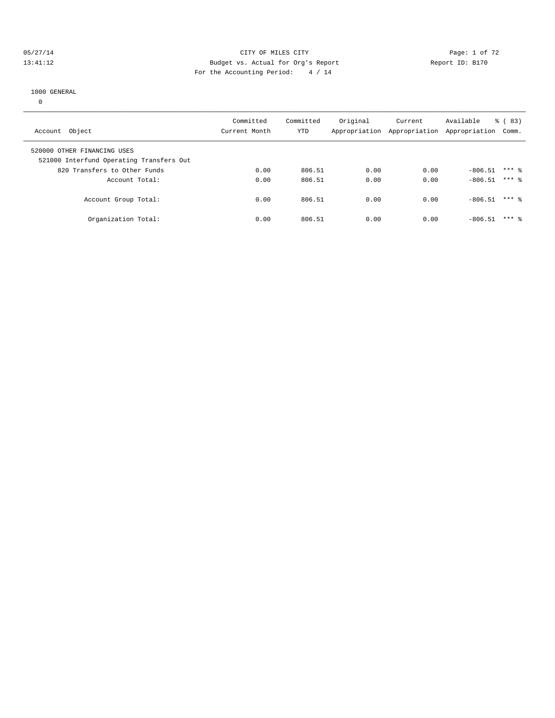#### 05/27/14 Page: 1 of 72 13:41:12 Budget vs. Actual for Org's Report Report ID: B170 For the Accounting Period: 4 / 14

#### 1000 GENERAL

0

| Account Object                                                          | Committed<br>Current Month | Committed<br><b>YTD</b> | Original<br>Appropriation | Current | Available<br>Appropriation Appropriation | $\frac{6}{6}$ (83)<br>Comm. |  |
|-------------------------------------------------------------------------|----------------------------|-------------------------|---------------------------|---------|------------------------------------------|-----------------------------|--|
| 520000 OTHER FINANCING USES<br>521000 Interfund Operating Transfers Out |                            |                         |                           |         |                                          |                             |  |
| 820 Transfers to Other Funds                                            | 0.00                       | 806.51                  | 0.00                      | 0.00    | $-806.51$                                | $***$ 2                     |  |
| Account Total:                                                          | 0.00                       | 806.51                  | 0.00                      | 0.00    | $-806.51$                                | $***$ 2                     |  |
| Account Group Total:                                                    | 0.00                       | 806.51                  | 0.00                      | 0.00    | $-806.51$                                | $***$ %                     |  |
| Organization Total:                                                     | 0.00                       | 806.51                  | 0.00                      | 0.00    | $-806.51$                                | $***$ 2                     |  |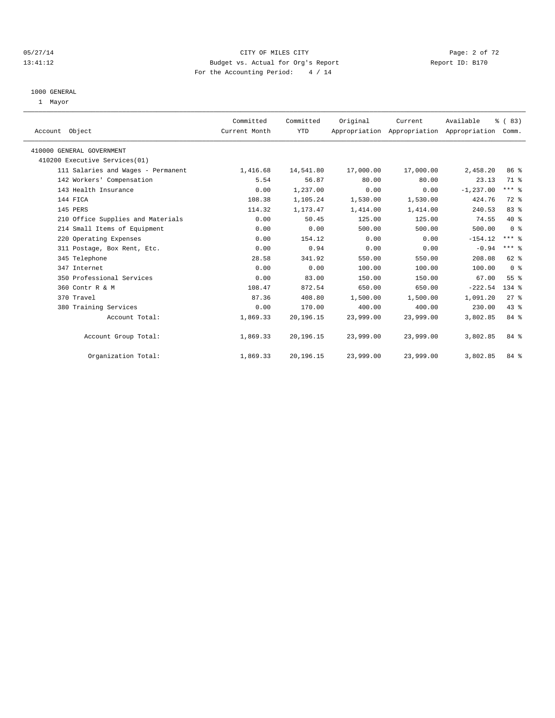## 05/27/14 Page: 2 of 72 13:41:12 Budget vs. Actual for Org's Report Report ID: B170 For the Accounting Period: 4 / 14

#### 1000 GENERAL

1 Mayor

| Account Object                     | Committed<br>Current Month | Committed<br><b>YTD</b> | Original  | Current<br>Appropriation Appropriation Appropriation | Available    | % (83)<br>Comm. |  |
|------------------------------------|----------------------------|-------------------------|-----------|------------------------------------------------------|--------------|-----------------|--|
| 410000 GENERAL GOVERNMENT          |                            |                         |           |                                                      |              |                 |  |
| 410200 Executive Services(01)      |                            |                         |           |                                                      |              |                 |  |
| 111 Salaries and Wages - Permanent | 1,416.68                   | 14,541.80               | 17,000.00 | 17,000.00                                            | 2,458.20     | 86 %            |  |
| 142 Workers' Compensation          | 5.54                       | 56.87                   | 80.00     | 80.00                                                | 23.13        | 71 %            |  |
| 143 Health Insurance               | 0.00                       | 1,237.00                | 0.00      | 0.00                                                 | $-1, 237.00$ | $***$ $_{8}$    |  |
| 144 FICA                           | 108.38                     | 1,105.24                | 1,530.00  | 1,530.00                                             | 424.76       | 72 %            |  |
| 145 PERS                           | 114.32                     | 1,173.47                | 1,414.00  | 1,414.00                                             | 240.53       | 83 %            |  |
| 210 Office Supplies and Materials  | 0.00                       | 50.45                   | 125.00    | 125.00                                               | 74.55        | $40*$           |  |
| 214 Small Items of Equipment       | 0.00                       | 0.00                    | 500.00    | 500.00                                               | 500.00       | 0 <sup>8</sup>  |  |
| 220 Operating Expenses             | 0.00                       | 154.12                  | 0.00      | 0.00                                                 | $-154.12$    | $***$ $%$       |  |
| 311 Postage, Box Rent, Etc.        | 0.00                       | 0.94                    | 0.00      | 0.00                                                 | $-0.94$      | $***$ $%$       |  |
| 345 Telephone                      | 28.58                      | 341.92                  | 550.00    | 550.00                                               | 208.08       | 62 %            |  |
| 347 Internet                       | 0.00                       | 0.00                    | 100.00    | 100.00                                               | 100.00       | 0 <sup>8</sup>  |  |
| 350 Professional Services          | 0.00                       | 83.00                   | 150.00    | 150.00                                               | 67.00        | 55 %            |  |
| 360 Contr R & M                    | 108.47                     | 872.54                  | 650.00    | 650.00                                               | $-222.54$    | $134$ $%$       |  |
| 370 Travel                         | 87.36                      | 408.80                  | 1,500.00  | 1,500.00                                             | 1,091.20     | $27$ $%$        |  |
| 380 Training Services              | 0.00                       | 170.00                  | 400.00    | 400.00                                               | 230.00       | 43 %            |  |
| Account Total:                     | 1,869.33                   | 20,196.15               | 23,999.00 | 23,999.00                                            | 3,802.85     | 84 %            |  |
| Account Group Total:               | 1,869.33                   | 20,196.15               | 23,999.00 | 23,999.00                                            | 3,802.85     | 84 %            |  |
| Organization Total:                | 1,869.33                   | 20,196.15               | 23,999.00 | 23,999.00                                            | 3,802.85     | 84 %            |  |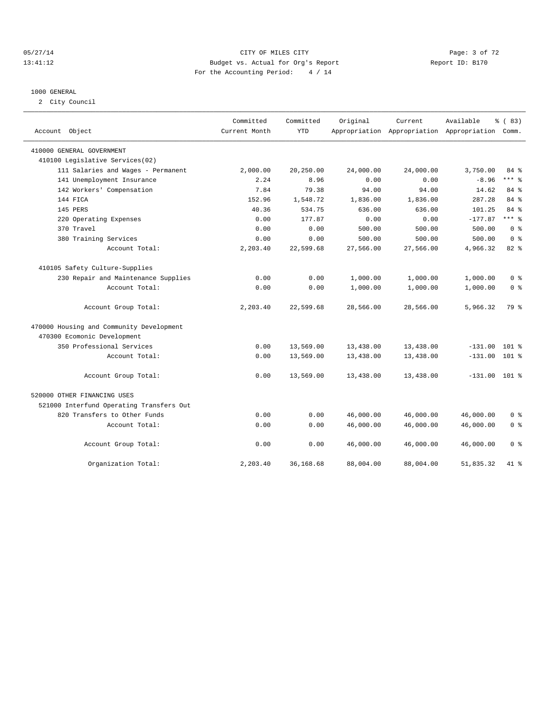## 05/27/14 Page: 3 of 72 13:41:12 Budget vs. Actual for Org's Report Report ID: B170 For the Accounting Period: 4 / 14

#### 1000 GENERAL

2 City Council

| Account Object                           | Committed<br>Current Month | Committed<br><b>YTD</b> | Original  | Current   | Available<br>Appropriation Appropriation Appropriation | % (83)<br>Comm. |
|------------------------------------------|----------------------------|-------------------------|-----------|-----------|--------------------------------------------------------|-----------------|
| 410000 GENERAL GOVERNMENT                |                            |                         |           |           |                                                        |                 |
| 410100 Legislative Services(02)          |                            |                         |           |           |                                                        |                 |
| 111 Salaries and Wages - Permanent       | 2,000.00                   | 20,250.00               | 24,000.00 | 24,000.00 | 3,750.00                                               | 84 %            |
| 141 Unemployment Insurance               | 2.24                       | 8.96                    | 0.00      | 0.00      | $-8.96$                                                | $***$ $-$       |
| 142 Workers' Compensation                | 7.84                       | 79.38                   | 94.00     | 94.00     | 14.62                                                  | 84 %            |
| 144 FICA                                 | 152.96                     | 1,548.72                | 1,836.00  | 1,836.00  | 287.28                                                 | 84 %            |
| 145 PERS                                 | 40.36                      | 534.75                  | 636.00    | 636.00    | 101.25                                                 | 84 %            |
| 220 Operating Expenses                   | 0.00                       | 177.87                  | 0.00      | 0.00      | $-177.87$                                              | $***$ 8         |
| 370 Travel                               | 0.00                       | 0.00                    | 500.00    | 500.00    | 500.00                                                 | 0 <sup>8</sup>  |
| 380 Training Services                    | 0.00                       | 0.00                    | 500.00    | 500.00    | 500.00                                                 | 0 <sup>8</sup>  |
| Account Total:                           | 2,203.40                   | 22,599.68               | 27,566.00 | 27,566.00 | 4,966.32                                               | 82 %            |
| 410105 Safety Culture-Supplies           |                            |                         |           |           |                                                        |                 |
| 230 Repair and Maintenance Supplies      | 0.00                       | 0.00                    | 1,000.00  | 1,000.00  | 1,000.00                                               | $0 \approx$     |
| Account Total:                           | 0.00                       | 0.00                    | 1,000.00  | 1,000.00  | 1,000.00                                               | 0 <sup>8</sup>  |
| Account Group Total:                     | 2,203.40                   | 22,599.68               | 28,566.00 | 28,566.00 | 5,966.32                                               | 79 %            |
| 470000 Housing and Community Development |                            |                         |           |           |                                                        |                 |
| 470300 Ecomonic Development              |                            |                         |           |           |                                                        |                 |
| 350 Professional Services                | 0.00                       | 13,569.00               | 13,438.00 | 13,438.00 | $-131.00$                                              | $101$ %         |
| Account Total:                           | 0.00                       | 13,569.00               | 13,438.00 | 13,438.00 | $-131.00$                                              | 101 %           |
| Account Group Total:                     | 0.00                       | 13,569.00               | 13,438.00 | 13,438.00 | $-131.00$ 101 %                                        |                 |
| 520000 OTHER FINANCING USES              |                            |                         |           |           |                                                        |                 |
| 521000 Interfund Operating Transfers Out |                            |                         |           |           |                                                        |                 |
| 820 Transfers to Other Funds             | 0.00                       | 0.00                    | 46,000.00 | 46,000.00 | 46,000.00                                              | 0 <sup>8</sup>  |
| Account Total:                           | 0.00                       | 0.00                    | 46,000.00 | 46,000.00 | 46,000.00                                              | 0 <sup>8</sup>  |
| Account Group Total:                     | 0.00                       | 0.00                    | 46,000.00 | 46,000.00 | 46,000.00                                              | 0 <sup>8</sup>  |
| Organization Total:                      | 2,203.40                   | 36,168.68               | 88,004.00 | 88,004.00 | 51,835.32                                              | 41 %            |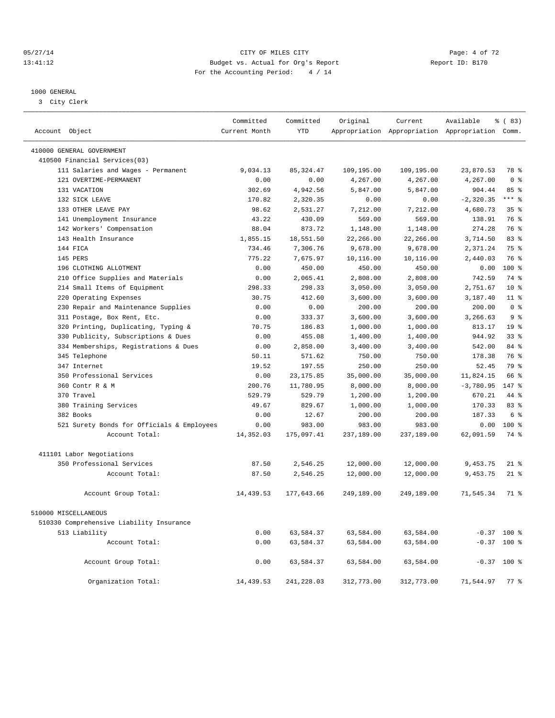## 05/27/14 Page: 4 of 72 13:41:12 Budget vs. Actual for Org's Report Changer Report ID: B170 For the Accounting Period: 4 / 14

————————————————————————————————————————————————————————————————————————————————————————————————————————————————————————————————————

#### 1000 GENERAL

3 City Clerk

|                                            | Committed     | Committed  | Original   | Current    | Available                                       | % (83)          |
|--------------------------------------------|---------------|------------|------------|------------|-------------------------------------------------|-----------------|
| Account Object                             | Current Month | <b>YTD</b> |            |            | Appropriation Appropriation Appropriation Comm. |                 |
| 410000 GENERAL GOVERNMENT                  |               |            |            |            |                                                 |                 |
| 410500 Financial Services(03)              |               |            |            |            |                                                 |                 |
| 111 Salaries and Wages - Permanent         | 9,034.13      | 85, 324.47 | 109,195.00 | 109,195.00 | 23,870.53                                       | 78 %            |
| 121 OVERTIME-PERMANENT                     | 0.00          | 0.00       | 4,267.00   | 4,267.00   | 4,267.00                                        | 0 <sup>8</sup>  |
| 131 VACATION                               | 302.69        | 4,942.56   | 5,847.00   | 5,847.00   | 904.44                                          | 85%             |
| 132 SICK LEAVE                             | 170.82        | 2,320.35   | 0.00       | 0.00       | $-2, 320.35$                                    | $***$ $%$       |
| 133 OTHER LEAVE PAY                        | 98.62         | 2,531.27   | 7,212.00   | 7,212.00   | 4,680.73                                        | 35 <sup>8</sup> |
| 141 Unemployment Insurance                 | 43.22         | 430.09     | 569.00     | 569.00     | 138.91                                          | 76 %            |
| 142 Workers' Compensation                  | 88.04         | 873.72     | 1,148.00   | 1,148.00   | 274.28                                          | 76 %            |
| 143 Health Insurance                       | 1,855.15      | 18,551.50  | 22,266.00  | 22,266.00  | 3,714.50                                        | 83 %            |
| 144 FICA                                   | 734.46        | 7,306.76   | 9,678.00   | 9,678.00   | 2,371.24                                        | 75 %            |
| 145 PERS                                   | 775.22        | 7,675.97   | 10,116.00  | 10,116.00  | 2,440.03                                        | 76 %            |
| 196 CLOTHING ALLOTMENT                     | 0.00          | 450.00     | 450.00     | 450.00     | 0.00                                            | 100 %           |
| 210 Office Supplies and Materials          | 0.00          | 2,065.41   | 2,808.00   | 2,808.00   | 742.59                                          | 74 %            |
| 214 Small Items of Equipment               | 298.33        | 298.33     | 3,050.00   | 3,050.00   | 2,751.67                                        | $10*$           |
| 220 Operating Expenses                     | 30.75         | 412.60     | 3,600.00   | 3,600.00   | 3,187.40                                        | $11$ %          |
| 230 Repair and Maintenance Supplies        | 0.00          | 0.00       | 200.00     | 200.00     | 200.00                                          | 0 <sup>8</sup>  |
| 311 Postage, Box Rent, Etc.                | 0.00          | 333.37     | 3,600.00   | 3,600.00   | 3,266.63                                        | 9 <sub>8</sub>  |
| 320 Printing, Duplicating, Typing &        | 70.75         | 186.83     | 1,000.00   | 1,000.00   | 813.17                                          | 19 <sup>°</sup> |
| 330 Publicity, Subscriptions & Dues        | 0.00          | 455.08     | 1,400.00   | 1,400.00   | 944.92                                          | 33 <sup>8</sup> |
| 334 Memberships, Registrations & Dues      | 0.00          | 2,858.00   | 3,400.00   | 3,400.00   | 542.00                                          | 84 %            |
| 345 Telephone                              | 50.11         | 571.62     | 750.00     | 750.00     | 178.38                                          | 76 %            |
| 347 Internet                               | 19.52         | 197.55     | 250.00     | 250.00     | 52.45                                           | 79 %            |
| 350 Professional Services                  | 0.00          | 23, 175.85 | 35,000.00  | 35,000.00  | 11,824.15                                       | 66 %            |
| 360 Contr R & M                            | 200.76        | 11,780.95  | 8,000.00   | 8,000.00   | $-3,780.95$                                     | 147.8           |
| 370 Travel                                 | 529.79        | 529.79     | 1,200.00   | 1,200.00   | 670.21                                          | 44 %            |
| 380 Training Services                      | 49.67         | 829.67     | 1,000.00   | 1,000.00   | 170.33                                          | $83*$           |
| 382 Books                                  | 0.00          | 12.67      | 200.00     | 200.00     | 187.33                                          | 6 %             |
| 521 Surety Bonds for Officials & Employees | 0.00          | 983.00     | 983.00     | 983.00     | 0.00                                            | $100*$          |
| Account Total:                             | 14,352.03     | 175,097.41 | 237,189.00 | 237,189.00 | 62,091.59                                       | 74 %            |
|                                            |               |            |            |            |                                                 |                 |
| 411101 Labor Negotiations                  |               |            |            |            |                                                 |                 |
| 350 Professional Services                  | 87.50         | 2,546.25   | 12,000.00  | 12,000.00  | 9,453.75                                        | $21$ %          |
| Account Total:                             | 87.50         | 2,546.25   | 12,000.00  | 12,000.00  | 9,453.75                                        | $21$ %          |
| Account Group Total:                       | 14,439.53     | 177,643.66 | 249,189.00 | 249,189.00 | 71,545.34                                       | 71 %            |
| 510000 MISCELLANEOUS                       |               |            |            |            |                                                 |                 |
| 510330 Comprehensive Liability Insurance   |               |            |            |            |                                                 |                 |
| 513 Liability                              | 0.00          | 63,584.37  | 63,584.00  | 63,584.00  |                                                 | $-0.37$ 100 %   |
| Account Total:                             | 0.00          | 63,584.37  | 63,584.00  | 63,584.00  | $-0.37$                                         | $100$ %         |
|                                            |               |            |            |            |                                                 |                 |
| Account Group Total:                       | 0.00          | 63,584.37  | 63,584.00  | 63,584.00  |                                                 | $-0.37$ 100 %   |
| Organization Total:                        | 14,439.53     | 241,228.03 | 312,773.00 | 312,773.00 | 71,544.97                                       | $77*$           |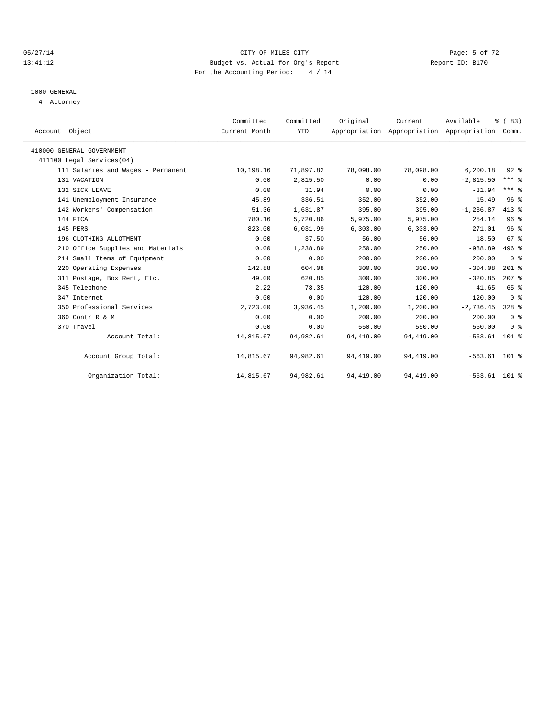#### 05/27/14 Page: 5 of 72 13:41:12 Budget vs. Actual for Org's Report Report ID: B170 For the Accounting Period: 4 / 14

# 1000 GENERAL

4 Attorney

| Account Object                     | Committed<br>Current Month | Committed<br><b>YTD</b> | Original   | Current   | Available<br>Appropriation Appropriation Appropriation | % (83)<br>Comm. |  |
|------------------------------------|----------------------------|-------------------------|------------|-----------|--------------------------------------------------------|-----------------|--|
| 410000 GENERAL GOVERNMENT          |                            |                         |            |           |                                                        |                 |  |
| 411100 Legal Services (04)         |                            |                         |            |           |                                                        |                 |  |
| 111 Salaries and Wages - Permanent | 10,198.16                  | 71,897.82               | 78,098.00  | 78,098.00 | 6, 200.18                                              | $92$ $%$        |  |
| 131 VACATION                       | 0.00                       | 2,815.50                | 0.00       | 0.00      | $-2,815.50$                                            | $***$ $%$       |  |
| 132 SICK LEAVE                     | 0.00                       | 31.94                   | 0.00       | 0.00      | $-31.94$                                               | $***$ $_{8}$    |  |
| 141 Unemployment Insurance         | 45.89                      | 336.51                  | 352.00     | 352.00    | 15.49                                                  | 96 <sup>8</sup> |  |
| 142 Workers' Compensation          | 51.36                      | 1,631.87                | 395.00     | 395.00    | $-1, 236.87$                                           | $413*$          |  |
| 144 FICA                           | 780.16                     | 5,720.86                | 5,975.00   | 5,975.00  | 254.14                                                 | 96 <sup>°</sup> |  |
| 145 PERS                           | 823.00                     | 6,031.99                | 6,303.00   | 6,303.00  | 271.01                                                 | 96 <sup>°</sup> |  |
| 196 CLOTHING ALLOTMENT             | 0.00                       | 37.50                   | 56.00      | 56.00     | 18.50                                                  | 67 <sup>8</sup> |  |
| 210 Office Supplies and Materials  | 0.00                       | 1,238.89                | 250.00     | 250.00    | $-988.89$                                              | 496 %           |  |
| 214 Small Items of Equipment       | 0.00                       | 0.00                    | 200.00     | 200.00    | 200.00                                                 | 0 <sup>8</sup>  |  |
| 220 Operating Expenses             | 142.88                     | 604.08                  | 300.00     | 300.00    | $-304.08$                                              | $201$ %         |  |
| 311 Postage, Box Rent, Etc.        | 49.00                      | 620.85                  | 300.00     | 300.00    | $-320.85$                                              | $207$ %         |  |
| 345 Telephone                      | 2.22                       | 78.35                   | 120.00     | 120.00    | 41.65                                                  | 65 %            |  |
| 347 Internet                       | 0.00                       | 0.00                    | 120.00     | 120.00    | 120.00                                                 | 0 <sup>8</sup>  |  |
| 350 Professional Services          | 2,723.00                   | 3,936.45                | 1,200.00   | 1,200.00  | $-2,736.45$                                            | $328$ %         |  |
| 360 Contr R & M                    | 0.00                       | 0.00                    | 200.00     | 200.00    | 200.00                                                 | 0 <sup>8</sup>  |  |
| 370 Travel                         | 0.00                       | 0.00                    | 550.00     | 550.00    | 550.00                                                 | 0 <sup>8</sup>  |  |
| Account Total:                     | 14,815.67                  | 94,982.61               | 94, 419.00 | 94,419.00 | $-563.61$ 101 %                                        |                 |  |
| Account Group Total:               | 14,815.67                  | 94,982.61               | 94,419.00  | 94,419.00 | $-563.61$ 101 %                                        |                 |  |
| Organization Total:                | 14,815.67                  | 94,982.61               | 94,419.00  | 94,419.00 | $-563.61$ 101 %                                        |                 |  |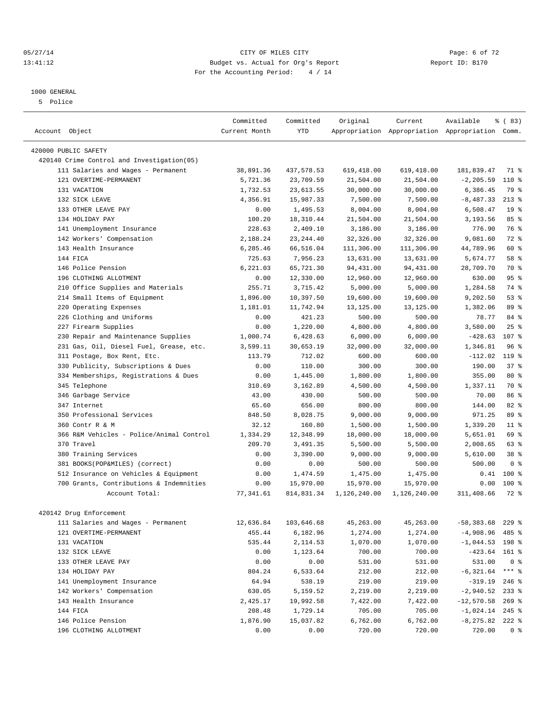#### 05/27/14 Page: 6 of 72 13:41:12 Budget vs. Actual for Org's Report Report ID: B170 For the Accounting Period: 4 / 14

#### 1000 GENERAL

5 Police

|                                             | Committed     | Committed  | Original     | Current      | Available                                       | % (83)          |  |
|---------------------------------------------|---------------|------------|--------------|--------------|-------------------------------------------------|-----------------|--|
| Account Object                              | Current Month | <b>YTD</b> |              |              | Appropriation Appropriation Appropriation Comm. |                 |  |
|                                             |               |            |              |              |                                                 |                 |  |
| 420000 PUBLIC SAFETY                        |               |            |              |              |                                                 |                 |  |
| 420140 Crime Control and Investigation (05) |               |            |              |              |                                                 |                 |  |
| 111 Salaries and Wages - Permanent          | 38,891.36     | 437,578.53 | 619,418.00   | 619,418.00   | 181,839.47                                      | 71 %            |  |
| 121 OVERTIME-PERMANENT                      | 5,721.36      | 23,709.59  | 21,504.00    | 21,504.00    | $-2, 205.59$                                    | $110*$          |  |
| 131 VACATION                                | 1,732.53      | 23,613.55  | 30,000.00    | 30,000.00    | 6,386.45                                        | 79 %            |  |
| 132 SICK LEAVE                              | 4,356.91      | 15,987.33  | 7,500.00     | 7,500.00     | $-8,487.33$                                     | $213*$          |  |
| 133 OTHER LEAVE PAY                         | 0.00          | 1,495.53   | 8,004.00     | 8,004.00     | 6,508.47                                        | 19 <sup>°</sup> |  |
| 134 HOLIDAY PAY                             | 100.20        | 18,310.44  | 21,504.00    | 21,504.00    | 3,193.56                                        | 85%             |  |
| 141 Unemployment Insurance                  | 228.63        | 2,409.10   | 3,186.00     | 3,186.00     | 776.90                                          | 76 %            |  |
| 142 Workers' Compensation                   | 2,188.24      | 23, 244.40 | 32,326.00    | 32,326.00    | 9,081.60                                        | 72 %            |  |
| 143 Health Insurance                        | 6,285.46      | 66,516.04  | 111,306.00   | 111,306.00   | 44,789.96                                       | 60 %            |  |
| 144 FICA                                    | 725.63        | 7,956.23   | 13,631.00    | 13,631.00    | 5,674.77                                        | 58 %            |  |
| 146 Police Pension                          | 6,221.03      | 65,721.30  | 94,431.00    | 94,431.00    | 28,709.70                                       | 70 %            |  |
| 196 CLOTHING ALLOTMENT                      | 0.00          | 12,330.00  | 12,960.00    | 12,960.00    | 630.00                                          | 95%             |  |
| Office Supplies and Materials<br>210        | 255.71        | 3,715.42   | 5,000.00     | 5,000.00     | 1,284.58                                        | 74 %            |  |
| 214 Small Items of Equipment                | 1,896.00      | 10,397.50  | 19,600.00    | 19,600.00    | 9,202.50                                        | 53%             |  |
| 220 Operating Expenses                      | 1,181.01      | 11,742.94  | 13,125.00    | 13, 125.00   | 1,382.06                                        | 89 %            |  |
| 226 Clothing and Uniforms                   | 0.00          | 421.23     | 500.00       | 500.00       | 78.77                                           | 84 %            |  |
| 227 Firearm Supplies                        | 0.00          | 1,220.00   | 4,800.00     | 4,800.00     | 3,580.00                                        | 25%             |  |
| Repair and Maintenance Supplies<br>230      | 1,000.74      | 6,428.63   | 6,000.00     | 6,000.00     | $-428.63$                                       | 107 %           |  |
| 231 Gas, Oil, Diesel Fuel, Grease, etc.     | 3,599.11      | 30,653.19  | 32,000.00    | 32,000.00    | 1,346.81                                        | 96%             |  |
| 311 Postage, Box Rent, Etc.                 | 113.79        | 712.02     | 600.00       | 600.00       | $-112.02$                                       | $119*$          |  |
| 330 Publicity, Subscriptions & Dues         | 0.00          | 110.00     | 300.00       | 300.00       | 190.00                                          | 37%             |  |
| 334 Memberships, Registrations & Dues       | 0.00          | 1,445.00   | 1,800.00     | 1,800.00     | 355.00                                          | 80 %            |  |
| 345 Telephone                               | 310.69        | 3,162.89   | 4,500.00     | 4,500.00     | 1,337.11                                        | 70 %            |  |
| 346 Garbage Service                         | 43.00         | 430.00     | 500.00       | 500.00       | 70.00                                           | 86 <sup>8</sup> |  |
| 347 Internet                                | 65.60         | 656.00     | 800.00       | 800.00       | 144.00                                          | $82$ $%$        |  |
| 350 Professional Services                   | 848.50        | 8,028.75   | 9,000.00     | 9,000.00     | 971.25                                          | 89 %            |  |
| 360 Contr R & M                             | 32.12         | 160.80     | 1,500.00     | 1,500.00     | 1,339.20                                        | $11*$           |  |
| 366 R&M Vehicles - Police/Animal Control    | 1,334.29      | 12,348.99  | 18,000.00    | 18,000.00    | 5,651.01                                        | 69 %            |  |
| 370 Travel                                  | 209.70        | 3,491.35   | 5,500.00     | 5,500.00     | 2,008.65                                        | 63 %            |  |
| 380 Training Services                       | 0.00          | 3,390.00   | 9,000.00     | 9,000.00     | 5,610.00                                        | 38 %            |  |
| 381 BOOKS(POP&MILES) (correct)              | 0.00          | 0.00       | 500.00       | 500.00       | 500.00                                          | 0 <sup>8</sup>  |  |
| 512 Insurance on Vehicles & Equipment       | 0.00          | 1,474.59   | 1,475.00     | 1,475.00     | 0.41                                            | $100*$          |  |
| 700 Grants, Contributions & Indemnities     | 0.00          | 15,970.00  | 15,970.00    | 15,970.00    | 0.00                                            | $100*$          |  |
| Account Total:                              | 77,341.61     | 814,831.34 | 1,126,240.00 | 1,126,240.00 | 311,408.66                                      | 72 %            |  |
|                                             |               |            |              |              |                                                 |                 |  |
| 420142 Drug Enforcement                     |               |            |              |              |                                                 |                 |  |
| 111 Salaries and Wages - Permanent          | 12,636.84     | 103,646.68 | 45,263.00    | 45,263.00    | $-58,383.68$ 229 %                              |                 |  |
| 121 OVERTIME-PERMANENT                      | 455.44        | 6,182.96   | 1,274.00     | 1,274.00     | $-4,908.96$ 485 %                               |                 |  |
| 131 VACATION                                | 535.44        | 2,114.53   | 1,070.00     | 1,070.00     | $-1,044.53$ 198 %                               |                 |  |
| 132 SICK LEAVE                              | 0.00          | 1,123.64   | 700.00       | 700.00       | $-423.64$ 161 %                                 |                 |  |
| 133 OTHER LEAVE PAY                         | 0.00          | 0.00       | 531.00       | 531.00       | 531.00                                          | 0 <sup>8</sup>  |  |
| 134 HOLIDAY PAY                             | 804.24        | 6,533.64   | 212.00       | 212.00       | $-6,321.64$ *** %                               |                 |  |
| 141 Unemployment Insurance                  | 64.94         | 538.19     | 219.00       | 219.00       | $-319.19$ 246 %                                 |                 |  |
| 142 Workers' Compensation                   | 630.05        | 5,159.52   | 2,219.00     | 2,219.00     | $-2,940.52$                                     | $233$ $%$       |  |
| 143 Health Insurance                        | 2,425.17      | 19,992.58  | 7,422.00     | 7,422.00     | $-12,570.58$ 269 %                              |                 |  |
| 144 FICA                                    | 208.48        | 1,729.14   | 705.00       | 705.00       | $-1,024.14$ 245 %                               |                 |  |
| 146 Police Pension                          | 1,876.90      | 15,037.82  | 6,762.00     | 6,762.00     | $-8, 275.82$ 222 %                              |                 |  |
| 196 CLOTHING ALLOTMENT                      | 0.00          | 0.00       | 720.00       | 720.00       | 720.00                                          | 0 <sup>8</sup>  |  |
|                                             |               |            |              |              |                                                 |                 |  |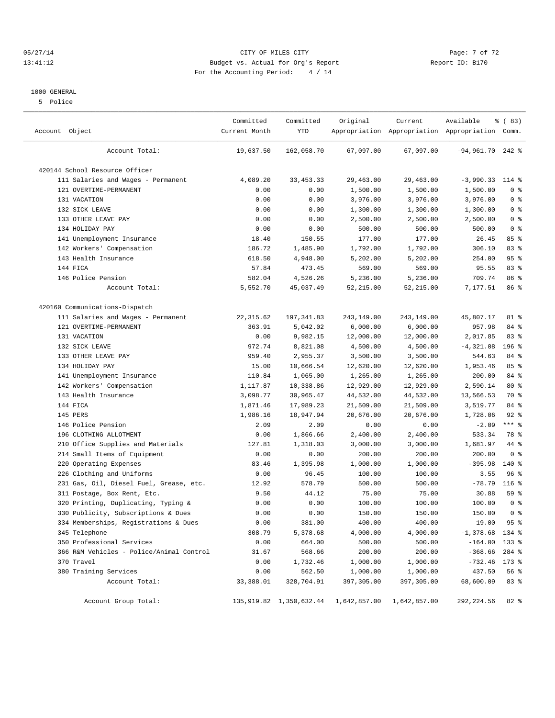#### 05/27/14 Page: 7 of 72 13:41:12 Budget vs. Actual for Org's Report Report ID: B170 For the Accounting Period: 4 / 14

#### 1000 GENERAL

5 Police

| Account Object                           | Committed<br>Current Month | Committed<br><b>YTD</b>    | Original     | Current      | Available<br>Appropriation Appropriation Appropriation Comm. | % (83)         |  |
|------------------------------------------|----------------------------|----------------------------|--------------|--------------|--------------------------------------------------------------|----------------|--|
| Account Total:                           | 19,637.50                  | 162,058.70                 | 67,097.00    | 67,097.00    | $-94,961.70$ 242 %                                           |                |  |
| 420144 School Resource Officer           |                            |                            |              |              |                                                              |                |  |
| 111 Salaries and Wages - Permanent       | 4,089.20                   | 33, 453. 33                | 29,463.00    | 29,463.00    | $-3,990.33$                                                  | 114 %          |  |
| 121 OVERTIME-PERMANENT                   | 0.00                       | 0.00                       | 1,500.00     | 1,500.00     | 1,500.00                                                     | 0 <sup>8</sup> |  |
| 131 VACATION                             | 0.00                       | 0.00                       | 3,976.00     | 3,976.00     | 3,976.00                                                     | 0 <sup>8</sup> |  |
| 132 SICK LEAVE                           | 0.00                       | 0.00                       | 1,300.00     | 1,300.00     | 1,300.00                                                     | 0 <sup>8</sup> |  |
| 133 OTHER LEAVE PAY                      | 0.00                       | 0.00                       | 2,500.00     | 2,500.00     | 2,500.00                                                     | 0 <sup>8</sup> |  |
| 134 HOLIDAY PAY                          | 0.00                       | 0.00                       | 500.00       | 500.00       | 500.00                                                       | 0 <sup>8</sup> |  |
| 141 Unemployment Insurance               | 18.40                      | 150.55                     | 177.00       | 177.00       | 26.45                                                        | 85%            |  |
| 142 Workers' Compensation                | 186.72                     | 1,485.90                   | 1,792.00     | 1,792.00     | 306.10                                                       | 83 %           |  |
| 143 Health Insurance                     | 618.50                     | 4,948.00                   | 5,202.00     | 5,202.00     | 254.00                                                       | 95%            |  |
| 144 FICA                                 | 57.84                      | 473.45                     | 569.00       | 569.00       | 95.55                                                        | 83%            |  |
| 146 Police Pension                       | 582.04                     | 4,526.26                   | 5,236.00     | 5,236.00     | 709.74                                                       | 86 %           |  |
| Account Total:                           | 5,552.70                   | 45,037.49                  | 52,215.00    | 52, 215.00   | 7,177.51                                                     | 86 %           |  |
| 420160 Communications-Dispatch           |                            |                            |              |              |                                                              |                |  |
| 111 Salaries and Wages - Permanent       | 22, 315.62                 | 197, 341.83                | 243,149.00   | 243,149.00   | 45,807.17                                                    | 81 %           |  |
| 121 OVERTIME-PERMANENT                   | 363.91                     | 5,042.02                   | 6,000.00     | 6,000.00     | 957.98                                                       | 84 %           |  |
| 131 VACATION                             | 0.00                       | 9,982.15                   | 12,000.00    | 12,000.00    | 2,017.85                                                     | 83 %           |  |
| 132 SICK LEAVE                           | 972.74                     | 8,821.08                   | 4,500.00     | 4,500.00     | $-4,321.08$                                                  | 196 %          |  |
| 133 OTHER LEAVE PAY                      | 959.40                     | 2,955.37                   | 3,500.00     | 3,500.00     | 544.63                                                       | 84 %           |  |
| 134 HOLIDAY PAY                          | 15.00                      | 10,666.54                  | 12,620.00    | 12,620.00    | 1,953.46                                                     | 85%            |  |
| 141 Unemployment Insurance               | 110.84                     | 1,065.00                   | 1,265.00     | 1,265.00     | 200.00                                                       | 84 %           |  |
| 142 Workers' Compensation                | 1,117.87                   | 10,338.86                  | 12,929.00    | 12,929.00    | 2,590.14                                                     | 80 %           |  |
| 143 Health Insurance                     | 3,098.77                   | 30,965.47                  | 44,532.00    | 44,532.00    | 13,566.53                                                    | 70 %           |  |
| 144 FICA                                 | 1,871.46                   | 17,989.23                  | 21,509.00    | 21,509.00    | 3,519.77                                                     | 84 %           |  |
| 145 PERS                                 | 1,986.16                   | 18,947.94                  | 20,676.00    | 20,676.00    | 1,728.06                                                     | $92$ $%$       |  |
| 146 Police Pension                       | 2.09                       | 2.09                       | 0.00         | 0.00         | $-2.09$                                                      | $***$ $_{8}$   |  |
| 196 CLOTHING ALLOTMENT                   | 0.00                       | 1,866.66                   | 2,400.00     | 2,400.00     | 533.34                                                       | 78 %           |  |
| 210 Office Supplies and Materials        | 127.81                     | 1,318.03                   | 3,000.00     | 3,000.00     | 1,681.97                                                     | 44 %           |  |
| 214 Small Items of Equipment             | 0.00                       | 0.00                       | 200.00       | 200.00       | 200.00                                                       | 0 <sup>8</sup> |  |
| 220 Operating Expenses                   | 83.46                      | 1,395.98                   | 1,000.00     | 1,000.00     | $-395.98$                                                    | 140 %          |  |
| 226 Clothing and Uniforms                | 0.00                       | 96.45                      | 100.00       | 100.00       | 3.55                                                         | 96%            |  |
| 231 Gas, Oil, Diesel Fuel, Grease, etc.  | 12.92                      | 578.79                     | 500.00       | 500.00       | $-78.79$                                                     | 116 %          |  |
| 311 Postage, Box Rent, Etc.              | 9.50                       | 44.12                      | 75.00        | 75.00        | 30.88                                                        | 59 %           |  |
| 320 Printing, Duplicating, Typing &      | 0.00                       | 0.00                       | 100.00       | 100.00       | 100.00                                                       | 0 <sup>8</sup> |  |
| 330 Publicity, Subscriptions & Dues      | 0.00                       | 0.00                       | 150.00       | 150.00       | 150.00                                                       | 0 <sup>8</sup> |  |
| 334 Memberships, Registrations & Dues    | 0.00                       | 381.00                     | 400.00       | 400.00       | 19.00                                                        | 95%            |  |
| 345 Telephone                            | 308.79                     | 5,378.68                   | 4,000.00     | 4,000.00     | $-1,378.68$                                                  | 134 %          |  |
| 350 Professional Services                | 0.00                       | 664.00                     | 500.00       | 500.00       | $-164.00$                                                    | $133$ $%$      |  |
| 366 R&M Vehicles - Police/Animal Control | 31.67                      | 568.66                     | 200.00       | 200.00       | $-368.66$                                                    | 284 %          |  |
| 370 Travel                               | 0.00                       | 1,732.46                   | 1,000.00     | 1,000.00     | $-732.46$                                                    | 173 %          |  |
| 380 Training Services                    | 0.00                       | 562.50                     | 1,000.00     | 1,000.00     | 437.50                                                       | 56 %           |  |
| Account Total:                           | 33,388.01                  | 328,704.91                 | 397,305.00   | 397,305.00   | 68,600.09                                                    | 83 %           |  |
| Account Group Total:                     |                            | 135, 919.82 1, 350, 632.44 | 1,642,857.00 | 1,642,857.00 | 292, 224.56                                                  | $82$ $%$       |  |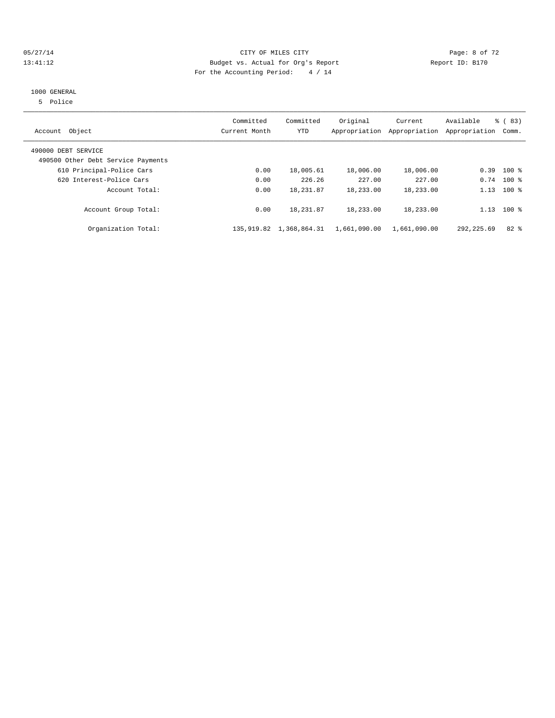#### 05/27/14 Page: 8 of 72 13:41:12 Budget vs. Actual for Org's Report Report ID: B170 For the Accounting Period: 4 / 14

#### 1000 GENERAL

5 Police

| Account Object                                            | Committed<br>Current Month | Committed<br><b>YTD</b> | Original<br>Appropriation | Current<br>Appropriation | Available<br>Appropriation | $\frac{6}{6}$ (83)<br>Comm. |
|-----------------------------------------------------------|----------------------------|-------------------------|---------------------------|--------------------------|----------------------------|-----------------------------|
| 490000 DEBT SERVICE<br>490500 Other Debt Service Payments |                            |                         |                           |                          |                            |                             |
| 610 Principal-Police Cars                                 | 0.00                       | 18,005.61               | 18,006.00                 | 18,006.00                | 0.39                       | $100$ %                     |
| 620 Interest-Police Cars                                  | 0.00                       | 226.26                  | 227.00                    | 227.00                   |                            | $0.74$ 100 %                |
| Account Total:                                            | 0.00                       | 18,231.87               | 18,233.00                 | 18,233.00                | 1.13                       | $100*$                      |
| Account Group Total:                                      | 0.00                       | 18, 231.87              | 18,233.00                 | 18,233.00                | 1.13                       | $100$ %                     |
| Organization Total:                                       | 135,919.82                 | 1,368,864.31            | 1,661,090.00              | 1,661,090.00             | 292, 225.69                | $82*$                       |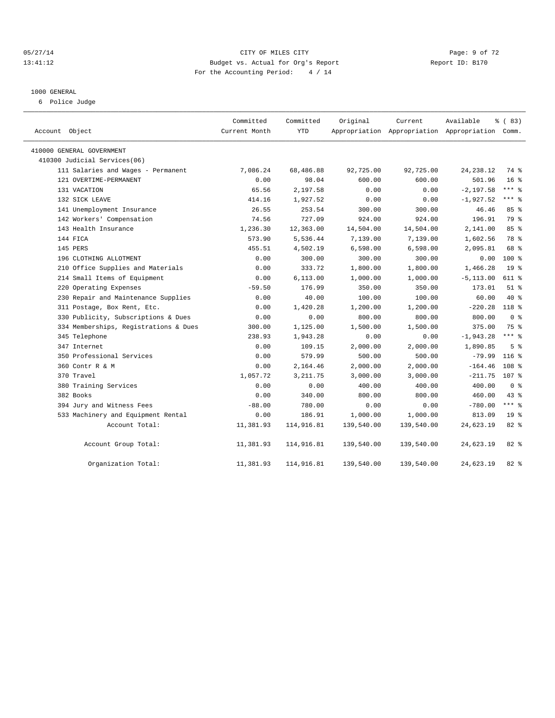#### 05/27/14 Page: 9 of 72 13:41:12 Budget vs. Actual for Org's Report Report ID: B170 For the Accounting Period: 4 / 14

#### 1000 GENERAL

6 Police Judge

| Account Object                        | Committed<br>Current Month | Committed<br><b>YTD</b> | Original   | Current<br>Appropriation Appropriation Appropriation Comm. | Available    | % (83)           |
|---------------------------------------|----------------------------|-------------------------|------------|------------------------------------------------------------|--------------|------------------|
| 410000 GENERAL GOVERNMENT             |                            |                         |            |                                                            |              |                  |
| 410300 Judicial Services(06)          |                            |                         |            |                                                            |              |                  |
| 111 Salaries and Wages - Permanent    | 7,086.24                   | 68,486.88               | 92,725.00  | 92,725.00                                                  | 24, 238.12   | 74 %             |
| 121 OVERTIME-PERMANENT                | 0.00                       | 98.04                   | 600.00     | 600.00                                                     | 501.96       | 16 <sup>8</sup>  |
| 131 VACATION                          | 65.56                      | 2,197.58                | 0.00       | 0.00                                                       | $-2, 197.58$ | $***$ $_{8}$     |
| 132 SICK LEAVE                        | 414.16                     | 1,927.52                | 0.00       | 0.00                                                       | $-1,927.52$  | $***$ $=$        |
| 141 Unemployment Insurance            | 26.55                      | 253.54                  | 300.00     | 300.00                                                     | 46.46        | 85%              |
| 142 Workers' Compensation             | 74.56                      | 727.09                  | 924.00     | 924.00                                                     | 196.91       | 79 %             |
| 143 Health Insurance                  | 1,236.30                   | 12,363.00               | 14,504.00  | 14,504.00                                                  | 2,141.00     | 85%              |
| 144 FICA                              | 573.90                     | 5,536.44                | 7,139.00   | 7,139.00                                                   | 1,602.56     | 78 %             |
| 145 PERS                              | 455.51                     | 4,502.19                | 6,598.00   | 6,598.00                                                   | 2,095.81     | 68 %             |
| 196 CLOTHING ALLOTMENT                | 0.00                       | 300.00                  | 300.00     | 300.00                                                     | 0.00         | $100*$           |
| 210 Office Supplies and Materials     | 0.00                       | 333.72                  | 1,800.00   | 1,800.00                                                   | 1,466.28     | 19 <sup>°</sup>  |
| 214 Small Items of Equipment          | 0.00                       | 6, 113.00               | 1,000.00   | 1,000.00                                                   | $-5, 113.00$ | 611 %            |
| 220 Operating Expenses                | $-59.50$                   | 176.99                  | 350.00     | 350.00                                                     | 173.01       | $51$ %           |
| 230 Repair and Maintenance Supplies   | 0.00                       | 40.00                   | 100.00     | 100.00                                                     | 60.00        | $40*$            |
| 311 Postage, Box Rent, Etc.           | 0.00                       | 1,420.28                | 1,200.00   | 1,200.00                                                   | $-220.28$    | 118 %            |
| 330 Publicity, Subscriptions & Dues   | 0.00                       | 0.00                    | 800.00     | 800.00                                                     | 800.00       | 0 <sup>8</sup>   |
| 334 Memberships, Registrations & Dues | 300.00                     | 1,125.00                | 1,500.00   | 1,500.00                                                   | 375.00       | 75 %             |
| 345 Telephone                         | 238.93                     | 1,943.28                | 0.00       | 0.00                                                       | $-1,943.28$  | $***$ $-$        |
| 347 Internet                          | 0.00                       | 109.15                  | 2,000.00   | 2,000.00                                                   | 1,890.85     | 5 <sup>°</sup>   |
| 350 Professional Services             | 0.00                       | 579.99                  | 500.00     | 500.00                                                     | $-79.99$     | $116$ %          |
| 360 Contr R & M                       | 0.00                       | 2,164.46                | 2,000.00   | 2,000.00                                                   | $-164.46$    | 108 <sup>8</sup> |
| 370 Travel                            | 1,057.72                   | 3, 211.75               | 3,000.00   | 3,000.00                                                   | $-211.75$    | 107 %            |
| 380 Training Services                 | 0.00                       | 0.00                    | 400.00     | 400.00                                                     | 400.00       | 0 <sup>8</sup>   |
| 382 Books                             | 0.00                       | 340.00                  | 800.00     | 800.00                                                     | 460.00       | $43$ $%$         |
| 394 Jury and Witness Fees             | $-88.00$                   | 780.00                  | 0.00       | 0.00                                                       | $-780.00$    | *** %            |
| 533 Machinery and Equipment Rental    | 0.00                       | 186.91                  | 1,000.00   | 1,000.00                                                   | 813.09       | 19 <sup>°</sup>  |
| Account Total:                        | 11,381.93                  | 114,916.81              | 139,540.00 | 139,540.00                                                 | 24,623.19    | $82$ $%$         |
| Account Group Total:                  | 11,381.93                  | 114,916.81              | 139,540.00 | 139,540.00                                                 | 24,623.19    | $82$ $%$         |
| Organization Total:                   | 11,381.93                  | 114,916.81              | 139,540.00 | 139,540.00                                                 | 24,623.19    | $82$ $%$         |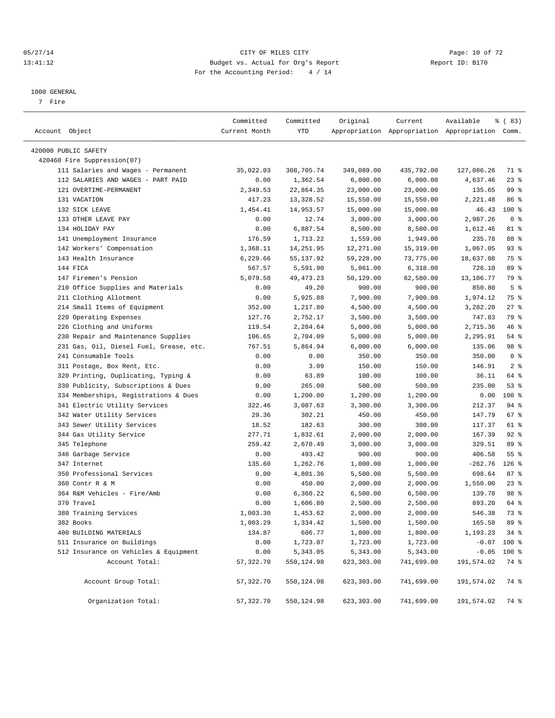#### 05/27/14 Page: 10 of 72 13:41:12 Budget vs. Actual for Org's Report Report ID: B170 For the Accounting Period: 4 / 14

————————————————————————————————————————————————————————————————————————————————————————————————————————————————————————————————————

#### 1000 GENERAL

7 Fire

|                                         | Committed     | Committed   | Original   | Current                                         | Available        | % (83)         |
|-----------------------------------------|---------------|-------------|------------|-------------------------------------------------|------------------|----------------|
| Account Object                          | Current Month | YTD         |            | Appropriation Appropriation Appropriation Comm. |                  |                |
| 420000 PUBLIC SAFETY                    |               |             |            |                                                 |                  |                |
| 420460 Fire Suppression(07)             |               |             |            |                                                 |                  |                |
| 111 Salaries and Wages - Permanent      | 35,022.03     | 308,705.74  | 349,089.00 | 435,792.00                                      | 127,086.26       | 71 %           |
| 112 SALARIES AND WAGES - PART PAID      | 0.00          | 1,362.54    | 6,000.00   | 6,000.00                                        | 4,637.46         | $23$ $%$       |
| 121 OVERTIME-PERMANENT                  | 2,349.53      | 22,864.35   | 23,000.00  | 23,000.00                                       | 135.65           | 99 %           |
| 131 VACATION                            | 417.23        | 13,328.52   | 15,550.00  | 15,550.00                                       | 2,221.48         | 86 %           |
| 132 SICK LEAVE                          | 1,454.41      | 14,953.57   | 15,000.00  | 15,000.00                                       | 46.43            | 100 %          |
| 133 OTHER LEAVE PAY                     | 0.00          | 12.74       | 3,000.00   | 3,000.00                                        | 2,987.26         | 0 <sup>8</sup> |
| 134 HOLIDAY PAY                         | 0.00          | 6,887.54    | 8,500.00   | 8,500.00                                        | 1,612.46         | 81 %           |
| 141 Unemployment Insurance              | 176.59        | 1,713.22    | 1,559.00   | 1,949.00                                        | 235.78           | 88 %           |
| 142 Workers' Compensation               | 1,368.11      | 14, 251.95  | 12,271.00  | 15,319.00                                       | 1,067.05         | $93$ $%$       |
| 143 Health Insurance                    | 6,229.66      | 55,137.92   | 59,228.00  | 73,775.00                                       | 18,637.08        | 75 %           |
| 144 FICA                                | 567.57        | 5,591.90    | 5,061.00   | 6,318.00                                        | 726.10           | 89 %           |
| 147 Firemen's Pension                   | 5,079.58      | 49, 473. 23 | 50,129.00  | 62,580.00                                       | 13,106.77        | 79 %           |
| 210 Office Supplies and Materials       | 0.00          | 49.20       | 900.00     | 900.00                                          | 850.80           | 5 <sup>°</sup> |
| 211 Clothing Allotment                  | 0.00          | 5,925.88    | 7,900.00   | 7,900.00                                        | 1,974.12         | 75 %           |
| 214 Small Items of Equipment            | 352.00        | 1,217.80    | 4,500.00   | 4,500.00                                        | 3,282.20         | $27$ %         |
| 220 Operating Expenses                  | 127.76        | 2,752.17    | 3,500.00   | 3,500.00                                        | 747.83           | 79 %           |
| 226 Clothing and Uniforms               | 119.54        | 2,284.64    | 5,000.00   | 5,000.00                                        | 2,715.36         | 46 %           |
| 230 Repair and Maintenance Supplies     | 106.65        | 2,704.09    | 5,000.00   | 5,000.00                                        | 2,295.91         | 54 %           |
| 231 Gas, Oil, Diesel Fuel, Grease, etc. | 767.51        | 5,864.94    | 6,000.00   | 6,000.00                                        | 135.06           | 98 %           |
| 241 Consumable Tools                    | 0.00          | 0.00        | 350.00     | 350.00                                          | 350.00           | 0 <sup>8</sup> |
| 311 Postage, Box Rent, Etc.             | 0.00          | 3.09        | 150.00     | 150.00                                          | 146.91           | 2 <sup>°</sup> |
| 320 Printing, Duplicating, Typing &     | 0.00          | 63.89       | 100.00     | 100.00                                          | 36.11            | 64 %           |
| 330 Publicity, Subscriptions & Dues     | 0.00          | 265.00      | 500.00     | 500.00                                          | 235.00           | 53%            |
| 334 Memberships, Registrations & Dues   | 0.00          | 1,200.00    | 1,200.00   | 1,200.00                                        | 0.00             | 100 %          |
| 341 Electric Utility Services           | 322.46        | 3,087.63    | 3,300.00   | 3,300.00                                        | 212.37           | 94 %           |
| 342 Water Utility Services              | 29.36         | 302.21      | 450.00     | 450.00                                          | 147.79           | 67%            |
| 343 Sewer Utility Services              | 18.52         | 182.63      | 300.00     | 300.00                                          | 117.37           | 61 %           |
| 344 Gas Utility Service                 | 277.71        | 1,832.61    | 2,000.00   | 2,000.00                                        | 167.39           | $92$ %         |
| 345 Telephone                           | 259.42        | 2,670.49    | 3,000.00   | 3,000.00                                        | 329.51           | 89 %           |
| 346 Garbage Service                     | 0.00          | 493.42      | 900.00     | 900.00                                          | 406.58           | $55$ $%$       |
| 347 Internet                            | 135.60        | 1,262.76    | 1,000.00   | 1,000.00                                        | $-262.76$        | $126$ %        |
| 350 Professional Services               | 0.00          | 4,801.36    | 5,500.00   | 5,500.00                                        | 698.64           | 87%            |
| 360 Contr R & M                         | 0.00          | 450.00      | 2,000.00   | 2,000.00                                        | 1,550.00         | $23$ $%$       |
| 364 R&M Vehicles - Fire/Amb             | 0.00          | 6,360.22    | 6,500.00   | 6,500.00                                        | 139.78           | 98 %           |
| 370 Travel                              | 0.00          | 1,606.80    | 2,500.00   | 2,500.00                                        | 893.20           | 64 %           |
| 380 Training Services                   | 1,003.30      | 1,453.62    | 2,000.00   | 2,000.00                                        | 546.38           | 73 %           |
| 382 Books                               | 1,003.29      | 1,334.42    | 1,500.00   | 1,500.00                                        | 165.58           | 89 %           |
| 400 BUILDING MATERIALS                  | 134.87        | 606.77      | 1,800.00   | 1,800.00                                        | $1, 193.23$ 34 % |                |
| 511 Insurance on Buildings              | 0.00          | 1,723.07    | 1,723.00   | 1,723.00                                        |                  | $-0.07$ 100 %  |
| 512 Insurance on Vehicles & Equipment   | 0.00          | 5,343.05    | 5,343.00   | 5,343.00                                        |                  | $-0.05$ 100 %  |
| Account Total:                          | 57, 322.70    | 550,124.98  | 623,303.00 | 741,699.00                                      | 191,574.02       | 74 %           |
|                                         |               |             |            |                                                 |                  |                |
| Account Group Total:                    | 57, 322.70    | 550,124.98  | 623,303.00 | 741,699.00                                      | 191,574.02       | 74 %           |
| Organization Total:                     | 57, 322.70    | 550,124.98  | 623,303.00 | 741,699.00                                      | 191,574.02       | 74 %           |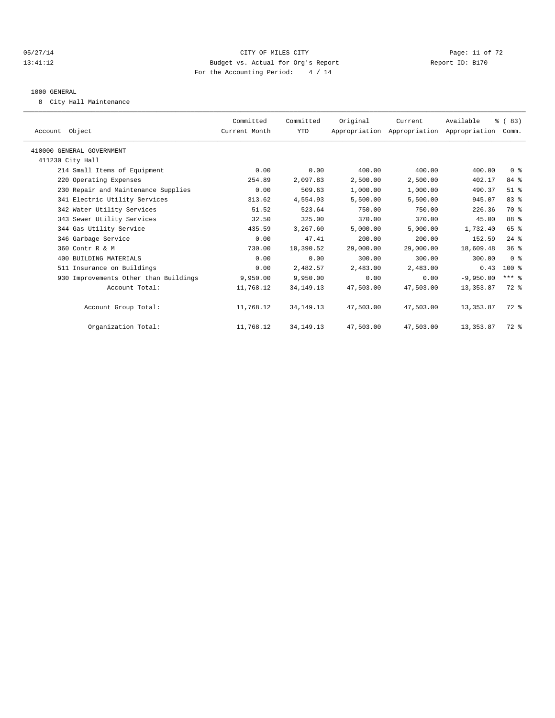#### 05/27/14 Page: 11 of 72 13:41:12 Budget vs. Actual for Org's Report Report ID: B170 For the Accounting Period: 4 / 14

#### 1000 GENERAL

8 City Hall Maintenance

| Account Object                        | Committed<br>Current Month | Committed<br><b>YTD</b> | Original  | Current<br>Appropriation Appropriation Appropriation | Available   | % (83)<br>Comm. |  |
|---------------------------------------|----------------------------|-------------------------|-----------|------------------------------------------------------|-------------|-----------------|--|
| 410000 GENERAL GOVERNMENT             |                            |                         |           |                                                      |             |                 |  |
| 411230 City Hall                      |                            |                         |           |                                                      |             |                 |  |
| 214 Small Items of Equipment          | 0.00                       | 0.00                    | 400.00    | 400.00                                               | 400.00      | 0 <sup>8</sup>  |  |
| 220 Operating Expenses                | 254.89                     | 2,097.83                | 2,500.00  | 2,500.00                                             | 402.17      | 84 %            |  |
| 230 Repair and Maintenance Supplies   | 0.00                       | 509.63                  | 1,000.00  | 1,000.00                                             | 490.37      | $51$ $%$        |  |
| 341 Electric Utility Services         | 313.62                     | 4,554.93                | 5,500.00  | 5,500.00                                             | 945.07      | 83 %            |  |
| 342 Water Utility Services            | 51.52                      | 523.64                  | 750.00    | 750.00                                               | 226.36      | 70 %            |  |
| 343 Sewer Utility Services            | 32.50                      | 325.00                  | 370.00    | 370.00                                               | 45.00       | 88 %            |  |
| 344 Gas Utility Service               | 435.59                     | 3,267.60                | 5,000.00  | 5,000.00                                             | 1,732.40    | 65 %            |  |
| 346 Garbage Service                   | 0.00                       | 47.41                   | 200.00    | 200.00                                               | 152.59      | $24$ $%$        |  |
| 360 Contr R & M                       | 730.00                     | 10,390.52               | 29,000.00 | 29,000.00                                            | 18,609.48   | 36 <sup>8</sup> |  |
| 400 BUILDING MATERIALS                | 0.00                       | 0.00                    | 300.00    | 300.00                                               | 300.00      | 0 <sup>8</sup>  |  |
| 511 Insurance on Buildings            | 0.00                       | 2,482.57                | 2,483.00  | 2,483.00                                             | 0.43        | $100*$          |  |
| 930 Improvements Other than Buildings | 9,950.00                   | 9,950.00                | 0.00      | 0.00                                                 | $-9,950,00$ | $***$ $-$       |  |
| Account Total:                        | 11,768.12                  | 34, 149. 13             | 47,503.00 | 47,503.00                                            | 13, 353.87  | 72 %            |  |
| Account Group Total:                  | 11,768.12                  | 34, 149. 13             | 47,503.00 | 47,503.00                                            | 13,353.87   | 72 %            |  |
| Organization Total:                   | 11,768.12                  | 34, 149. 13             | 47,503.00 | 47,503.00                                            | 13, 353.87  | 72 %            |  |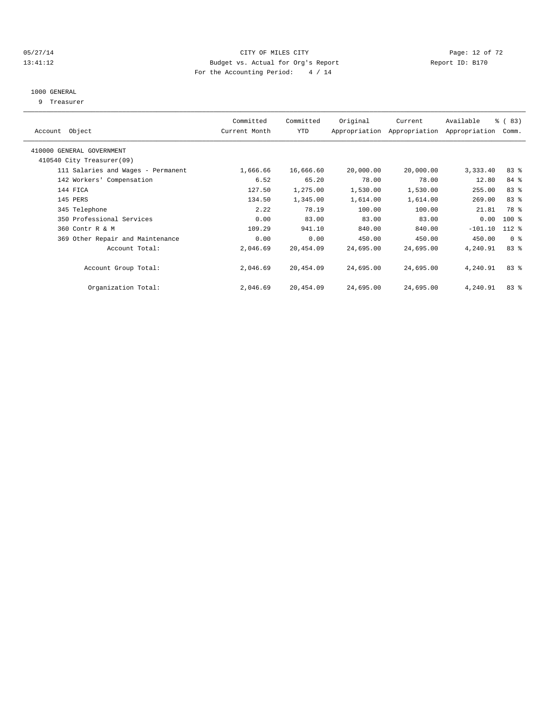#### 05/27/14 Page: 12 of 72 13:41:12 Budget vs. Actual for Org's Report Report ID: B170 For the Accounting Period: 4 / 14

#### 1000 GENERAL

9 Treasurer

| Account Object                     | Committed<br>Current Month | Committed<br>YTD | Original  | Current<br>Appropriation Appropriation | Available<br>Appropriation | % (83)<br>Comm. |  |
|------------------------------------|----------------------------|------------------|-----------|----------------------------------------|----------------------------|-----------------|--|
|                                    |                            |                  |           |                                        |                            |                 |  |
| 410000 GENERAL GOVERNMENT          |                            |                  |           |                                        |                            |                 |  |
| 410540 City Treasurer(09)          |                            |                  |           |                                        |                            |                 |  |
| 111 Salaries and Wages - Permanent | 1,666.66                   | 16,666.60        | 20,000.00 | 20,000.00                              | 3,333.40                   | 83%             |  |
| 142 Workers' Compensation          | 6.52                       | 65.20            | 78.00     | 78.00                                  | 12.80                      | 84 %            |  |
| 144 FICA                           | 127.50                     | 1,275.00         | 1,530.00  | 1,530.00                               | 255.00                     | 83 %            |  |
| 145 PERS                           | 134.50                     | 1,345.00         | 1,614.00  | 1,614.00                               | 269.00                     | 83 %            |  |
| 345 Telephone                      | 2.22                       | 78.19            | 100.00    | 100.00                                 | 21.81                      | 78 %            |  |
| 350 Professional Services          | 0.00                       | 83.00            | 83.00     | 83.00                                  | 0.00                       | $100$ %         |  |
| 360 Contr R & M                    | 109.29                     | 941.10           | 840.00    | 840.00                                 | $-101.10$                  | $112*$          |  |
| 369 Other Repair and Maintenance   | 0.00                       | 0.00             | 450.00    | 450.00                                 | 450.00                     | 0 <sup>8</sup>  |  |
| Account Total:                     | 2,046.69                   | 20,454.09        | 24,695.00 | 24,695.00                              | 4,240.91                   | 83%             |  |
|                                    |                            |                  |           |                                        |                            |                 |  |
| Account Group Total:               | 2,046.69                   | 20,454.09        | 24,695.00 | 24,695.00                              | 4,240.91                   | 83%             |  |
|                                    |                            |                  |           |                                        |                            |                 |  |
| Organization Total:                | 2,046.69                   | 20,454.09        | 24,695.00 | 24,695.00                              | 4,240.91                   | 83%             |  |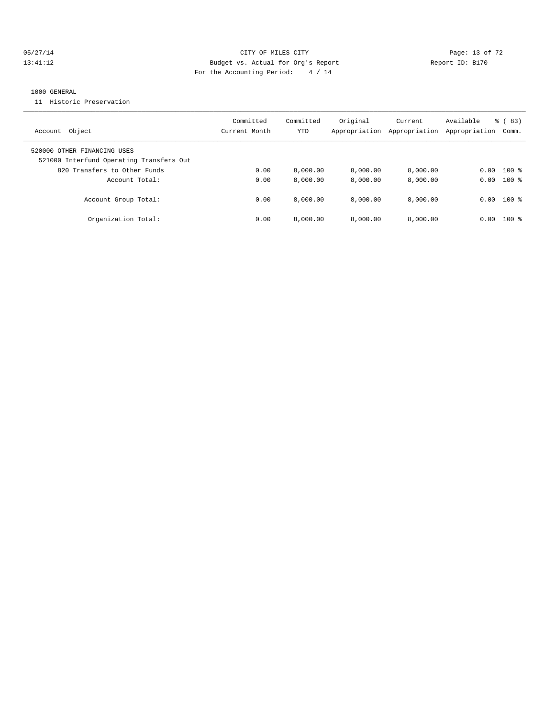#### 05/27/14 Page: 13 of 72 13:41:12 Budget vs. Actual for Org's Report Report ID: B170 For the Accounting Period: 4 / 14

#### 1000 GENERAL

11 Historic Preservation

| Object<br>Account                                                                                       | Committed<br>Current Month | Committed<br>YTD | Original<br>Appropriation | Current<br>Appropriation | Available<br>Appropriation | $\frac{6}{6}$ (83)<br>Comm. |
|---------------------------------------------------------------------------------------------------------|----------------------------|------------------|---------------------------|--------------------------|----------------------------|-----------------------------|
| 520000 OTHER FINANCING USES<br>521000 Interfund Operating Transfers Out<br>820 Transfers to Other Funds | 0.00                       | 8.000.00         | 8.000.00                  | 8,000.00                 | 0.00                       | $100*$                      |
| Account Total:                                                                                          | 0.00                       | 8,000.00         | 8,000.00                  | 8,000.00                 | 0.00                       | $100*$                      |
| Account Group Total:                                                                                    | 0.00                       | 8.000.00         | 8.000.00                  | 8,000.00                 |                            | $0.00$ 100 %                |
| Organization Total:                                                                                     | 0.00                       | 8,000.00         | 8.000.00                  | 8.000.00                 | 0.00                       | $100*$                      |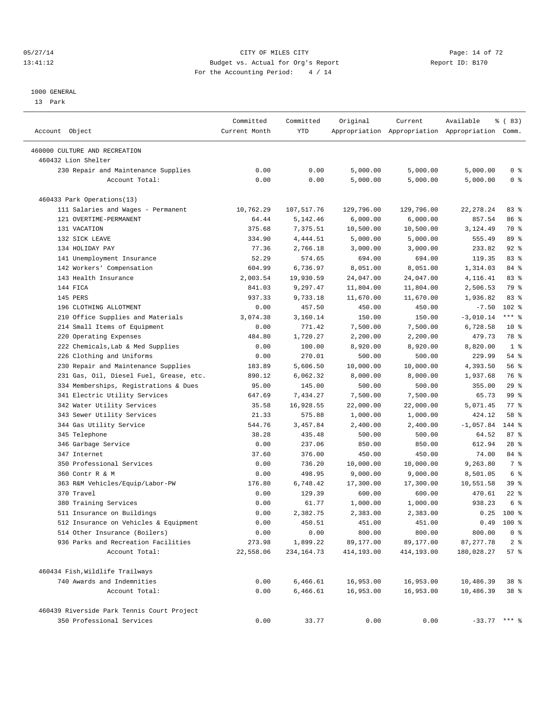#### 05/27/14 Page: 14 of 72 13:41:12 Budget vs. Actual for Org's Report Report ID: B170 For the Accounting Period: 4 / 14

————————————————————————————————————————————————————————————————————————————————————————————————————————————————————————————————————

#### 1000 GENERAL

13 Park

|                                            | Committed     | Committed    | Original   | Current    | Available                                       | १ ( 83)        |
|--------------------------------------------|---------------|--------------|------------|------------|-------------------------------------------------|----------------|
| Account Object                             | Current Month | YTD          |            |            | Appropriation Appropriation Appropriation Comm. |                |
| 460000 CULTURE AND RECREATION              |               |              |            |            |                                                 |                |
| 460432 Lion Shelter                        |               |              |            |            |                                                 |                |
| 230 Repair and Maintenance Supplies        | 0.00          | 0.00         | 5,000.00   | 5,000.00   | 5,000.00                                        | 0 <sup>8</sup> |
| Account Total:                             | 0.00          | 0.00         | 5,000.00   | 5,000.00   | 5,000.00                                        | 0 <sup>8</sup> |
| 460433 Park Operations(13)                 |               |              |            |            |                                                 |                |
| 111 Salaries and Wages - Permanent         | 10,762.29     | 107,517.76   | 129,796.00 | 129,796.00 | 22, 278.24                                      | 83%            |
| 121 OVERTIME-PERMANENT                     | 64.44         | 5,142.46     | 6,000.00   | 6,000.00   | 857.54                                          | 86 %           |
| 131 VACATION                               | 375.68        | 7,375.51     | 10,500.00  | 10,500.00  | 3,124.49                                        | 70 %           |
| 132 SICK LEAVE                             | 334.90        | 4,444.51     | 5,000.00   | 5,000.00   | 555.49                                          | 89 %           |
| 134 HOLIDAY PAY                            | 77.36         | 2,766.18     | 3,000.00   | 3,000.00   | 233.82                                          | $92$ $%$       |
| 141 Unemployment Insurance                 | 52.29         | 574.65       | 694.00     | 694.00     | 119.35                                          | 83%            |
| 142 Workers' Compensation                  | 604.99        | 6,736.97     | 8,051.00   | 8,051.00   | 1,314.03                                        | 84 %           |
| 143 Health Insurance                       | 2,003.54      | 19,930.59    | 24,047.00  | 24,047.00  | 4,116.41                                        | 83%            |
| 144 FICA                                   | 841.03        | 9,297.47     | 11,804.00  | 11,804.00  | 2,506.53                                        | 79 %           |
| 145 PERS                                   | 937.33        | 9,733.18     | 11,670.00  | 11,670.00  | 1,936.82                                        | 83%            |
| 196 CLOTHING ALLOTMENT                     | 0.00          | 457.50       | 450.00     | 450.00     | $-7.50$                                         | $102$ %        |
| 210 Office Supplies and Materials          | 3,074.38      | 3,160.14     | 150.00     | 150.00     | $-3,010.14$                                     | $***$ $%$      |
| 214 Small Items of Equipment               | 0.00          | 771.42       | 7,500.00   | 7,500.00   | 6,728.58                                        | $10*$          |
| 220 Operating Expenses                     | 484.80        | 1,720.27     | 2,200.00   | 2,200.00   | 479.73                                          | 78 %           |
| 222 Chemicals, Lab & Med Supplies          | 0.00          | 100.00       | 8,920.00   | 8,920.00   | 8,820.00                                        | 1 <sup>8</sup> |
| 226 Clothing and Uniforms                  | 0.00          | 270.01       | 500.00     | 500.00     | 229.99                                          | 54 %           |
| 230 Repair and Maintenance Supplies        | 183.89        | 5,606.50     | 10,000.00  | 10,000.00  | 4,393.50                                        | 56%            |
| 231 Gas, Oil, Diesel Fuel, Grease, etc.    | 890.12        | 6,062.32     | 8,000.00   | 8,000.00   | 1,937.68                                        | 76 %           |
| 334 Memberships, Registrations & Dues      | 95.00         | 145.00       | 500.00     | 500.00     | 355.00                                          | 29%            |
| 341 Electric Utility Services              | 647.69        | 7,434.27     | 7,500.00   | 7,500.00   | 65.73                                           | 99 %           |
| 342 Water Utility Services                 | 35.58         | 16,928.55    | 22,000.00  | 22,000.00  | 5,071.45                                        | 77.            |
| 343 Sewer Utility Services                 | 21.33         | 575.88       | 1,000.00   | 1,000.00   | 424.12                                          | 58 %           |
| 344 Gas Utility Service                    | 544.76        | 3,457.84     | 2,400.00   | 2,400.00   | $-1,057.84$                                     | 144 %          |
| 345 Telephone                              | 38.28         | 435.48       | 500.00     | 500.00     | 64.52                                           | 87%            |
| 346 Garbage Service                        | 0.00          | 237.06       | 850.00     | 850.00     | 612.94                                          | $28$ %         |
| 347 Internet                               | 37.60         | 376.00       | 450.00     | 450.00     | 74.00                                           | 84 %           |
| 350 Professional Services                  | 0.00          | 736.20       | 10,000.00  | 10,000.00  | 9,263.80                                        | 7 %            |
| 360 Contr R & M                            | 0.00          | 498.95       | 9,000.00   | 9,000.00   | 8,501.05                                        | 6 %            |
| 363 R&M Vehicles/Equip/Labor-PW            | 176.80        | 6,748.42     | 17,300.00  | 17,300.00  | 10,551.58                                       | 39 %           |
| 370 Travel                                 | 0.00          | 129.39       | 600.00     | 600.00     | 470.61                                          | $22$ %         |
| 380 Training Services                      | 0.00          | 61.77        | 1,000.00   | 1,000.00   | 938.23                                          | 6 %            |
| 511 Insurance on Buildings                 | 0.00          | 2,382.75     | 2,383.00   | 2,383.00   |                                                 | $0.25$ 100 %   |
| 512 Insurance on Vehicles & Equipment      | 0.00          | 450.51       | 451.00     | 451.00     |                                                 | $0.49$ 100 %   |
| 514 Other Insurance (Boilers)              | 0.00          | 0.00         | 800.00     | 800.00     | 800.00                                          | 0 <sup>8</sup> |
| 936 Parks and Recreation Facilities        | 273.98        | 1,899.22     | 89,177.00  | 89,177.00  | 87, 277.78                                      | 2 <sub>8</sub> |
| Account Total:                             | 22,558.06     | 234, 164. 73 | 414,193.00 | 414,193.00 | 180,028.27                                      | 57%            |
| 460434 Fish, Wildlife Trailways            |               |              |            |            |                                                 |                |
| 740 Awards and Indemnities                 | 0.00          | 6,466.61     | 16,953.00  | 16,953.00  | 10,486.39                                       | 38 %           |
| Account Total:                             | 0.00          | 6,466.61     | 16,953.00  | 16,953.00  | 10,486.39                                       | 38 %           |
| 460439 Riverside Park Tennis Court Project |               |              |            |            |                                                 |                |
| 350 Professional Services                  | 0.00          | 33.77        | 0.00       | 0.00       | $-33.77$ *** %                                  |                |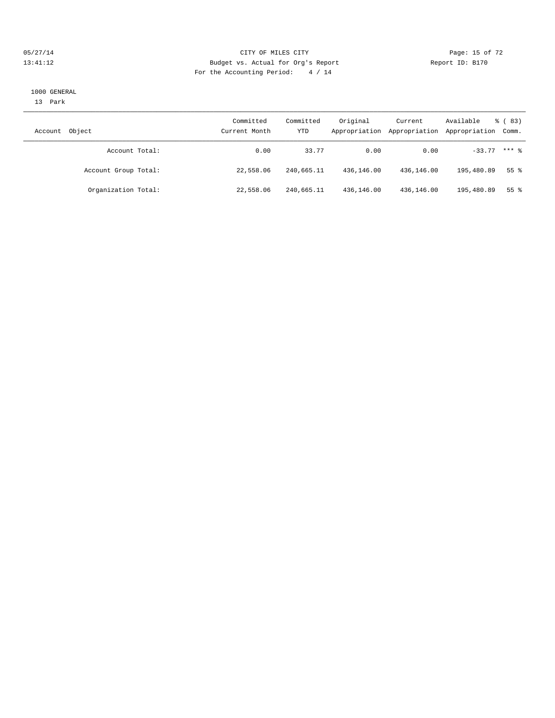#### 05/27/14 Page: 15 of 72 13:41:12 Budget vs. Actual for Org's Report Report ID: B170 For the Accounting Period: 4 / 14

#### 1000 GENERAL

13 Park

| Account | Object               | Committed<br>Current Month | Committed<br>YTD | Original<br>Appropriation | Current<br>Appropriation | Available<br>Appropriation Comm. | ී (83)          |
|---------|----------------------|----------------------------|------------------|---------------------------|--------------------------|----------------------------------|-----------------|
|         | Account Total:       | 0.00                       | 33.77            | 0.00                      | 0.00                     | $-33.77$ *** $%$                 |                 |
|         | Account Group Total: | 22,558.06                  | 240,665.11       | 436,146.00                | 436,146.00               | 195,480.89                       | 55 <sup>8</sup> |
|         | Organization Total:  | 22,558.06                  | 240,665.11       | 436,146.00                | 436,146.00               | 195,480.89                       | 55 %            |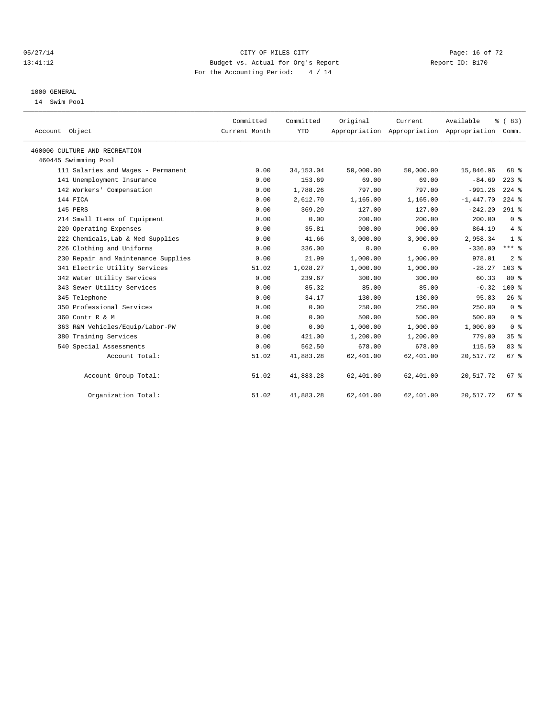#### 05/27/14 Page: 16 of 72 13:41:12 Budget vs. Actual for Org's Report Report ID: B170 For the Accounting Period: 4 / 14

#### 1000 GENERAL

14 Swim Pool

| Account Object                      | Committed<br>Current Month | Committed<br><b>YTD</b> | Original  | Current<br>Appropriation Appropriation Appropriation Comm. | Available   | % (83)           |
|-------------------------------------|----------------------------|-------------------------|-----------|------------------------------------------------------------|-------------|------------------|
| 460000 CULTURE AND RECREATION       |                            |                         |           |                                                            |             |                  |
| 460445 Swimming Pool                |                            |                         |           |                                                            |             |                  |
| 111 Salaries and Wages - Permanent  | 0.00                       | 34, 153.04              | 50,000.00 | 50,000.00                                                  | 15,846.96   | 68 %             |
| 141 Unemployment Insurance          | 0.00                       | 153.69                  | 69.00     | 69.00                                                      | $-84.69$    | $223$ $%$        |
| 142 Workers' Compensation           | 0.00                       | 1,788.26                | 797.00    | 797.00                                                     | $-991.26$   | $224$ $%$        |
| 144 FICA                            | 0.00                       | 2,612.70                | 1,165.00  | 1,165.00                                                   | $-1,447.70$ | $224$ %          |
| 145 PERS                            | 0.00                       | 369.20                  | 127.00    | 127.00                                                     | $-242.20$   | $291$ %          |
| 214 Small Items of Equipment        | 0.00                       | 0.00                    | 200.00    | 200.00                                                     | 200.00      | 0 <sup>8</sup>   |
| 220 Operating Expenses              | 0.00                       | 35.81                   | 900.00    | 900.00                                                     | 864.19      | $4\degree$       |
| 222 Chemicals, Lab & Med Supplies   | 0.00                       | 41.66                   | 3,000.00  | 3,000.00                                                   | 2,958.34    | 1 <sup>8</sup>   |
| 226 Clothing and Uniforms           | 0.00                       | 336.00                  | 0.00      | 0.00                                                       | $-336.00$   | $***$ $_{8}$     |
| 230 Repair and Maintenance Supplies | 0.00                       | 21.99                   | 1,000.00  | 1,000.00                                                   | 978.01      | 2 <sup>8</sup>   |
| 341 Electric Utility Services       | 51.02                      | 1,028.27                | 1,000.00  | 1,000.00                                                   | $-28.27$    | 103 <sup>8</sup> |
| 342 Water Utility Services          | 0.00                       | 239.67                  | 300.00    | 300.00                                                     | 60.33       | $80*$            |
| 343 Sewer Utility Services          | 0.00                       | 85.32                   | 85.00     | 85.00                                                      | $-0.32$     | $100*$           |
| 345 Telephone                       | 0.00                       | 34.17                   | 130.00    | 130.00                                                     | 95.83       | 26%              |
| 350 Professional Services           | 0.00                       | 0.00                    | 250.00    | 250.00                                                     | 250.00      | 0 <sup>8</sup>   |
| 360 Contr R & M                     | 0.00                       | 0.00                    | 500.00    | 500.00                                                     | 500.00      | 0 <sup>8</sup>   |
| 363 R&M Vehicles/Equip/Labor-PW     | 0.00                       | 0.00                    | 1,000.00  | 1,000.00                                                   | 1,000.00    | 0 <sup>8</sup>   |
| 380 Training Services               | 0.00                       | 421.00                  | 1,200.00  | 1,200.00                                                   | 779.00      | 35 <sup>8</sup>  |
| 540 Special Assessments             | 0.00                       | 562.50                  | 678.00    | 678.00                                                     | 115.50      | 83%              |
| Account Total:                      | 51.02                      | 41,883.28               | 62,401.00 | 62,401.00                                                  | 20,517.72   | 67 <sup>8</sup>  |
| Account Group Total:                | 51.02                      | 41,883.28               | 62,401.00 | 62,401.00                                                  | 20,517.72   | 67 <sup>8</sup>  |
| Organization Total:                 | 51.02                      | 41,883.28               | 62,401.00 | 62,401.00                                                  | 20,517.72   | 67 %             |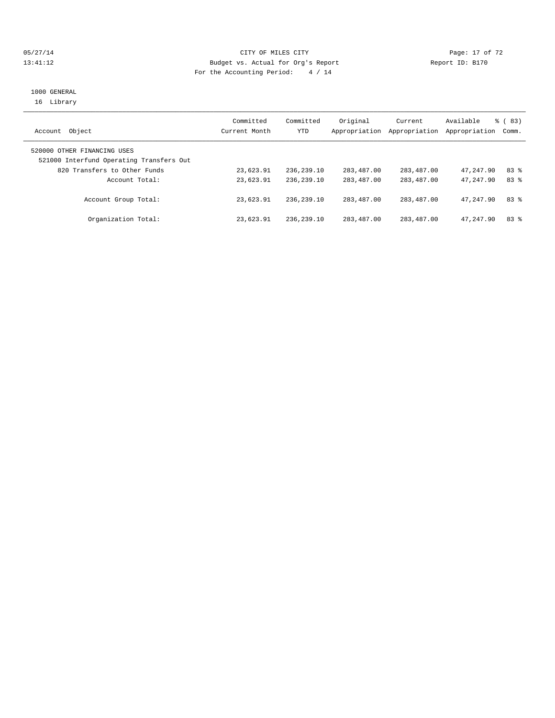#### 05/27/14 Page: 17 of 72 13:41:12 Budget vs. Actual for Org's Report Report ID: B170 For the Accounting Period: 4 / 14

## 1000 GENERAL 16 Library

| Object<br>Account                                                       | Committed<br>Current Month | Committed<br>YTD | Original<br>Appropriation | Current<br>Appropriation | Available<br>Appropriation | % ( 83 )<br>Comm. |
|-------------------------------------------------------------------------|----------------------------|------------------|---------------------------|--------------------------|----------------------------|-------------------|
| 520000 OTHER FINANCING USES<br>521000 Interfund Operating Transfers Out |                            |                  |                           |                          |                            |                   |
| 820 Transfers to Other Funds                                            | 23,623.91                  | 236,239.10       | 283,487.00                | 283,487.00               | 47,247.90                  | 83%               |
| Account Total:                                                          | 23,623.91                  | 236, 239, 10     | 283, 487, 00              | 283,487.00               | 47,247.90                  | 83%               |
| Account Group Total:                                                    | 23,623.91                  | 236, 239, 10     | 283, 487, 00              | 283,487.00               | 47,247.90                  | 83%               |
| Organization Total:                                                     | 23,623.91                  | 236,239.10       | 283,487.00                | 283,487.00               | 47,247.90                  | 83%               |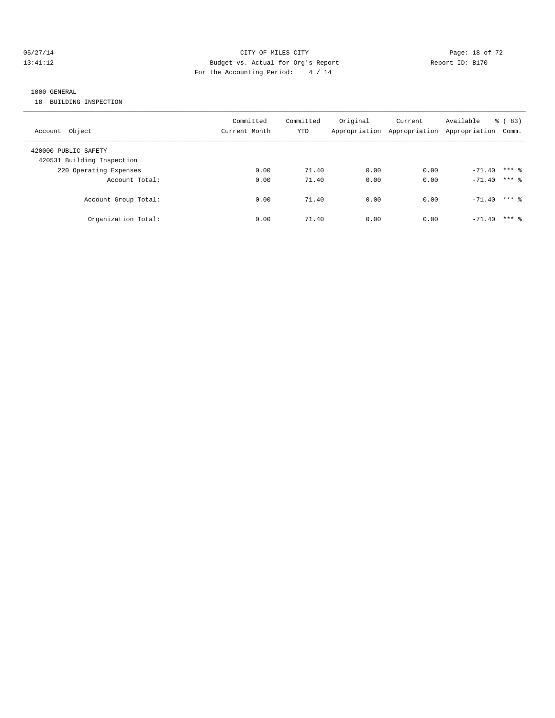#### 05/27/14 Page: 18 of 72 13:41:12 Budget vs. Actual for Org's Report Report ID: B170 For the Accounting Period: 4 / 14

## 1000 GENERAL

18 BUILDING INSPECTION

| Account Object                                     | Committed<br>Current Month | Committed<br>YTD | Original | Current<br>Appropriation Appropriation Appropriation | Available      | $\frac{6}{6}$ (83)<br>Comm. |
|----------------------------------------------------|----------------------------|------------------|----------|------------------------------------------------------|----------------|-----------------------------|
| 420000 PUBLIC SAFETY<br>420531 Building Inspection |                            |                  |          |                                                      |                |                             |
| 220 Operating Expenses                             | 0.00                       | 71.40            | 0.00     | 0.00                                                 | $-71.40$       | $***$ 2                     |
| Account Total:                                     | 0.00                       | 71.40            | 0.00     | 0.00                                                 | $-71.40$ *** & |                             |
| Account Group Total:                               | 0.00                       | 71.40            | 0.00     | 0.00                                                 | $-71.40$       | $***$ 2                     |
| Organization Total:                                | 0.00                       | 71.40            | 0.00     | 0.00                                                 | $-71.40$       | $***$ 2                     |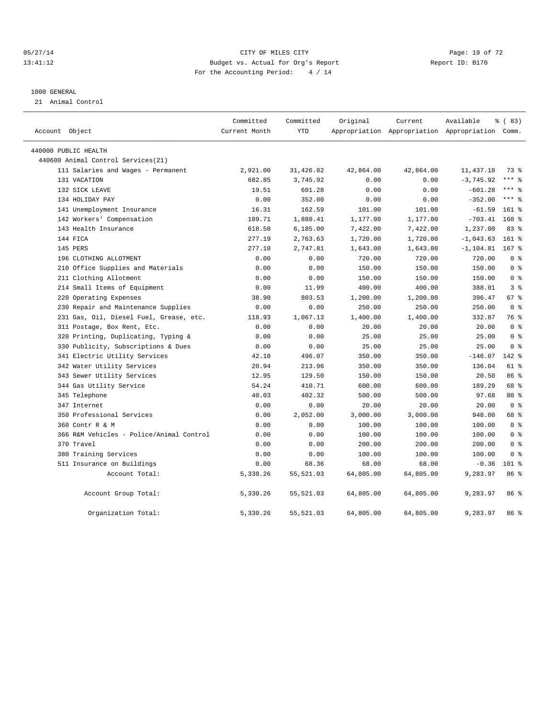#### 05/27/14 Page: 19 of 72 13:41:12 Budget vs. Actual for Org's Report Report ID: B170 For the Accounting Period: 4 / 14

#### 1000 GENERAL

21 Animal Control

| Account Object                           | Committed<br>Current Month | Committed<br><b>YTD</b> | Original  | Current   | Available<br>Appropriation Appropriation Appropriation Comm. | % (83)         |
|------------------------------------------|----------------------------|-------------------------|-----------|-----------|--------------------------------------------------------------|----------------|
| 440000 PUBLIC HEALTH                     |                            |                         |           |           |                                                              |                |
| 440600 Animal Control Services (21)      |                            |                         |           |           |                                                              |                |
| 111 Salaries and Wages - Permanent       | 2,921.00                   | 31,426.82               | 42,864.00 | 42,864.00 | 11, 437.18                                                   | 73 %           |
| 131 VACATION                             | 682.85                     | 3,745.92                | 0.00      | 0.00      | $-3,745.92$                                                  | $***$ $%$      |
| 132 SICK LEAVE                           | 19.51                      | 601.28                  | 0.00      | 0.00      | $-601.28$                                                    | $***$ $_{8}$   |
| 134 HOLIDAY PAY                          | 0.00                       | 352.00                  | 0.00      | 0.00      | $-352.00$                                                    | $***$ $_{8}$   |
| 141 Unemployment Insurance               | 16.31                      | 162.59                  | 101.00    | 101.00    | $-61.59$                                                     | 161 %          |
| 142 Workers' Compensation                | 189.71                     | 1,880.41                | 1,177.00  | 1,177.00  | $-703.41$                                                    | $160*$         |
| 143 Health Insurance                     | 618.50                     | 6, 185.00               | 7,422.00  | 7,422.00  | 1,237.00                                                     | 83%            |
| 144 FICA                                 | 277.19                     | 2,763.63                | 1,720.00  | 1,720.00  | $-1,043.63$                                                  | $161$ %        |
| 145 PERS                                 | 277.10                     | 2,747.81                | 1,643.00  | 1,643.00  | $-1, 104.81$                                                 | 167 %          |
| 196 CLOTHING ALLOTMENT                   | 0.00                       | 0.00                    | 720.00    | 720.00    | 720.00                                                       | 0 <sup>8</sup> |
| 210 Office Supplies and Materials        | 0.00                       | 0.00                    | 150.00    | 150.00    | 150.00                                                       | 0 <sup>8</sup> |
| 211 Clothing Allotment                   | 0.00                       | 0.00                    | 150.00    | 150.00    | 150.00                                                       | 0 <sup>8</sup> |
| 214 Small Items of Equipment             | 0.00                       | 11.99                   | 400.00    | 400.00    | 388.01                                                       | 3 <sup>8</sup> |
| 220 Operating Expenses                   | 38.90                      | 803.53                  | 1,200.00  | 1,200.00  | 396.47                                                       | 67 %           |
| 230 Repair and Maintenance Supplies      | 0.00                       | 0.00                    | 250.00    | 250.00    | 250.00                                                       | 0 <sup>8</sup> |
| 231 Gas, Oil, Diesel Fuel, Grease, etc.  | 118.93                     | 1,067.13                | 1,400.00  | 1,400.00  | 332.87                                                       | 76 %           |
| 311 Postage, Box Rent, Etc.              | 0.00                       | 0.00                    | 20.00     | 20.00     | 20.00                                                        | 0 <sup>8</sup> |
| 320 Printing, Duplicating, Typing &      | 0.00                       | 0.00                    | 25.00     | 25.00     | 25.00                                                        | 0 <sup>8</sup> |
| 330 Publicity, Subscriptions & Dues      | 0.00                       | 0.00                    | 25.00     | 25.00     | 25.00                                                        | 0 <sup>8</sup> |
| 341 Electric Utility Services            | 42.10                      | 496.07                  | 350.00    | 350.00    | $-146.07$                                                    | 142 %          |
| 342 Water Utility Services               | 20.94                      | 213.96                  | 350.00    | 350.00    | 136.04                                                       | 61 %           |
| 343 Sewer Utility Services               | 12.95                      | 129.50                  | 150.00    | 150.00    | 20.50                                                        | 86 %           |
| 344 Gas Utility Service                  | 54.24                      | 410.71                  | 600.00    | 600.00    | 189.29                                                       | 68 %           |
| 345 Telephone                            | 40.03                      | 402.32                  | 500.00    | 500.00    | 97.68                                                        | $80*$          |
| 347 Internet                             | 0.00                       | 0.00                    | 20.00     | 20.00     | 20.00                                                        | 0 <sup>8</sup> |
| 350 Professional Services                | 0.00                       | 2,052.00                | 3,000.00  | 3,000.00  | 948.00                                                       | 68 %           |
| 360 Contr R & M                          | 0.00                       | 0.00                    | 100.00    | 100.00    | 100.00                                                       | 0 <sup>8</sup> |
| 366 R&M Vehicles - Police/Animal Control | 0.00                       | 0.00                    | 100.00    | 100.00    | 100.00                                                       | 0 <sup>8</sup> |
| 370 Travel                               | 0.00                       | 0.00                    | 200.00    | 200.00    | 200.00                                                       | 0 <sup>8</sup> |
| 380 Training Services                    | 0.00                       | 0.00                    | 100.00    | 100.00    | 100.00                                                       | 0 <sup>8</sup> |
| 511 Insurance on Buildings               | 0.00                       | 68.36                   | 68.00     | 68.00     | $-0.36$                                                      | $101$ %        |
| Account Total:                           | 5,330.26                   | 55, 521.03              | 64,805.00 | 64,805.00 | 9,283.97                                                     | 86 %           |
| Account Group Total:                     | 5,330.26                   | 55, 521.03              | 64,805.00 | 64,805.00 | 9,283.97                                                     | 86%            |
| Organization Total:                      | 5,330.26                   | 55, 521.03              | 64,805.00 | 64,805.00 | 9,283.97                                                     | 86 %           |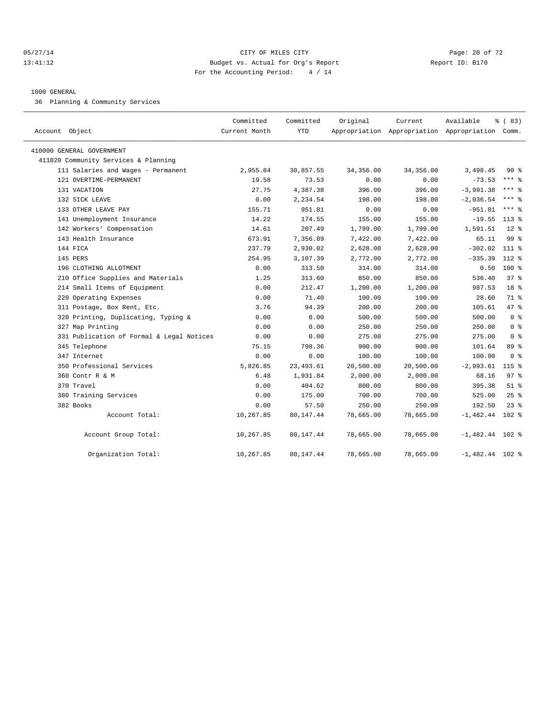#### 05/27/14 Page: 20 of 72 13:41:12 Budget vs. Actual for Org's Report Report ID: B170 For the Accounting Period: 4 / 14

#### 1000 GENERAL

36 Planning & Community Services

| Account Object                            | Committed<br>Current Month | Committed<br><b>YTD</b> | Original  | Current   | Available<br>Appropriation Appropriation Appropriation Comm. | % (83)          |  |
|-------------------------------------------|----------------------------|-------------------------|-----------|-----------|--------------------------------------------------------------|-----------------|--|
|                                           |                            |                         |           |           |                                                              |                 |  |
| 410000 GENERAL GOVERNMENT                 |                            |                         |           |           |                                                              |                 |  |
| 411020 Community Services & Planning      |                            |                         |           |           |                                                              |                 |  |
| 111 Salaries and Wages - Permanent        | 2,955.84                   | 30,857.55               | 34,356.00 | 34,356.00 | 3,498.45                                                     | $90*$           |  |
| 121 OVERTIME-PERMANENT                    | 19.58                      | 73.53                   | 0.00      | 0.00      | $-73.53$                                                     | $***$ 8         |  |
| 131 VACATION                              | 27.75                      | 4,387.38                | 396.00    | 396.00    | $-3,991.38$                                                  | $***$ $%$       |  |
| 132 SICK LEAVE                            | 0.00                       | 2,234.54                | 198.00    | 198.00    | $-2,036.54$                                                  | $***$ $%$       |  |
| 133 OTHER LEAVE PAY                       | 155.71                     | 951.81                  | 0.00      | 0.00      | $-951.81$                                                    | *** 음           |  |
| 141 Unemployment Insurance                | 14.22                      | 174.55                  | 155.00    | 155.00    | $-19.55$                                                     | $113*$          |  |
| 142 Workers' Compensation                 | 14.61                      | 207.49                  | 1,799.00  | 1,799.00  | 1,591.51                                                     | $12*$           |  |
| 143 Health Insurance                      | 673.91                     | 7,356.89                | 7,422.00  | 7,422.00  | 65.11                                                        | 99 <sup>8</sup> |  |
| 144 FICA                                  | 237.79                     | 2,930.02                | 2,628.00  | 2,628.00  | $-302.02$                                                    | 111 %           |  |
| 145 PERS                                  | 254.95                     | 3,107.39                | 2,772.00  | 2,772.00  | $-335.39$                                                    | 112 %           |  |
| 196 CLOTHING ALLOTMENT                    | 0.00                       | 313.50                  | 314.00    | 314.00    | 0.50                                                         | 100 %           |  |
| 210 Office Supplies and Materials         | 1.25                       | 313.60                  | 850.00    | 850.00    | 536.40                                                       | 37%             |  |
| 214 Small Items of Equipment              | 0.00                       | 212.47                  | 1,200.00  | 1,200.00  | 987.53                                                       | 18 <sup>8</sup> |  |
| 220 Operating Expenses                    | 0.00                       | 71.40                   | 100.00    | 100.00    | 28.60                                                        | 71 %            |  |
| 311 Postage, Box Rent, Etc.               | 3.76                       | 94.39                   | 200.00    | 200.00    | 105.61                                                       | 47 %            |  |
| 320 Printing, Duplicating, Typing &       | 0.00                       | 0.00                    | 500.00    | 500.00    | 500.00                                                       | 0 <sup>8</sup>  |  |
| 327 Map Printing                          | 0.00                       | 0.00                    | 250.00    | 250.00    | 250.00                                                       | 0 <sup>8</sup>  |  |
| 331 Publication of Formal & Legal Notices | 0.00                       | 0.00                    | 275.00    | 275.00    | 275.00                                                       | 0 <sup>8</sup>  |  |
| 345 Telephone                             | 75.15                      | 798.36                  | 900.00    | 900.00    | 101.64                                                       | 89%             |  |
| 347 Internet                              | 0.00                       | 0.00                    | 100.00    | 100.00    | 100.00                                                       | 0 <sup>8</sup>  |  |
| 350 Professional Services                 | 5,826.85                   | 23, 493.61              | 20,500.00 | 20,500.00 | $-2,993.61$                                                  | $115$ %         |  |
| 360 Contr R & M                           | 6.48                       | 1,931.84                | 2,000.00  | 2,000.00  | 68.16                                                        | $97$ %          |  |
| 370 Travel                                | 0.00                       | 404.62                  | 800.00    | 800.00    | 395.38                                                       | $51$ $%$        |  |
| 380 Training Services                     | 0.00                       | 175.00                  | 700.00    | 700.00    | 525.00                                                       | 25%             |  |
| 382 Books                                 | 0.00                       | 57.50                   | 250.00    | 250.00    | 192.50                                                       | $23$ $%$        |  |
| Account Total:                            | 10,267.85                  | 80,147.44               | 78,665.00 | 78,665.00 | $-1,482.44$                                                  | 102 %           |  |
| Account Group Total:                      | 10,267.85                  | 80,147.44               | 78,665.00 | 78,665.00 | $-1,482.44$ 102 %                                            |                 |  |
| Organization Total:                       | 10,267.85                  | 80,147.44               | 78,665.00 | 78,665.00 | $-1,482.44$ 102 %                                            |                 |  |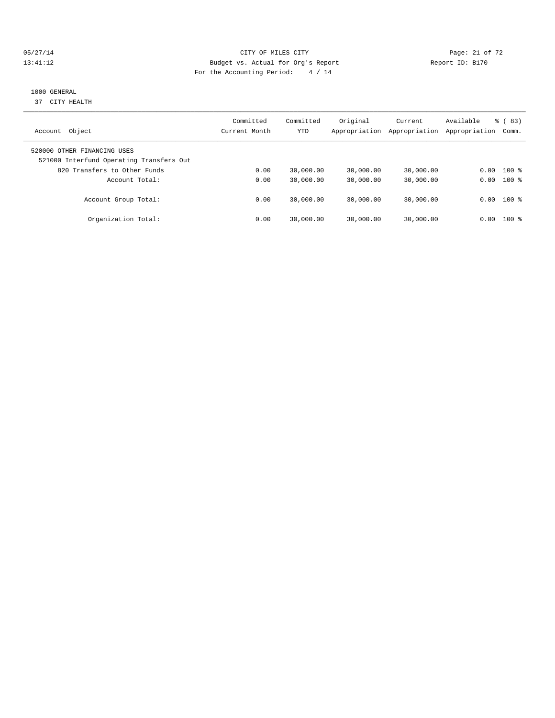#### 05/27/14 Page: 21 of 72 13:41:12 Budget vs. Actual for Org's Report Report ID: B170 For the Accounting Period: 4 / 14

## 1000 GENERAL

37 CITY HEALTH

| Object<br>Account                                                       | Committed<br>Current Month | Committed<br><b>YTD</b> | Original<br>Appropriation | Current<br>Appropriation | Available<br>Appropriation | $\frac{6}{6}$ (83)<br>Comm. |
|-------------------------------------------------------------------------|----------------------------|-------------------------|---------------------------|--------------------------|----------------------------|-----------------------------|
| 520000 OTHER FINANCING USES<br>521000 Interfund Operating Transfers Out |                            |                         |                           |                          |                            |                             |
| 820 Transfers to Other Funds                                            | 0.00                       | 30,000.00               | 30,000.00                 | 30,000.00                | 0.00                       | $100*$                      |
| Account Total:                                                          | 0.00                       | 30,000.00               | 30,000.00                 | 30,000.00                | 0.00                       | $100*$                      |
| Account Group Total:                                                    | 0.00                       | 30,000.00               | 30,000.00                 | 30,000.00                |                            | $0.00$ 100 %                |
| Organization Total:                                                     | 0.00                       | 30,000.00               | 30,000.00                 | 30,000.00                | 0.00                       | $100*$                      |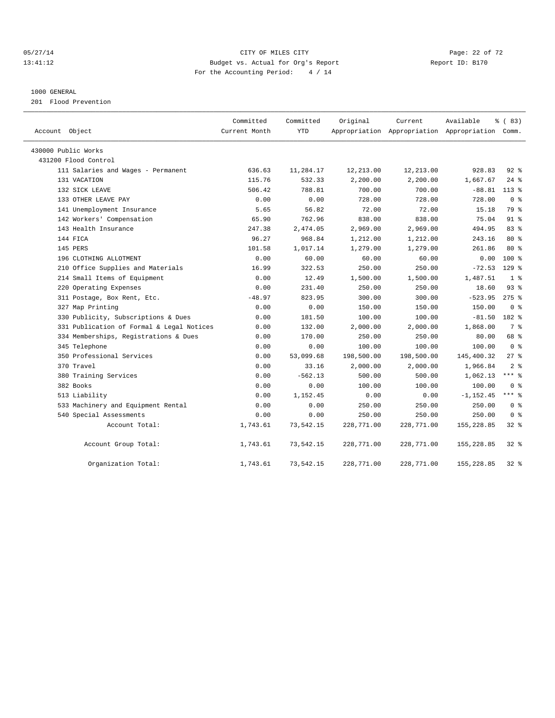## 05/27/14 Page: 22 of 72 13:41:12 Budget vs. Actual for Org's Report Report ID: B170 For the Accounting Period: 4 / 14

#### 1000 GENERAL

201 Flood Prevention

| Account Object                            | Committed<br>Current Month | Committed<br><b>YTD</b> | Original   | Current<br>Appropriation Appropriation Appropriation Comm. | Available    | % (83)         |
|-------------------------------------------|----------------------------|-------------------------|------------|------------------------------------------------------------|--------------|----------------|
| 430000 Public Works                       |                            |                         |            |                                                            |              |                |
| 431200 Flood Control                      |                            |                         |            |                                                            |              |                |
| 111 Salaries and Wages - Permanent        | 636.63                     | 11,284.17               | 12,213.00  | 12,213.00                                                  | 928.83       | $92*$          |
| 131 VACATION                              | 115.76                     | 532.33                  | 2,200.00   | 2,200.00                                                   | 1,667.67     | $24$ %         |
| 132 SICK LEAVE                            | 506.42                     | 788.81                  | 700.00     | 700.00                                                     | $-88.81$     | $113*$         |
| 133 OTHER LEAVE PAY                       | 0.00                       | 0.00                    | 728.00     | 728.00                                                     | 728.00       | 0 <sup>8</sup> |
| 141 Unemployment Insurance                | 5.65                       | 56.82                   | 72.00      | 72.00                                                      | 15.18        | 79 %           |
| 142 Workers' Compensation                 | 65.90                      | 762.96                  | 838.00     | 838.00                                                     | 75.04        | $91*$          |
| 143 Health Insurance                      | 247.38                     | 2,474.05                | 2,969.00   | 2,969.00                                                   | 494.95       | 83%            |
| 144 FICA                                  | 96.27                      | 968.84                  | 1,212.00   | 1,212.00                                                   | 243.16       | $80*$          |
| 145 PERS                                  | 101.58                     | 1,017.14                | 1,279.00   | 1,279.00                                                   | 261.86       | $80*$          |
| 196 CLOTHING ALLOTMENT                    | 0.00                       | 60.00                   | 60.00      | 60.00                                                      | 0.00         | $100*$         |
| 210 Office Supplies and Materials         | 16.99                      | 322.53                  | 250.00     | 250.00                                                     | $-72.53$     | $129$ %        |
| 214 Small Items of Equipment              | 0.00                       | 12.49                   | 1,500.00   | 1,500.00                                                   | 1,487.51     | 1 <sup>8</sup> |
| 220 Operating Expenses                    | 0.00                       | 231.40                  | 250.00     | 250.00                                                     | 18.60        | 93%            |
| 311 Postage, Box Rent, Etc.               | $-48.97$                   | 823.95                  | 300.00     | 300.00                                                     | $-523.95$    | $275$ $%$      |
| 327 Map Printing                          | 0.00                       | 0.00                    | 150.00     | 150.00                                                     | 150.00       | 0 <sup>8</sup> |
| 330 Publicity, Subscriptions & Dues       | 0.00                       | 181.50                  | 100.00     | 100.00                                                     | $-81.50$     | 182 %          |
| 331 Publication of Formal & Legal Notices | 0.00                       | 132.00                  | 2,000.00   | 2,000.00                                                   | 1,868.00     | 7 %            |
| 334 Memberships, Registrations & Dues     | 0.00                       | 170.00                  | 250.00     | 250.00                                                     | 80.00        | 68 %           |
| 345 Telephone                             | 0.00                       | 0.00                    | 100.00     | 100.00                                                     | 100.00       | 0 <sup>8</sup> |
| 350 Professional Services                 | 0.00                       | 53,099.68               | 198,500.00 | 198,500.00                                                 | 145,400.32   | $27$ %         |
| 370 Travel                                | 0.00                       | 33.16                   | 2,000.00   | 2,000.00                                                   | 1,966.84     | 2 <sup>8</sup> |
| 380 Training Services                     | 0.00                       | $-562.13$               | 500.00     | 500.00                                                     | 1,062.13     | $***$ 8        |
| 382 Books                                 | 0.00                       | 0.00                    | 100.00     | 100.00                                                     | 100.00       | 0 <sup>8</sup> |
| 513 Liability                             | 0.00                       | 1,152.45                | 0.00       | 0.00                                                       | $-1, 152.45$ | $***$ 8        |
| 533 Machinery and Equipment Rental        | 0.00                       | 0.00                    | 250.00     | 250.00                                                     | 250.00       | 0 <sup>8</sup> |
| 540 Special Assessments                   | 0.00                       | 0.00                    | 250.00     | 250.00                                                     | 250.00       | 0 <sup>8</sup> |
| Account Total:                            | 1,743.61                   | 73,542.15               | 228,771.00 | 228,771.00                                                 | 155,228.85   | $32$ $%$       |
| Account Group Total:                      | 1,743.61                   | 73,542.15               | 228,771.00 | 228,771.00                                                 | 155, 228.85  | $32*$          |
| Organization Total:                       | 1,743.61                   | 73,542.15               | 228,771.00 | 228,771.00                                                 | 155,228.85   | $32$ $%$       |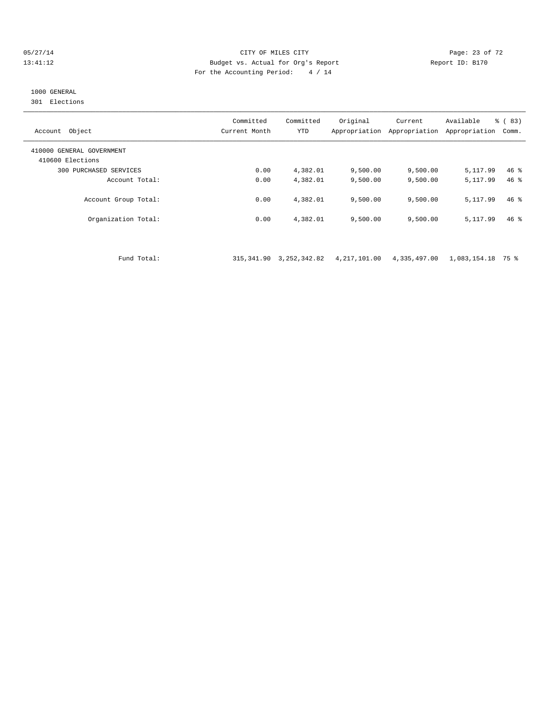#### 05/27/14 Page: 23 of 72 13:41:12 Budget vs. Actual for Org's Report Report ID: B170 For the Accounting Period: 4 / 14

# 1000 GENERAL

301 Elections

| Object<br>Account                             | Committed<br>Current Month | Committed<br><b>YTD</b> | Original<br>Appropriation | Current<br>Appropriation | Available<br>Appropriation | $\frac{6}{6}$ (83)<br>Comm. |
|-----------------------------------------------|----------------------------|-------------------------|---------------------------|--------------------------|----------------------------|-----------------------------|
| 410000 GENERAL GOVERNMENT<br>410600 Elections |                            |                         |                           |                          |                            |                             |
| 300 PURCHASED SERVICES                        | 0.00                       | 4,382.01                | 9,500.00                  | 9,500.00                 | 5,117.99                   | $46$ %                      |
| Account Total:                                | 0.00                       | 4,382.01                | 9,500.00                  | 9,500.00                 | 5, 117, 99                 | $46*$                       |
| Account Group Total:                          | 0.00                       | 4,382.01                | 9,500.00                  | 9,500.00                 | 5, 117, 99                 | $46*$                       |
| Organization Total:                           | 0.00                       | 4,382.01                | 9,500.00                  | 9,500.00                 | 5,117.99                   | $46*$                       |

Fund Total: 315,341.90 3,252,342.82 4,217,101.00 4,335,497.00 1,083,154.18 75 %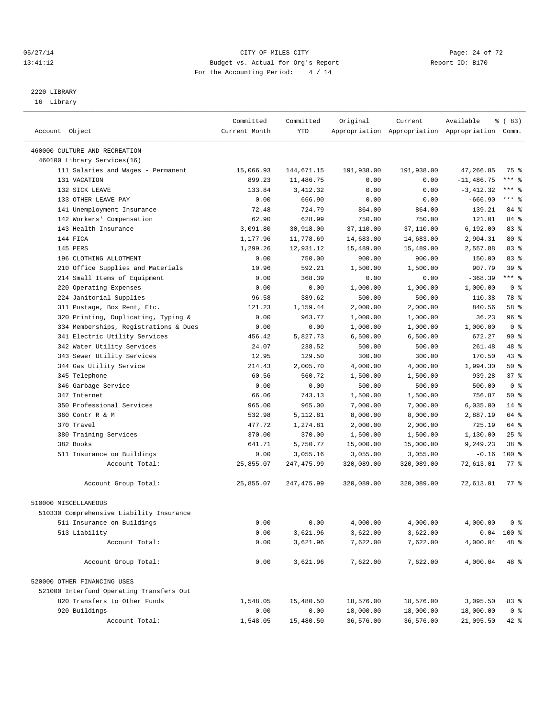#### 05/27/14 Page: 24 of 72 13:41:12 Budget vs. Actual for Org's Report Report ID: B170 For the Accounting Period: 4 / 14

————————————————————————————————————————————————————————————————————————————————————————————————————————————————————————————————————

# 2220 LIBRARY

16 Library

|                                                                          | Committed        | Committed         | Original               | Current                | Available                                       | १ ( 83)               |
|--------------------------------------------------------------------------|------------------|-------------------|------------------------|------------------------|-------------------------------------------------|-----------------------|
| Account Object                                                           | Current Month    | YTD               |                        |                        | Appropriation Appropriation Appropriation Comm. |                       |
|                                                                          |                  |                   |                        |                        |                                                 |                       |
| 460000 CULTURE AND RECREATION<br>460100 Library Services(16)             |                  |                   |                        |                        |                                                 |                       |
| 111 Salaries and Wages - Permanent                                       | 15,066.93        | 144,671.15        | 191,938.00             | 191,938.00             | 47,266.85                                       | 75 %                  |
| 131 VACATION                                                             | 899.23           | 11,486.75         | 0.00                   | 0.00                   | $-11,486.75$                                    | $***$ $-$             |
| 132 SICK LEAVE                                                           | 133.84           | 3,412.32          | 0.00                   | 0.00                   | $-3,412.32$                                     | *** %                 |
| 133 OTHER LEAVE PAY                                                      | 0.00             | 666.90            | 0.00                   | 0.00                   | $-666.90$                                       | $***$ $=$             |
| 141 Unemployment Insurance                                               | 72.48            | 724.79            | 864.00                 | 864.00                 | 139.21                                          | 84 %                  |
| 142 Workers' Compensation                                                | 62.90            | 628.99            | 750.00                 | 750.00                 | 121.01                                          | 84 %                  |
| 143 Health Insurance                                                     | 3,091.80         | 30,918.00         | 37,110.00              | 37,110.00              | 6,192.00                                        | 83%                   |
| 144 FICA                                                                 | 1,177.96         | 11,778.69         | 14,683.00              | 14,683.00              | 2,904.31                                        | $80*$                 |
| 145 PERS                                                                 | 1,299.26         | 12,931.12         | 15,489.00              | 15,489.00              | 2,557.88                                        | 83%                   |
| 196 CLOTHING ALLOTMENT                                                   | 0.00             | 750.00            | 900.00                 | 900.00                 | 150.00                                          | 83%                   |
| 210 Office Supplies and Materials                                        | 10.96            | 592.21            | 1,500.00               | 1,500.00               | 907.79                                          | 39 %                  |
| 214 Small Items of Equipment                                             | 0.00             | 368.39            | 0.00                   | 0.00                   | $-368.39$                                       | $***$ $-$             |
| 220 Operating Expenses                                                   | 0.00             | 0.00              | 1,000.00               | 1,000.00               | 1,000.00                                        | 0 <sup>8</sup>        |
| 224 Janitorial Supplies                                                  | 96.58            | 389.62            | 500.00                 | 500.00                 | 110.38                                          | 78 %                  |
| 311 Postage, Box Rent, Etc.                                              | 121.23           | 1,159.44          | 2,000.00               | 2,000.00               | 840.56                                          | 58 %                  |
| 320 Printing, Duplicating, Typing &                                      | 0.00             | 963.77            | 1,000.00               | 1,000.00               | 36.23                                           | 96%                   |
| 334 Memberships, Registrations & Dues                                    | 0.00             | 0.00              | 1,000.00               | 1,000.00               | 1,000.00                                        | 0 <sup>8</sup>        |
| 341 Electric Utility Services                                            | 456.42           | 5,827.73          | 6,500.00               | 6,500.00               | 672.27                                          | 90%                   |
| 342 Water Utility Services                                               | 24.07            | 238.52            | 500.00                 | 500.00                 | 261.48                                          | 48 %                  |
| 343 Sewer Utility Services                                               | 12.95            | 129.50            | 300.00                 | 300.00                 | 170.50                                          | $43$ $%$              |
| 344 Gas Utility Service                                                  | 214.43           | 2,005.70          | 4,000.00               | 4,000.00               | 1,994.30                                        | $50*$                 |
| 345 Telephone                                                            | 60.56            | 560.72            | 1,500.00               | 1,500.00               | 939.28                                          | 37%                   |
|                                                                          | 0.00             | 0.00              | 500.00                 | 500.00                 | 500.00                                          | 0 <sup>8</sup>        |
| 346 Garbage Service<br>347 Internet                                      | 66.06            | 743.13            | 1,500.00               | 1,500.00               | 756.87                                          | 50%                   |
| 350 Professional Services                                                | 965.00           | 965.00            | 7,000.00               | 7,000.00               | 6,035.00                                        | $14$ %                |
| 360 Contr R & M                                                          | 532.98           | 5,112.81          | 8,000.00               | 8,000.00               | 2,887.19                                        | 64 %                  |
| 370 Travel                                                               | 477.72           | 1,274.81          | 2,000.00               | 2,000.00               | 725.19                                          | 64 %                  |
| 380 Training Services                                                    | 370.00           | 370.00            | 1,500.00               | 1,500.00               | 1,130.00                                        | 25%                   |
| 382 Books                                                                | 641.71           | 5,750.77          | 15,000.00              | 15,000.00              | 9,249.23                                        | 38 %                  |
| 511 Insurance on Buildings                                               | 0.00             | 3,055.16          | 3,055.00               | 3,055.00               | $-0.16$                                         | $100$ %               |
| Account Total:                                                           | 25,855.07        | 247, 475.99       | 320,089.00             | 320,089.00             | 72,613.01                                       | $77$ $%$              |
|                                                                          |                  |                   |                        |                        |                                                 |                       |
| Account Group Total:                                                     | 25,855.07        | 247,475.99        | 320,089.00             | 320,089.00             | 72,613.01                                       | 77 %                  |
| 510000 MISCELLANEOUS                                                     |                  |                   |                        |                        |                                                 |                       |
| 510330 Comprehensive Liability Insurance                                 |                  |                   |                        |                        |                                                 |                       |
| 511 Insurance on Buildings                                               | 0.00             | 0.00              | 4,000.00               | 4,000.00               | 4,000.00                                        | 0 %                   |
| 513 Liability                                                            | 0.00             | 3,621.96          | 3,622.00               | 3,622.00               |                                                 | $0.04$ 100 %          |
| Account Total:                                                           | 0.00             | 3,621.96          | 7,622.00               | 7,622.00               | 4,000.04                                        | 48 %                  |
| Account Group Total:                                                     | 0.00             | 3,621.96          | 7,622.00               | 7,622.00               | 4,000.04                                        | 48 %                  |
| 520000 OTHER FINANCING USES                                              |                  |                   |                        |                        |                                                 |                       |
|                                                                          |                  |                   |                        |                        |                                                 |                       |
| 521000 Interfund Operating Transfers Out<br>820 Transfers to Other Funds |                  |                   |                        |                        |                                                 |                       |
| 920 Buildings                                                            | 1,548.05<br>0.00 | 15,480.50<br>0.00 | 18,576.00<br>18,000.00 | 18,576.00<br>18,000.00 | 3,095.50                                        | 83%<br>0 <sup>8</sup> |
| Account Total:                                                           | 1,548.05         | 15,480.50         | 36,576.00              | 36,576.00              | 18,000.00<br>21,095.50                          | 42 %                  |
|                                                                          |                  |                   |                        |                        |                                                 |                       |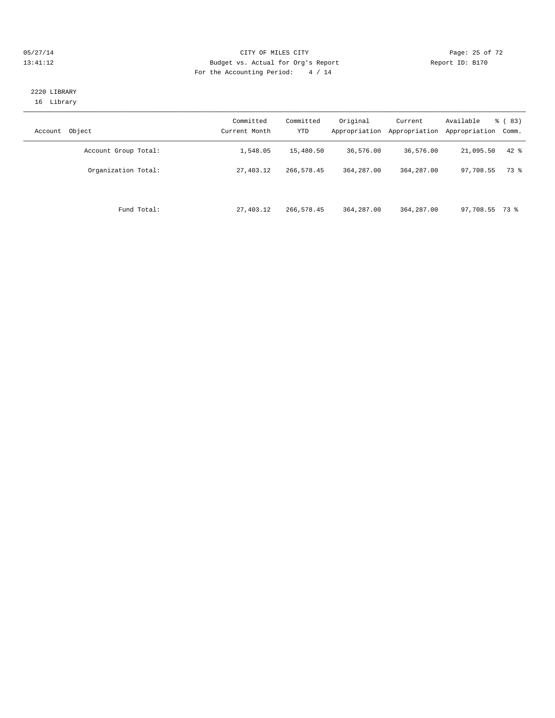#### 05/27/14 Page: 25 of 72 13:41:12 Budget vs. Actual for Org's Report Report ID: B170 For the Accounting Period: 4 / 14

## 2220 LIBRARY 16 Library

| Object<br>Account    | Committed<br>Current Month | Committed<br><b>YTD</b> | Original<br>Appropriation | Current<br>Appropriation | Available<br>Appropriation | $\frac{6}{6}$ (83)<br>Comm. |
|----------------------|----------------------------|-------------------------|---------------------------|--------------------------|----------------------------|-----------------------------|
| Account Group Total: | 1,548.05                   | 15,480.50               | 36,576.00                 | 36,576.00                | 21,095.50                  | $42$ %                      |
| Organization Total:  | 27,403.12                  | 266,578.45              | 364, 287, 00              | 364, 287, 00             | 97,708.55                  | 73 %                        |
| Fund Total:          | 27,403.12                  | 266,578.45              | 364, 287, 00              | 364, 287, 00             | 97,708.55 73 %             |                             |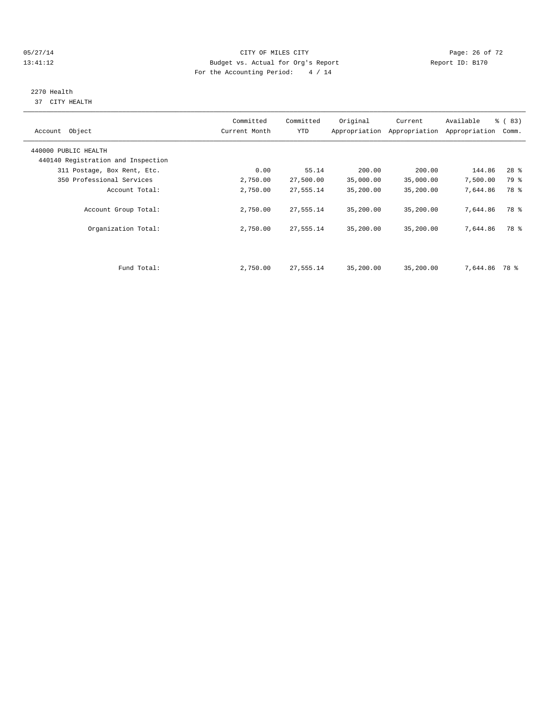05/27/14 Page: 26 of 72 13:41:12 Budget vs. Actual for Org's Report Report ID: B170 For the Accounting Period: 4 / 14

# 2270 Health

37 CITY HEALTH

| Account Object                     | Committed<br>Current Month | Committed<br>YTD | Original  | Current<br>Appropriation Appropriation | Available<br>Appropriation | % (83)<br>Comm. |
|------------------------------------|----------------------------|------------------|-----------|----------------------------------------|----------------------------|-----------------|
| 440000 PUBLIC HEALTH               |                            |                  |           |                                        |                            |                 |
| 440140 Registration and Inspection |                            |                  |           |                                        |                            |                 |
| 311 Postage, Box Rent, Etc.        | 0.00                       | 55.14            | 200.00    | 200.00                                 | 144.86                     | $28$ %          |
| 350 Professional Services          | 2,750.00                   | 27,500.00        | 35,000.00 | 35,000.00                              | 7,500.00                   | 79 %            |
| Account Total:                     | 2,750.00                   | 27,555.14        | 35,200.00 | 35,200.00                              | 7,644.86                   | 78 %            |
| Account Group Total:               | 2,750.00                   | 27,555.14        | 35,200.00 | 35,200.00                              | 7,644.86                   | 78 %            |
| Organization Total:                | 2,750.00                   | 27,555.14        | 35,200.00 | 35,200.00                              | 7,644.86                   | 78 %            |
|                                    |                            |                  |           |                                        |                            |                 |
| Fund Total:                        | 2,750.00                   | 27,555.14        | 35,200.00 | 35,200.00                              | 7,644.86                   | 78 %            |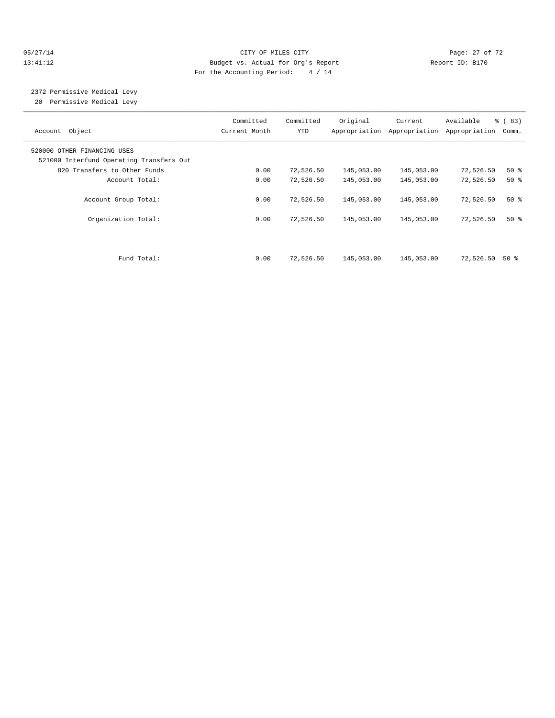#### 05/27/14 Page: 27 of 72 13:41:12 Budget vs. Actual for Org's Report Report ID: B170 For the Accounting Period: 4 / 14

 2372 Permissive Medical Levy 20 Permissive Medical Levy

| Account Object                                                          | Committed<br>Current Month | Committed<br>YTD | Original   | Current<br>Appropriation Appropriation | Available<br>Appropriation | % (83)<br>Comm. |
|-------------------------------------------------------------------------|----------------------------|------------------|------------|----------------------------------------|----------------------------|-----------------|
| 520000 OTHER FINANCING USES<br>521000 Interfund Operating Transfers Out |                            |                  |            |                                        |                            |                 |
| 820 Transfers to Other Funds                                            | 0.00                       | 72,526.50        | 145,053.00 | 145,053.00                             | 72,526.50                  | $50*$           |
| Account Total:                                                          | 0.00                       | 72,526.50        | 145,053.00 | 145,053.00                             | 72,526.50                  | $50*$           |
| Account Group Total:                                                    | 0.00                       | 72,526.50        | 145,053.00 | 145,053.00                             | 72,526.50                  | $50*$           |
| Organization Total:                                                     | 0.00                       | 72,526.50        | 145,053.00 | 145,053.00                             | 72,526.50                  | $50*$           |
|                                                                         |                            |                  |            |                                        |                            |                 |
| Fund Total:                                                             | 0.00                       | 72,526.50        | 145,053.00 | 145,053.00                             | 72,526.50                  | 50 %            |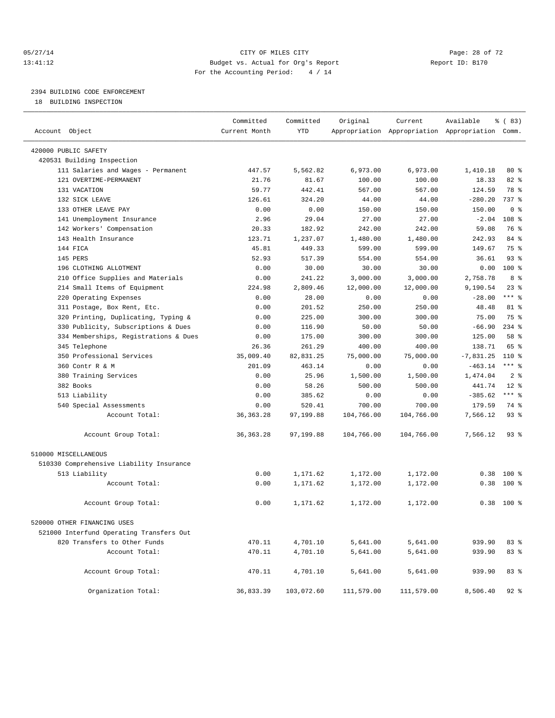#### 05/27/14 Page: 28 of 72 13:41:12 Budget vs. Actual for Org's Report Report ID: B170 For the Accounting Period: 4 / 14

————————————————————————————————————————————————————————————————————————————————————————————————————————————————————————————————————

# 2394 BUILDING CODE ENFORCEMENT

18 BUILDING INSPECTION

|                                          | Committed     | Committed  | Original   | Current    | Available                                       | % (83)         |
|------------------------------------------|---------------|------------|------------|------------|-------------------------------------------------|----------------|
| Account Object                           | Current Month | YTD        |            |            | Appropriation Appropriation Appropriation Comm. |                |
| 420000 PUBLIC SAFETY                     |               |            |            |            |                                                 |                |
| 420531 Building Inspection               |               |            |            |            |                                                 |                |
| 111 Salaries and Wages - Permanent       | 447.57        | 5,562.82   | 6,973.00   | 6,973.00   | 1,410.18                                        | $80*$          |
| 121 OVERTIME-PERMANENT                   | 21.76         | 81.67      | 100.00     | 100.00     | 18.33                                           | $82$ $%$       |
| 131 VACATION                             | 59.77         | 442.41     | 567.00     | 567.00     | 124.59                                          | 78 %           |
| 132 SICK LEAVE                           | 126.61        | 324.20     | 44.00      | 44.00      | $-280.20$                                       | 737 %          |
| 133 OTHER LEAVE PAY                      | 0.00          | 0.00       | 150.00     | 150.00     | 150.00                                          | 0 <sup>8</sup> |
| 141 Unemployment Insurance               | 2.96          | 29.04      | 27.00      | 27.00      | $-2.04$                                         | 108 %          |
| 142 Workers' Compensation                | 20.33         | 182.92     | 242.00     | 242.00     | 59.08                                           | 76 %           |
| 143 Health Insurance                     | 123.71        | 1,237.07   | 1,480.00   | 1,480.00   | 242.93                                          | 84 %           |
| 144 FICA                                 | 45.81         | 449.33     | 599.00     | 599.00     | 149.67                                          | 75 %           |
| 145 PERS                                 | 52.93         | 517.39     | 554.00     | 554.00     | 36.61                                           | 93%            |
| 196 CLOTHING ALLOTMENT                   | 0.00          | 30.00      | 30.00      | 30.00      | 0.00                                            | $100*$         |
| 210 Office Supplies and Materials        | 0.00          | 241.22     | 3,000.00   | 3,000.00   | 2,758.78                                        | 8 %            |
| 214 Small Items of Equipment             | 224.98        | 2,809.46   | 12,000.00  | 12,000.00  | 9,190.54                                        | $23$ $%$       |
| 220 Operating Expenses                   | 0.00          | 28.00      | 0.00       | 0.00       | $-28.00$                                        | $***$ $=$      |
| 311 Postage, Box Rent, Etc.              | 0.00          | 201.52     | 250.00     | 250.00     | 48.48                                           | 81 %           |
| 320 Printing, Duplicating, Typing &      | 0.00          | 225.00     | 300.00     | 300.00     | 75.00                                           | 75 %           |
| 330 Publicity, Subscriptions & Dues      | 0.00          | 116.90     | 50.00      | 50.00      | $-66.90$                                        | $234$ %        |
| 334 Memberships, Registrations & Dues    | 0.00          | 175.00     | 300.00     | 300.00     | 125.00                                          | 58 %           |
| 345 Telephone                            | 26.36         | 261.29     | 400.00     | 400.00     | 138.71                                          | 65 %           |
| 350 Professional Services                | 35,009.40     | 82,831.25  | 75,000.00  | 75,000.00  | $-7,831.25$                                     | 110 %          |
| 360 Contr R & M                          | 201.09        | 463.14     | 0.00       | 0.00       | $-463.14$                                       | $***$ $-$      |
| 380 Training Services                    | 0.00          | 25.96      | 1,500.00   | 1,500.00   | 1,474.04                                        | 2 <sup>°</sup> |
| 382 Books                                | 0.00          | 58.26      | 500.00     | 500.00     | 441.74                                          | $12*$          |
| 513 Liability                            | 0.00          | 385.62     | 0.00       | 0.00       | $-385.62$                                       | $***$ $-$      |
| 540 Special Assessments                  | 0.00          | 520.41     | 700.00     | 700.00     | 179.59                                          | 74 %           |
| Account Total:                           | 36, 363. 28   | 97,199.88  | 104,766.00 | 104,766.00 | 7,566.12                                        | $93$ $%$       |
| Account Group Total:                     | 36, 363. 28   | 97,199.88  | 104,766.00 | 104,766.00 | 7,566.12                                        | $93$ $%$       |
| 510000 MISCELLANEOUS                     |               |            |            |            |                                                 |                |
| 510330 Comprehensive Liability Insurance |               |            |            |            |                                                 |                |
| 513 Liability                            | 0.00          | 1,171.62   | 1,172.00   | 1,172.00   |                                                 | $0.38$ 100 %   |
| Account Total:                           | 0.00          | 1,171.62   | 1,172.00   | 1,172.00   | 0.38                                            | $100*$         |
| Account Group Total:                     | 0.00          | 1,171.62   | 1,172.00   | 1,172.00   |                                                 | $0.38$ 100 %   |
| 520000 OTHER FINANCING USES              |               |            |            |            |                                                 |                |
| 521000 Interfund Operating Transfers Out |               |            |            |            |                                                 |                |
| 820 Transfers to Other Funds             | 470.11        | 4,701.10   | 5,641.00   | 5,641.00   | 939.90                                          | 83%            |
| Account Total:                           | 470.11        | 4,701.10   | 5,641.00   | 5,641.00   | 939.90                                          | 83 %           |
|                                          |               |            |            |            |                                                 |                |
| Account Group Total:                     | 470.11        | 4,701.10   | 5,641.00   | 5,641.00   | 939.90                                          | 83 %           |
| Organization Total:                      | 36,833.39     | 103,072.60 | 111,579.00 | 111,579.00 | 8,506.40                                        | $92$ $%$       |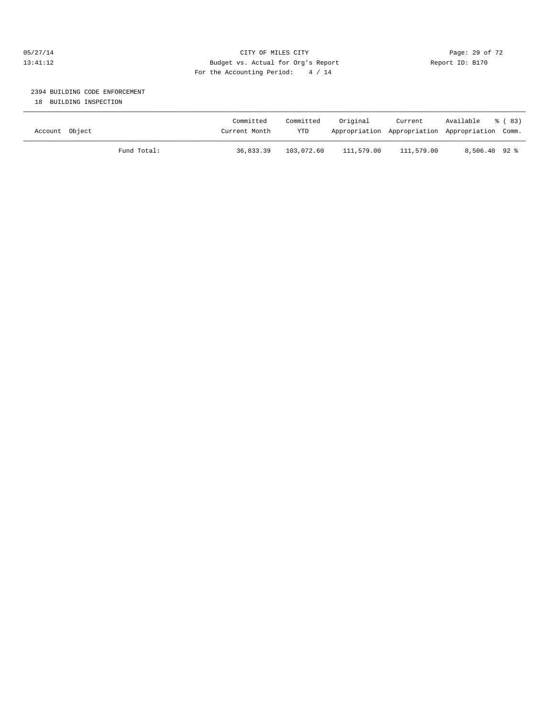## 05/27/14 Page: 29 of 72 13:41:12 Budget vs. Actual for Org's Report Report ID: B170 For the Accounting Period: 4 / 14

# 2394 BUILDING CODE ENFORCEMENT

18 BUILDING INSPECTION

| Account Object |             | Committed<br>Current Month | Committed<br><b>YTD</b> | Original   | Current    | Available<br>Appropriation Appropriation Appropriation Comm. | ී (83) |
|----------------|-------------|----------------------------|-------------------------|------------|------------|--------------------------------------------------------------|--------|
|                | Fund Total: | 36,833.39                  | 103,072.60              | 111,579.00 | 111,579.00 | $8,506.40$ 92 %                                              |        |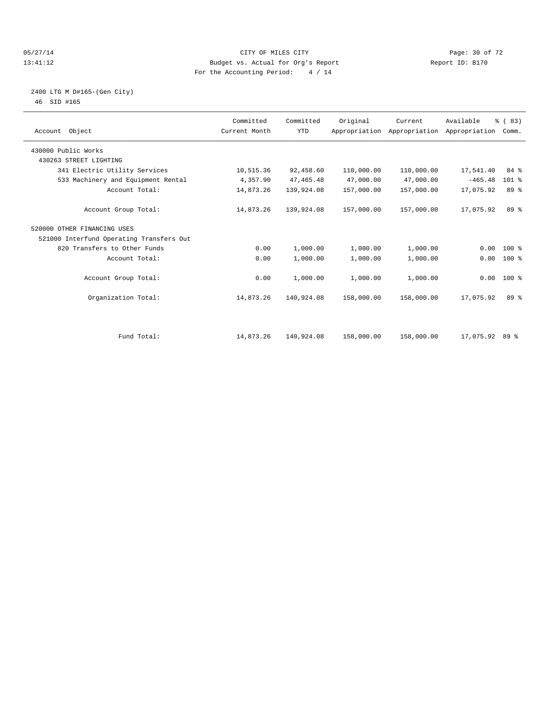#### 05/27/14 Page: 30 of 72 13:41:12 Budget vs. Actual for Org's Report Report ID: B170 For the Accounting Period: 4 / 14

## 2400 LTG M D#165-(Gen City) 46 SID #165

| Account Object                           | Committed<br>Current Month | Committed<br><b>YTD</b> | Original   | Current<br>Appropriation Appropriation Appropriation | Available      | % (83)<br>Comm. |  |
|------------------------------------------|----------------------------|-------------------------|------------|------------------------------------------------------|----------------|-----------------|--|
| 430000 Public Works                      |                            |                         |            |                                                      |                |                 |  |
| 430263 STREET LIGHTING                   |                            |                         |            |                                                      |                |                 |  |
| 341 Electric Utility Services            | 10,515.36                  | 92,458.60               | 110,000.00 | 110,000.00                                           | 17,541.40      | 84 %            |  |
| 533 Machinery and Equipment Rental       | 4,357.90                   | 47, 465.48              | 47,000.00  | 47,000.00                                            | $-465.48$      | $101$ %         |  |
| Account Total:                           | 14,873.26                  | 139,924.08              | 157,000.00 | 157,000.00                                           | 17,075.92      | 89 %            |  |
| Account Group Total:                     | 14,873.26                  | 139,924.08              | 157,000.00 | 157,000.00                                           | 17,075.92      | 89 %            |  |
| 520000 OTHER FINANCING USES              |                            |                         |            |                                                      |                |                 |  |
| 521000 Interfund Operating Transfers Out |                            |                         |            |                                                      |                |                 |  |
| 820 Transfers to Other Funds             | 0.00                       | 1,000.00                | 1,000.00   | 1,000.00                                             | 0.00           | $100*$          |  |
| Account Total:                           | 0.00                       | 1,000.00                | 1,000.00   | 1,000.00                                             | 0.00           | 100 %           |  |
| Account Group Total:                     | 0.00                       | 1,000.00                | 1,000.00   | 1,000.00                                             |                | $0.00$ 100 %    |  |
| Organization Total:                      | 14,873.26                  | 140,924.08              | 158,000.00 | 158,000.00                                           | 17,075.92      | 89 %            |  |
|                                          |                            |                         |            |                                                      |                |                 |  |
| Fund Total:                              | 14,873.26                  | 140,924.08              | 158,000.00 | 158,000.00                                           | 17,075.92 89 % |                 |  |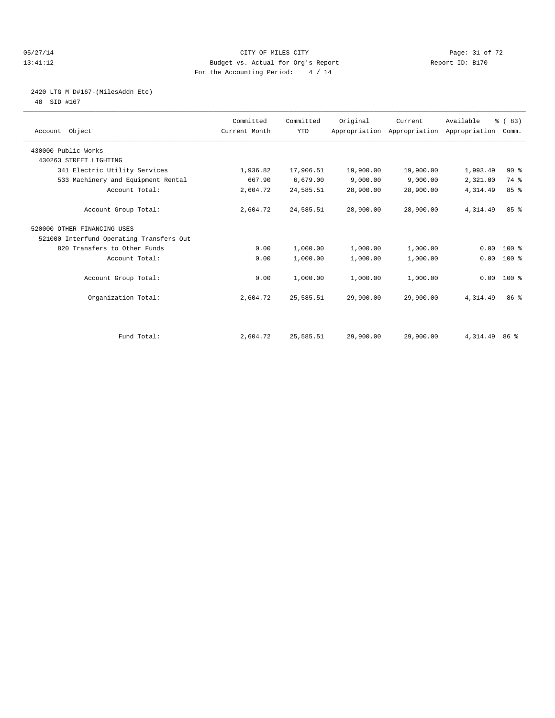#### 05/27/14 Page: 31 of 72 13:41:12 Budget vs. Actual for Org's Report Report ID: B170 For the Accounting Period: 4 / 14

# 2420 LTG M D#167-(MilesAddn Etc)

48 SID #167

| Account Object                           | Committed<br>Current Month | Committed<br><b>YTD</b> | Original  | Current<br>Appropriation Appropriation Appropriation | Available       | % (83)<br>Comm. |  |
|------------------------------------------|----------------------------|-------------------------|-----------|------------------------------------------------------|-----------------|-----------------|--|
| 430000 Public Works                      |                            |                         |           |                                                      |                 |                 |  |
| 430263 STREET LIGHTING                   |                            |                         |           |                                                      |                 |                 |  |
| 341 Electric Utility Services            | 1,936.82                   | 17,906.51               | 19,900.00 | 19,900.00                                            | 1,993.49        | 90%             |  |
| 533 Machinery and Equipment Rental       | 667.90                     | 6,679.00                | 9,000.00  | 9,000.00                                             | 2,321.00        | 74 %            |  |
| Account Total:                           | 2,604.72                   | 24,585.51               | 28,900.00 | 28,900.00                                            | 4,314.49        | 85%             |  |
| Account Group Total:                     | 2,604.72                   | 24,585.51               | 28,900.00 | 28,900.00                                            | 4,314.49        | 85 <sup>8</sup> |  |
| 520000 OTHER FINANCING USES              |                            |                         |           |                                                      |                 |                 |  |
| 521000 Interfund Operating Transfers Out |                            |                         |           |                                                      |                 |                 |  |
| 820 Transfers to Other Funds             | 0.00                       | 1,000.00                | 1,000.00  | 1,000.00                                             | 0.00            | $100*$          |  |
| Account Total:                           | 0.00                       | 1,000.00                | 1,000.00  | 1,000.00                                             | 0.00            | 100 %           |  |
| Account Group Total:                     | 0.00                       | 1,000.00                | 1,000.00  | 1,000.00                                             |                 | $0.00$ 100 %    |  |
| Organization Total:                      | 2,604.72                   | 25,585.51               | 29,900.00 | 29,900.00                                            | 4,314.49        | 86 <sup>8</sup> |  |
|                                          |                            |                         |           |                                                      |                 |                 |  |
| Fund Total:                              | 2,604.72                   | 25,585.51               | 29,900.00 | 29,900.00                                            | 4, 314. 49 86 % |                 |  |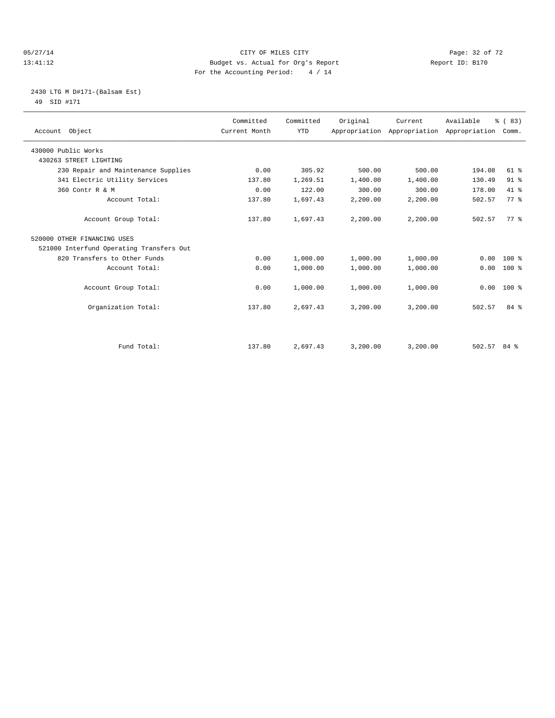#### 05/27/14 Page: 32 of 72 13:41:12 Budget vs. Actual for Org's Report Report ID: B170 For the Accounting Period: 4 / 14

## 2430 LTG M D#171-(Balsam Est) 49 SID #171

| Account Object                           | Committed<br>Current Month | Committed<br><b>YTD</b> | Original | Current<br>Appropriation Appropriation Appropriation | Available | % (83)<br>Comm. |
|------------------------------------------|----------------------------|-------------------------|----------|------------------------------------------------------|-----------|-----------------|
| 430000 Public Works                      |                            |                         |          |                                                      |           |                 |
| 430263 STREET LIGHTING                   |                            |                         |          |                                                      |           |                 |
| 230 Repair and Maintenance Supplies      | 0.00                       | 305.92                  | 500.00   | 500.00                                               | 194.08    | $61$ %          |
| 341 Electric Utility Services            | 137.80                     | 1,269.51                | 1,400.00 | 1,400.00                                             | 130.49    | 91 %            |
| 360 Contr R & M                          | 0.00                       | 122.00                  | 300.00   | 300.00                                               | 178.00    | $41*$           |
| Account Total:                           | 137.80                     | 1,697.43                | 2,200.00 | 2,200.00                                             | 502.57    | 77.8            |
| Account Group Total:                     | 137.80                     | 1,697.43                | 2,200.00 | 2,200.00                                             | 502.57    | $77*$           |
| 520000 OTHER FINANCING USES              |                            |                         |          |                                                      |           |                 |
| 521000 Interfund Operating Transfers Out |                            |                         |          |                                                      |           |                 |
| 820 Transfers to Other Funds             | 0.00                       | 1,000.00                | 1,000.00 | 1,000.00                                             | 0.00      | $100*$          |
| Account Total:                           | 0.00                       | 1,000.00                | 1,000.00 | 1,000.00                                             | 0.00      | $100*$          |
| Account Group Total:                     | 0.00                       | 1,000.00                | 1,000.00 | 1,000.00                                             | 0.00      | $100*$          |
| Organization Total:                      | 137.80                     | 2,697.43                | 3,200.00 | 3,200.00                                             | 502.57    | 84 %            |
| Fund Total:                              | 137.80                     | 2,697.43                | 3,200.00 | 3,200.00                                             | 502.57    | 84%             |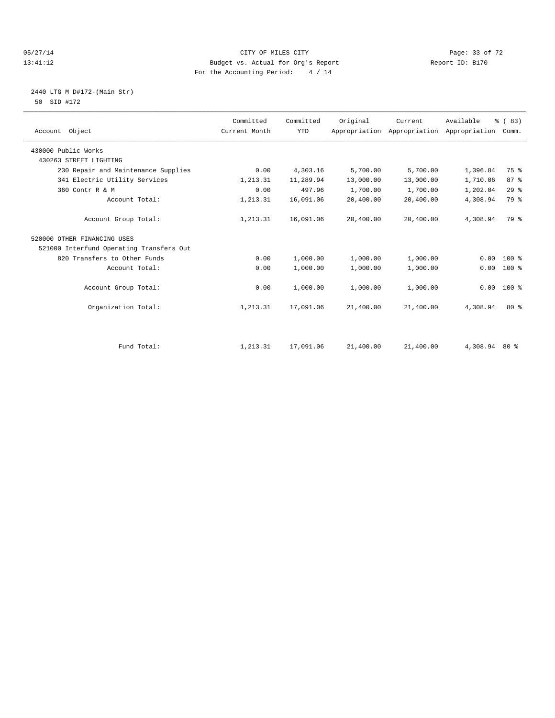#### 05/27/14 Page: 33 of 72 13:41:12 Budget vs. Actual for Org's Report Report ID: B170 For the Accounting Period: 4 / 14

## 2440 LTG M D#172-(Main Str) 50 SID #172

| Account Object                           | Committed<br>Current Month | Committed<br><b>YTD</b> | Original  | Current<br>Appropriation Appropriation | Available<br>Appropriation | % (83)<br>Comm. |  |
|------------------------------------------|----------------------------|-------------------------|-----------|----------------------------------------|----------------------------|-----------------|--|
| 430000 Public Works                      |                            |                         |           |                                        |                            |                 |  |
| 430263 STREET LIGHTING                   |                            |                         |           |                                        |                            |                 |  |
| 230 Repair and Maintenance Supplies      | 0.00                       | 4,303.16                | 5,700.00  | 5,700.00                               | 1,396.84                   | 75 %            |  |
| 341 Electric Utility Services            | 1,213.31                   | 11,289.94               | 13,000.00 | 13,000.00                              | 1,710.06                   | 87 <sup>8</sup> |  |
| 360 Contr R & M                          | 0.00                       | 497.96                  | 1,700.00  | 1,700.00                               | 1,202.04                   | 29%             |  |
| Account Total:                           | 1,213.31                   | 16,091.06               | 20,400.00 | 20,400.00                              | 4,308.94                   | 79 %            |  |
| Account Group Total:                     | 1,213.31                   | 16,091.06               | 20,400.00 | 20,400.00                              | 4,308.94                   | 79 %            |  |
| 520000 OTHER FINANCING USES              |                            |                         |           |                                        |                            |                 |  |
| 521000 Interfund Operating Transfers Out |                            |                         |           |                                        |                            |                 |  |
| 820 Transfers to Other Funds             | 0.00                       | 1,000.00                | 1,000.00  | 1,000.00                               | 0.00                       | $100*$          |  |
| Account Total:                           | 0.00                       | 1,000.00                | 1,000.00  | 1,000.00                               | 0.00                       | $100*$          |  |
| Account Group Total:                     | 0.00                       | 1,000.00                | 1,000.00  | 1,000.00                               | 0.00                       | $100*$          |  |
| Organization Total:                      | 1,213.31                   | 17,091.06               | 21,400.00 | 21,400.00                              | 4,308.94                   | $80*$           |  |
|                                          |                            |                         |           |                                        |                            |                 |  |
| Fund Total:                              | 1,213.31                   | 17,091.06               | 21,400.00 | 21,400.00                              | 4,308.94 80 %              |                 |  |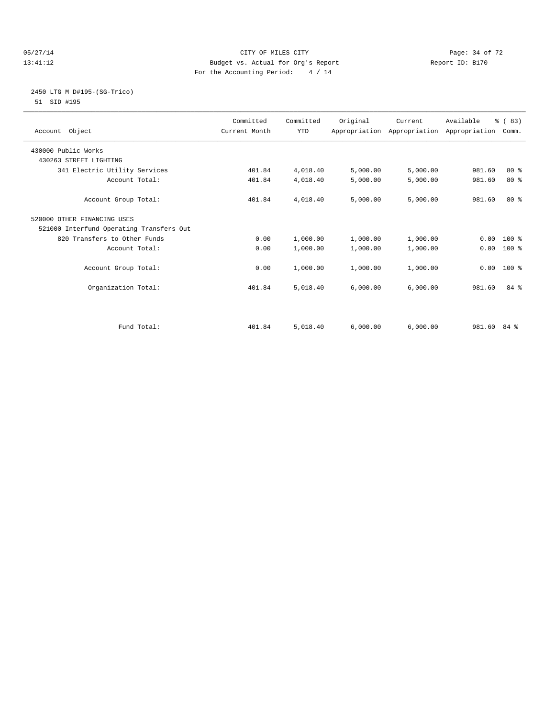#### 05/27/14 Page: 34 of 72 13:41:12 Budget vs. Actual for Org's Report Report ID: B170 For the Accounting Period: 4 / 14

## 2450 LTG M D#195-(SG-Trico) 51 SID #195

|                                          | Committed     | Committed  | Original | Current  | Available                                 | % (83) |  |
|------------------------------------------|---------------|------------|----------|----------|-------------------------------------------|--------|--|
| Account Object                           | Current Month | <b>YTD</b> |          |          | Appropriation Appropriation Appropriation | Comm.  |  |
| 430000 Public Works                      |               |            |          |          |                                           |        |  |
| 430263 STREET LIGHTING                   |               |            |          |          |                                           |        |  |
| 341 Electric Utility Services            | 401.84        | 4,018.40   | 5,000.00 | 5,000.00 | 981.60                                    | $80*$  |  |
| Account Total:                           | 401.84        | 4,018.40   | 5,000.00 | 5,000.00 | 981.60                                    | $80*$  |  |
|                                          |               |            |          |          |                                           |        |  |
| Account Group Total:                     | 401.84        | 4,018.40   | 5,000.00 | 5,000.00 | 981.60                                    | $80*$  |  |
| 520000 OTHER FINANCING USES              |               |            |          |          |                                           |        |  |
| 521000 Interfund Operating Transfers Out |               |            |          |          |                                           |        |  |
| 820 Transfers to Other Funds             | 0.00          | 1,000.00   | 1,000.00 | 1,000.00 | 0.00                                      | 100 %  |  |
| Account Total:                           | 0.00          | 1,000.00   | 1,000.00 | 1,000.00 | 0.00                                      | $100*$ |  |
|                                          |               |            |          |          |                                           |        |  |
| Account Group Total:                     | 0.00          | 1,000.00   | 1,000.00 | 1,000.00 | 0.00                                      | 100 %  |  |
|                                          |               |            |          |          |                                           |        |  |
| Organization Total:                      | 401.84        | 5,018.40   | 6,000.00 | 6,000.00 | 981.60                                    | 84 %   |  |
|                                          |               |            |          |          |                                           |        |  |
|                                          |               |            |          |          |                                           |        |  |
|                                          |               |            |          |          |                                           |        |  |
| Fund Total:                              | 401.84        | 5,018.40   | 6.000.00 | 6,000.00 | 981.60                                    | 84 %   |  |
|                                          |               |            |          |          |                                           |        |  |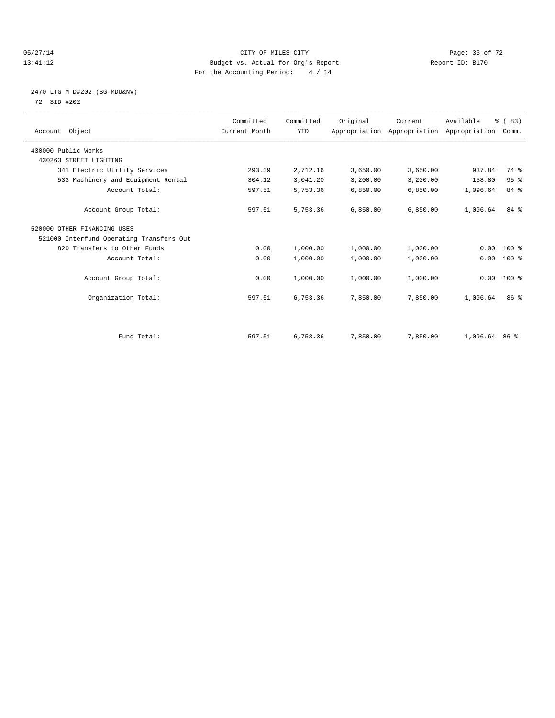#### 05/27/14 Page: 35 of 72 13:41:12 Budget vs. Actual for Org's Report Report ID: B170 For the Accounting Period: 4 / 14

## 2470 LTG M D#202-(SG-MDU&NV) 72 SID #202

| Account Object                           | Committed<br>Current Month | Committed<br><b>YTD</b> | Original | Current<br>Appropriation Appropriation Appropriation | Available       | % (83)<br>Comm. |  |
|------------------------------------------|----------------------------|-------------------------|----------|------------------------------------------------------|-----------------|-----------------|--|
| 430000 Public Works                      |                            |                         |          |                                                      |                 |                 |  |
| 430263 STREET LIGHTING                   |                            |                         |          |                                                      |                 |                 |  |
| 341 Electric Utility Services            | 293.39                     | 2,712.16                | 3,650.00 | 3,650.00                                             | 937.84          | 74 %            |  |
| 533 Machinery and Equipment Rental       | 304.12                     | 3,041.20                | 3,200.00 | 3,200.00                                             | 158.80          | 95%             |  |
| Account Total:                           | 597.51                     | 5,753.36                | 6,850.00 | 6,850.00                                             | 1,096.64        | 84 %            |  |
| Account Group Total:                     | 597.51                     | 5,753.36                | 6.850.00 | 6,850.00                                             | 1,096.64        | 84 %            |  |
| 520000 OTHER FINANCING USES              |                            |                         |          |                                                      |                 |                 |  |
| 521000 Interfund Operating Transfers Out |                            |                         |          |                                                      |                 |                 |  |
| 820 Transfers to Other Funds             | 0.00                       | 1,000.00                | 1,000.00 | 1,000.00                                             | 0.00            | 100 %           |  |
| Account Total:                           | 0.00                       | 1,000.00                | 1,000.00 | 1,000.00                                             | 0.00            | 100 %           |  |
| Account Group Total:                     | 0.00                       | 1,000.00                | 1,000.00 | 1,000.00                                             |                 | $0.00$ 100 %    |  |
| Organization Total:                      | 597.51                     | 6,753.36                | 7,850.00 | 7,850.00                                             | 1,096.64        | 86 <sup>8</sup> |  |
|                                          |                            |                         |          |                                                      |                 |                 |  |
| Fund Total:                              | 597.51                     | 6,753.36                | 7,850.00 | 7,850.00                                             | $1,096.64$ 86 % |                 |  |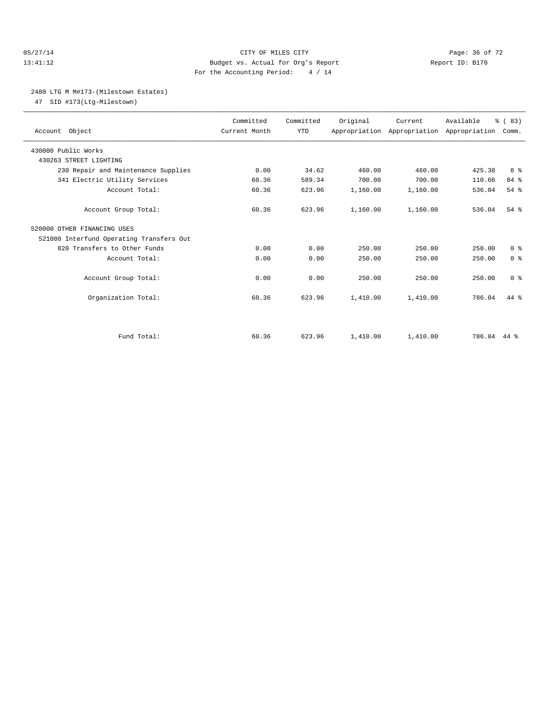#### 05/27/14 Page: 36 of 72 13:41:12 Budget vs. Actual for Org's Report Report ID: B170 For the Accounting Period: 4 / 14

## 2480 LTG M M#173-(Milestown Estates)

47 SID #173(Ltg-Milestown)

| Account Object                           | Committed<br>Current Month | Committed<br><b>YTD</b> | Original | Current<br>Appropriation Appropriation Appropriation | Available   | % (83)<br>Comm. |  |
|------------------------------------------|----------------------------|-------------------------|----------|------------------------------------------------------|-------------|-----------------|--|
| 430000 Public Works                      |                            |                         |          |                                                      |             |                 |  |
| 430263 STREET LIGHTING                   |                            |                         |          |                                                      |             |                 |  |
| 230 Repair and Maintenance Supplies      | 0.00                       | 34.62                   | 460.00   | 460.00                                               | 425.38      | 8 %             |  |
| 341 Electric Utility Services            | 60.36                      | 589.34                  | 700.00   | 700.00                                               | 110.66      | 84 %            |  |
| Account Total:                           | 60.36                      | 623.96                  | 1,160.00 | 1,160.00                                             | 536.04      | 54%             |  |
| Account Group Total:                     | 60.36                      | 623.96                  | 1,160.00 | 1,160.00                                             | 536.04      | $54$ $%$        |  |
| 520000 OTHER FINANCING USES              |                            |                         |          |                                                      |             |                 |  |
| 521000 Interfund Operating Transfers Out |                            |                         |          |                                                      |             |                 |  |
| 820 Transfers to Other Funds             | 0.00                       | 0.00                    | 250.00   | 250.00                                               | 250.00      | 0 <sup>8</sup>  |  |
| Account Total:                           | 0.00                       | 0.00                    | 250.00   | 250.00                                               | 250.00      | 0 <sup>8</sup>  |  |
| Account Group Total:                     | 0.00                       | 0.00                    | 250.00   | 250.00                                               | 250.00      | 0 <sup>8</sup>  |  |
| Organization Total:                      | 60.36                      | 623.96                  | 1,410.00 | 1,410.00                                             | 786.04      | 44 %            |  |
|                                          |                            |                         |          |                                                      |             |                 |  |
| Fund Total:                              | 60.36                      | 623.96                  | 1,410.00 | 1,410.00                                             | 786.04 44 % |                 |  |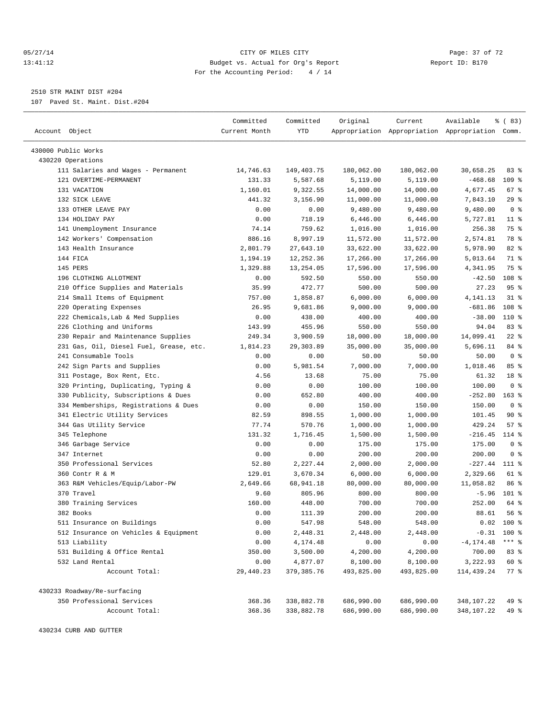#### 05/27/14 Page: 37 of 72 13:41:12 Budget vs. Actual for Org's Report Report ID: B170 For the Accounting Period: 4 / 14

————————————————————————————————————————————————————————————————————————————————————————————————————————————————————————————————————

2510 STR MAINT DIST #204

107 Paved St. Maint. Dist.#204

|                                                                | Committed     | Committed        | Original   | Current                                         | Available               | % (83)                  |  |
|----------------------------------------------------------------|---------------|------------------|------------|-------------------------------------------------|-------------------------|-------------------------|--|
| Account Object                                                 | Current Month | YTD              |            | Appropriation Appropriation Appropriation Comm. |                         |                         |  |
|                                                                |               |                  |            |                                                 |                         |                         |  |
| 430000 Public Works                                            |               |                  |            |                                                 |                         |                         |  |
| 430220 Operations                                              |               |                  |            |                                                 |                         |                         |  |
| 111 Salaries and Wages - Permanent                             | 14,746.63     | 149,403.75       | 180,062.00 | 180,062.00                                      | 30,658.25               | 83%<br>109 <sub>8</sub> |  |
| 121 OVERTIME-PERMANENT                                         | 131.33        | 5,587.68         | 5,119.00   | 5,119.00                                        | $-468.68$               |                         |  |
| 131 VACATION                                                   | 1,160.01      | 9,322.55         | 14,000.00  | 14,000.00                                       | 4,677.45                | 67%                     |  |
| 132 SICK LEAVE                                                 | 441.32        | 3,156.90         | 11,000.00  | 11,000.00                                       | 7,843.10                | 29%<br>0 <sup>8</sup>   |  |
| 133 OTHER LEAVE PAY<br>134 HOLIDAY PAY                         | 0.00          | 0.00             | 9,480.00   | 9,480.00                                        | 9,480.00                |                         |  |
|                                                                | 0.00<br>74.14 | 718.19<br>759.62 | 6,446.00   | 6,446.00                                        | 5,727.81                | $11*$<br>75 %           |  |
| 141 Unemployment Insurance                                     |               |                  | 1,016.00   | 1,016.00                                        | 256.38                  |                         |  |
| 142 Workers' Compensation                                      | 886.16        | 8,997.19         | 11,572.00  | 11,572.00<br>33,622.00                          | 2,574.81<br>5,978.90    | 78 %<br>82 %            |  |
| 143 Health Insurance<br>144 FICA                               | 2,801.79      | 27,643.10        | 33,622.00  |                                                 |                         | 71 %                    |  |
|                                                                | 1,194.19      | 12, 252.36       | 17,266.00  | 17,266.00                                       | 5,013.64                | 75 %                    |  |
| 145 PERS                                                       | 1,329.88      | 13,254.05        | 17,596.00  | 17,596.00                                       | 4,341.95                |                         |  |
| 196 CLOTHING ALLOTMENT                                         | 0.00          | 592.50           | 550.00     | 550.00                                          | $-42.50$                | 108 <sup>8</sup>        |  |
| 210 Office Supplies and Materials                              | 35.99         | 472.77           | 500.00     | 500.00                                          | 27.23                   | 95%                     |  |
| 214 Small Items of Equipment                                   | 757.00        | 1,858.87         | 6,000.00   | 6,000.00                                        | 4, 141. 13<br>$-681.86$ | $31$ $%$                |  |
| 220 Operating Expenses                                         | 26.95         | 9,681.86         | 9,000.00   | 9,000.00                                        |                         | 108 %                   |  |
| 222 Chemicals, Lab & Med Supplies<br>226 Clothing and Uniforms | 0.00          | 438.00           | 400.00     | 400.00                                          | $-38.00$                | $110*$                  |  |
|                                                                | 143.99        | 455.96           | 550.00     | 550.00                                          | 94.04                   | 83%                     |  |
| 230 Repair and Maintenance Supplies                            | 249.34        | 3,900.59         | 18,000.00  | 18,000.00                                       | 14,099.41               | $22$ %                  |  |
| 231 Gas, Oil, Diesel Fuel, Grease, etc.                        | 1,814.23      | 29, 303.89       | 35,000.00  | 35,000.00                                       | 5,696.11                | 84 %                    |  |
| 241 Consumable Tools                                           | 0.00          | 0.00             | 50.00      | 50.00                                           | 50.00                   | 0 <sup>8</sup>          |  |
| 242 Sign Parts and Supplies                                    | 0.00          | 5,981.54         | 7,000.00   | 7,000.00                                        | 1,018.46                | 85%                     |  |
| 311 Postage, Box Rent, Etc.                                    | 4.56          | 13.68            | 75.00      | 75.00                                           | 61.32                   | 18 <sup>8</sup>         |  |
| 320 Printing, Duplicating, Typing &                            | 0.00          | 0.00             | 100.00     | 100.00                                          | 100.00                  | 0 <sup>8</sup>          |  |
| 330 Publicity, Subscriptions & Dues                            | 0.00          | 652.80           | 400.00     | 400.00                                          | $-252.80$               | $163$ %                 |  |
| 334 Memberships, Registrations & Dues                          | 0.00          | 0.00             | 150.00     | 150.00                                          | 150.00                  | 0 <sup>8</sup>          |  |
| 341 Electric Utility Services                                  | 82.59         | 898.55           | 1,000.00   | 1,000.00                                        | 101.45                  | 90%                     |  |
| 344 Gas Utility Service                                        | 77.74         | 570.76           | 1,000.00   | 1,000.00                                        | 429.24                  | 57%                     |  |
| 345 Telephone                                                  | 131.32        | 1,716.45         | 1,500.00   | 1,500.00                                        | $-216.45$               | 114 %                   |  |
| 346 Garbage Service                                            | 0.00          | 0.00             | 175.00     | 175.00                                          | 175.00                  | 0 <sup>8</sup>          |  |
| 347 Internet                                                   | 0.00          | 0.00             | 200.00     | 200.00                                          | 200.00                  | 0 <sup>8</sup>          |  |
| 350 Professional Services                                      | 52.80         | 2,227.44         | 2,000.00   | 2,000.00                                        | $-227.44$               | 111 %                   |  |
| 360 Contr R & M                                                | 129.01        | 3,670.34         | 6,000.00   | 6,000.00                                        | 2,329.66                | 61 %                    |  |
| 363 R&M Vehicles/Equip/Labor-PW                                | 2,649.66      | 68,941.18        | 80,000.00  | 80,000.00                                       | 11,058.82               | 86 %                    |  |
| 370 Travel                                                     | 9.60          | 805.96           | 800.00     | 800.00                                          | $-5.96$                 | 101 %                   |  |
| 380 Training Services                                          | 160.00        | 448.00           | 700.00     | 700.00                                          | 252.00                  | 64 %<br>56%             |  |
| 382 Books                                                      | 0.00          | 111.39           | 200.00     | 200.00                                          | 88.61                   |                         |  |
| 511 Insurance on Buildings                                     | 0.00          | 547.98           | 548.00     | 548.00                                          |                         | $0.02$ 100 %            |  |
| 512 Insurance on Vehicles & Equipment                          | 0.00          | 2,448.31         | 2,448.00   | 2,448.00                                        |                         | $-0.31$ 100 %           |  |
| 513 Liability                                                  | 0.00          | 4,174.48         | 0.00       | 0.00                                            | $-4, 174.48$            | $***$ $_{8}$            |  |
| 531 Building & Office Rental                                   | 350.00        | 3,500.00         | 4,200.00   | 4,200.00                                        | 700.00                  | 83 %                    |  |
| 532 Land Rental                                                | 0.00          | 4,877.07         | 8,100.00   | 8,100.00                                        | 3,222.93                | 60 %                    |  |
| Account Total:                                                 | 29,440.23     | 379, 385.76      | 493,825.00 | 493,825.00                                      | 114,439.24              | $77$ $%$                |  |
| 430233 Roadway/Re-surfacing                                    |               |                  |            |                                                 |                         |                         |  |
| 350 Professional Services                                      | 368.36        | 338,882.78       | 686,990.00 | 686,990.00                                      | 348,107.22              | 49 %                    |  |
| Account Total:                                                 | 368.36        | 338,882.78       | 686,990.00 | 686,990.00                                      | 348,107.22              | 49 %                    |  |
|                                                                |               |                  |            |                                                 |                         |                         |  |

430234 CURB AND GUTTER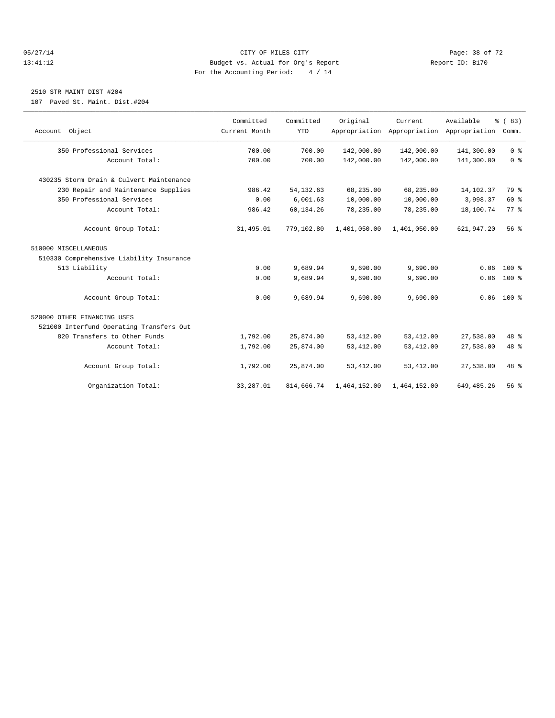#### 05/27/14 Page: 38 of 72 13:41:12 Budget vs. Actual for Org's Report Report ID: B170 For the Accounting Period: 4 / 14

## 2510 STR MAINT DIST #204

107 Paved St. Maint. Dist.#204

| Account Object                           | Committed<br>Current Month | Committed<br><b>YTD</b> | Original     | Current<br>Appropriation Appropriation Appropriation | Available    | % (83)<br>Comm. |
|------------------------------------------|----------------------------|-------------------------|--------------|------------------------------------------------------|--------------|-----------------|
| 350 Professional Services                | 700.00                     | 700.00                  | 142,000.00   | 142,000.00                                           | 141,300.00   | 0 <sup>8</sup>  |
| Account Total:                           | 700.00                     | 700.00                  | 142,000.00   | 142,000.00                                           | 141,300.00   | 0 <sup>8</sup>  |
| 430235 Storm Drain & Culvert Maintenance |                            |                         |              |                                                      |              |                 |
| 230 Repair and Maintenance Supplies      | 986.42                     | 54, 132.63              | 68,235.00    | 68,235.00                                            | 14,102.37    | 79 %            |
| 350 Professional Services                | 0.00                       | 6.001.63                | 10,000.00    | 10,000.00                                            | 3,998.37     | 60 %            |
| Account Total:                           | 986.42                     | 60,134.26               | 78,235.00    | 78,235.00                                            | 18,100.74    | 77.8            |
| Account Group Total:                     | 31,495.01                  | 779,102.80              | 1,401,050.00 | 1,401,050.00                                         | 621,947.20   | $56*$           |
| 510000 MISCELLANEOUS                     |                            |                         |              |                                                      |              |                 |
| 510330 Comprehensive Liability Insurance |                            |                         |              |                                                      |              |                 |
| 513 Liability                            | 0.00                       | 9,689.94                | 9,690.00     | 9,690.00                                             | 0.06         | $100*$          |
| Account Total:                           | 0.00                       | 9,689.94                | 9,690.00     | 9,690.00                                             | 0.06         | $100*$          |
| Account Group Total:                     | 0.00                       | 9,689.94                | 9,690.00     | 9,690.00                                             |              | $0.06$ 100 %    |
| 520000 OTHER FINANCING USES              |                            |                         |              |                                                      |              |                 |
| 521000 Interfund Operating Transfers Out |                            |                         |              |                                                      |              |                 |
| 820 Transfers to Other Funds             | 1,792.00                   | 25,874.00               | 53, 412.00   | 53, 412.00                                           | 27,538.00    | 48 %            |
| Account Total:                           | 1,792.00                   | 25,874.00               | 53, 412.00   | 53, 412.00                                           | 27,538.00    | 48 %            |
| Account Group Total:                     | 1,792.00                   | 25,874.00               | 53, 412.00   | 53, 412.00                                           | 27,538.00    | 48 %            |
| Organization Total:                      | 33,287.01                  | 814,666.74              | 1,464,152.00 | 1,464,152.00                                         | 649, 485. 26 | $56*$           |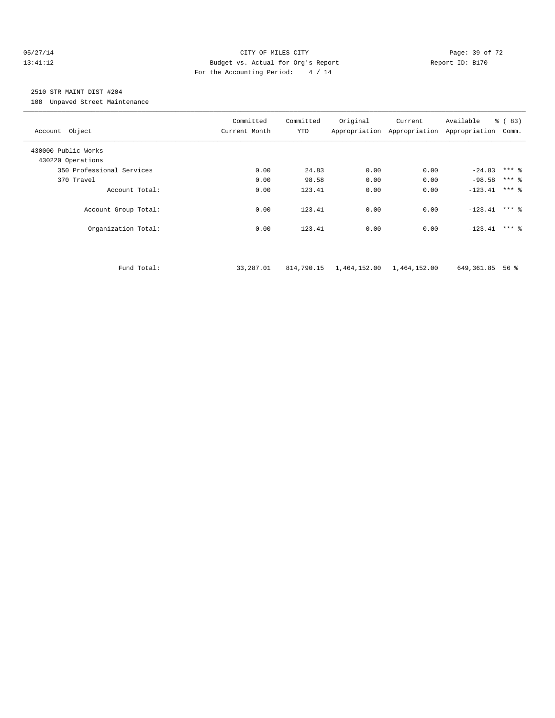#### 05/27/14 Page: 39 of 72 13:41:12 Budget vs. Actual for Org's Report Report ID: B170 For the Accounting Period: 4 / 14

## 2510 STR MAINT DIST #204

108 Unpaved Street Maintenance

| Account Object            | Committed<br>Current Month | Committed<br>YTD | Original                  | Current | Available<br>Appropriation Appropriation Appropriation | $\frac{6}{6}$ (83)<br>Comm. |
|---------------------------|----------------------------|------------------|---------------------------|---------|--------------------------------------------------------|-----------------------------|
| 430000 Public Works       |                            |                  |                           |         |                                                        |                             |
| 430220 Operations         |                            |                  |                           |         |                                                        |                             |
| 350 Professional Services | 0.00                       | 24.83            | 0.00                      | 0.00    | $-24.83$ *** &                                         |                             |
| 370 Travel                | 0.00                       | 98.58            | 0.00                      | 0.00    | $-98.58$ *** $%$                                       |                             |
| Account Total:            | 0.00                       | 123.41           | 0.00                      | 0.00    | $-123.41$                                              | $***$ 2                     |
| Account Group Total:      | 0.00                       | 123.41           | 0.00                      | 0.00    | $-123.41$ *** &                                        |                             |
| Organization Total:       | 0.00                       | 123.41           | 0.00                      | 0.00    | $-123.41$ *** &                                        |                             |
|                           |                            |                  |                           |         |                                                        |                             |
| Fund Total:               | 33,287.01                  | 814,790.15       | 1,464,152.00 1,464,152.00 |         | 649,361.85                                             | 56 %                        |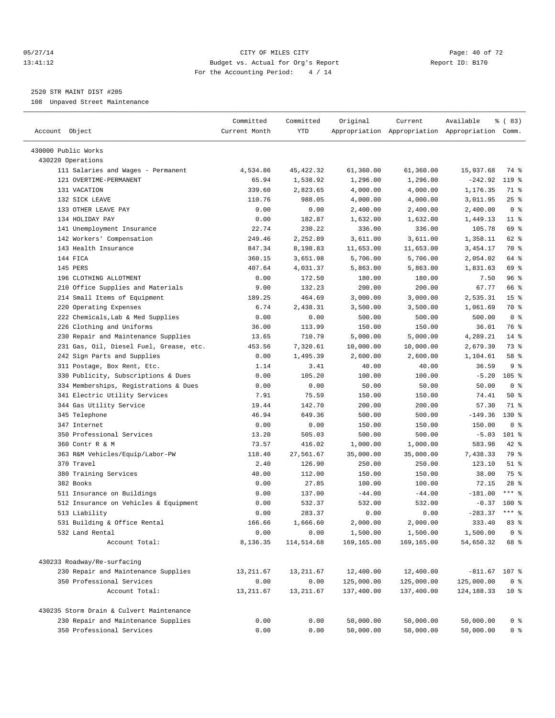#### 05/27/14 Page: 40 of 72 13:41:12 Budget vs. Actual for Org's Report Report ID: B170 For the Accounting Period: 4 / 14

————————————————————————————————————————————————————————————————————————————————————————————————————————————————————————————————————

## 2520 STR MAINT DIST #205

108 Unpaved Street Maintenance

| Account Object                           | Committed<br>Current Month | Committed<br>YTD | Original   | Current    | Available<br>Appropriation Appropriation Appropriation Comm. | % (83)           |
|------------------------------------------|----------------------------|------------------|------------|------------|--------------------------------------------------------------|------------------|
| 430000 Public Works                      |                            |                  |            |            |                                                              |                  |
| 430220 Operations                        |                            |                  |            |            |                                                              |                  |
| 111 Salaries and Wages - Permanent       | 4,534.86                   | 45, 422.32       | 61,360.00  | 61,360.00  | 15,937.68                                                    | 74 %             |
| 121 OVERTIME-PERMANENT                   | 65.94                      | 1,538.92         | 1,296.00   | 1,296.00   | $-242.92$                                                    | 119.8            |
| 131 VACATION                             | 339.60                     | 2,823.65         | 4,000.00   | 4,000.00   | 1,176.35                                                     | 71 %             |
| 132 SICK LEAVE                           | 110.76                     | 988.05           | 4,000.00   | 4,000.00   | 3,011.95                                                     | $25$ %           |
| 133 OTHER LEAVE PAY                      | 0.00                       | 0.00             | 2,400.00   | 2,400.00   | 2,400.00                                                     | 0 <sup>8</sup>   |
| 134 HOLIDAY PAY                          | 0.00                       | 182.87           | 1,632.00   | 1,632.00   | 1,449.13                                                     | $11*$            |
| 141 Unemployment Insurance               | 22.74                      | 230.22           | 336.00     | 336.00     | 105.78                                                       | 69 %             |
| 142 Workers' Compensation                | 249.46                     | 2,252.89         | 3,611.00   | 3,611.00   | 1,358.11                                                     | 62 %             |
| 143 Health Insurance                     | 847.34                     | 8,198.83         | 11,653.00  | 11,653.00  | 3,454.17                                                     | 70 %             |
| 144 FICA                                 | 360.15                     | 3,651.98         | 5,706.00   | 5,706.00   | 2,054.02                                                     | 64 %             |
| 145 PERS                                 | 407.64                     | 4,031.37         | 5,863.00   | 5,863.00   | 1,831.63                                                     | 69 %             |
| 196 CLOTHING ALLOTMENT                   | 0.00                       | 172.50           | 180.00     | 180.00     | 7.50                                                         | 96%              |
| 210 Office Supplies and Materials        | 9.00                       | 132.23           | 200.00     | 200.00     | 67.77                                                        | 66 %             |
| 214 Small Items of Equipment             | 189.25                     | 464.69           | 3,000.00   | 3,000.00   | 2,535.31                                                     | 15 <sup>°</sup>  |
| 220 Operating Expenses                   | 6.74                       | 2,438.31         | 3,500.00   | 3,500.00   | 1,061.69                                                     | 70 %             |
| 222 Chemicals, Lab & Med Supplies        | 0.00                       | 0.00             | 500.00     | 500.00     | 500.00                                                       | 0 <sup>8</sup>   |
| 226 Clothing and Uniforms                | 36.00                      | 113.99           | 150.00     | 150.00     | 36.01                                                        | 76 %             |
| 230 Repair and Maintenance Supplies      | 13.65                      | 710.79           | 5,000.00   | 5,000.00   | 4,289.21                                                     | $14$ %           |
| 231 Gas, Oil, Diesel Fuel, Grease, etc.  | 453.56                     | 7,320.61         | 10,000.00  | 10,000.00  | 2,679.39                                                     | 73 %             |
| 242 Sign Parts and Supplies              | 0.00                       | 1,495.39         | 2,600.00   | 2,600.00   | 1,104.61                                                     | 58 %             |
| 311 Postage, Box Rent, Etc.              | 1.14                       | 3.41             | 40.00      | 40.00      | 36.59                                                        | 9%               |
| 330 Publicity, Subscriptions & Dues      | 0.00                       | 105.20           | 100.00     | 100.00     | $-5.20$                                                      | 105 <sub>8</sub> |
| 334 Memberships, Registrations & Dues    | 0.00                       | 0.00             | 50.00      | 50.00      | 50.00                                                        | 0 <sup>8</sup>   |
| 341 Electric Utility Services            | 7.91                       | 75.59            | 150.00     | 150.00     | 74.41                                                        | 50%              |
| 344 Gas Utility Service                  | 19.44                      | 142.70           | 200.00     | 200.00     | 57.30                                                        | 71 %             |
| 345 Telephone                            | 46.94                      | 649.36           | 500.00     | 500.00     | $-149.36$                                                    | $130*$           |
| 347 Internet                             | 0.00                       | 0.00             | 150.00     | 150.00     | 150.00                                                       | 0 <sup>8</sup>   |
| 350 Professional Services                | 13.20                      | 505.03           | 500.00     | 500.00     | $-5.03$                                                      | $101$ %          |
| 360 Contr R & M                          | 73.57                      | 416.02           | 1,000.00   | 1,000.00   | 583.98                                                       | 42 %             |
| 363 R&M Vehicles/Equip/Labor-PW          | 118.40                     | 27,561.67        | 35,000.00  | 35,000.00  | 7,438.33                                                     | 79 %             |
| 370 Travel                               | 2.40                       | 126.90           | 250.00     | 250.00     | 123.10                                                       | $51$ %           |
| 380 Training Services                    | 40.00                      | 112.00           | 150.00     | 150.00     | 38.00                                                        | 75 %             |
| 382 Books                                | 0.00                       | 27.85            | 100.00     | 100.00     | 72.15                                                        | $28$ %           |
| 511 Insurance on Buildings               | 0.00                       | 137.00           | $-44.00$   | $-44.00$   | $-181.00$                                                    | $***$ 2          |
| 512 Insurance on Vehicles & Equipment    | 0.00                       | 532.37           | 532.00     | 532.00     | $-0.37$                                                      | $100$ %          |
| 513 Liability                            | 0.00                       | 283.37           | 0.00       | 0.00       | $-283.37$                                                    | $***$ $%$        |
| 531 Building & Office Rental             | 166.66                     | 1,666.60         | 2,000.00   | 2,000.00   | 333.40                                                       | 83 %             |
| 532 Land Rental                          | 0.00                       | 0.00             | 1,500.00   | 1,500.00   | 1,500.00                                                     | 0 <sup>8</sup>   |
| Account Total:                           | 8,136.35                   | 114,514.68       | 169,165.00 | 169,165.00 | 54,650.32                                                    | 68 %             |
| 430233 Roadway/Re-surfacing              |                            |                  |            |            |                                                              |                  |
| 230 Repair and Maintenance Supplies      | 13,211.67                  | 13, 211.67       | 12,400.00  | 12,400.00  | $-811.67$ 107 %                                              |                  |
| 350 Professional Services                | 0.00                       | 0.00             | 125,000.00 | 125,000.00 | 125,000.00                                                   | 0 <sup>8</sup>   |
| Account Total:                           | 13, 211.67                 | 13, 211.67       | 137,400.00 | 137,400.00 | 124, 188. 33                                                 | $10*$            |
| 430235 Storm Drain & Culvert Maintenance |                            |                  |            |            |                                                              |                  |
| 230 Repair and Maintenance Supplies      | 0.00                       | 0.00             | 50,000.00  | 50,000.00  | 50,000.00                                                    | 0 <sup>8</sup>   |
| 350 Professional Services                | 0.00                       | 0.00             | 50,000.00  | 50,000.00  | 50,000.00                                                    | 0 <sup>8</sup>   |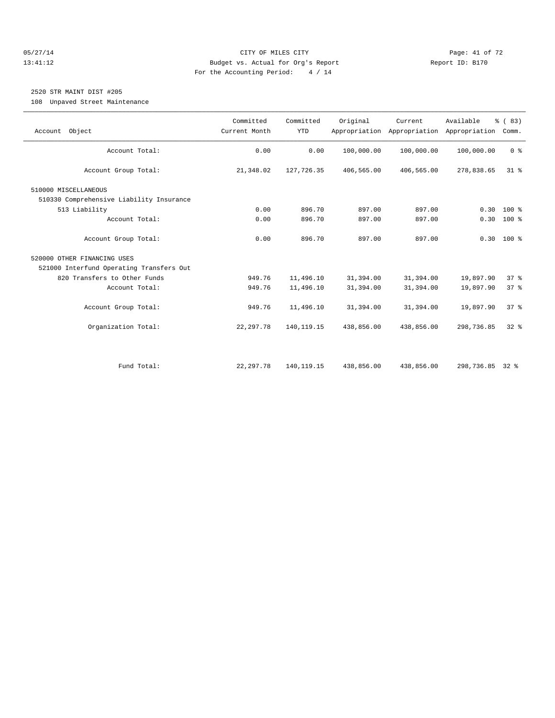#### 05/27/14 Page: 41 of 72 13:41:12 Budget vs. Actual for Org's Report Report ID: B170 For the Accounting Period: 4 / 14

## 2520 STR MAINT DIST #205

108 Unpaved Street Maintenance

| Account Object                           | Committed<br>Current Month | Committed<br><b>YTD</b> | Original   | Current<br>Appropriation Appropriation | Available<br>Appropriation | % (83)<br>Comm. |  |
|------------------------------------------|----------------------------|-------------------------|------------|----------------------------------------|----------------------------|-----------------|--|
| Account Total:                           | 0.00                       | 0.00                    | 100,000.00 | 100,000.00                             | 100,000.00                 | 0 <sup>8</sup>  |  |
|                                          |                            |                         |            |                                        |                            |                 |  |
| Account Group Total:                     | 21,348.02                  | 127,726.35              | 406,565.00 | 406,565.00                             | 278,838.65                 | 31.8            |  |
| 510000 MISCELLANEOUS                     |                            |                         |            |                                        |                            |                 |  |
| 510330 Comprehensive Liability Insurance |                            |                         |            |                                        |                            |                 |  |
| 513 Liability                            | 0.00                       | 896.70                  | 897.00     | 897.00                                 | 0.30                       | $100*$          |  |
| Account Total:                           | 0.00                       | 896.70                  | 897.00     | 897.00                                 |                            | $0.30 100$ %    |  |
|                                          |                            |                         |            |                                        |                            |                 |  |
| Account Group Total:                     | 0.00                       | 896.70                  | 897.00     | 897.00                                 |                            | $0.30$ 100 %    |  |
| 520000 OTHER FINANCING USES              |                            |                         |            |                                        |                            |                 |  |
| 521000 Interfund Operating Transfers Out |                            |                         |            |                                        |                            |                 |  |
| 820 Transfers to Other Funds             | 949.76                     | 11,496.10               | 31,394.00  | 31,394.00                              | 19,897.90                  | 37%             |  |
| Account Total:                           | 949.76                     | 11,496.10               | 31,394.00  | 31,394.00                              | 19,897.90                  | 37%             |  |
|                                          |                            |                         |            |                                        |                            |                 |  |
| Account Group Total:                     | 949.76                     | 11,496.10               | 31,394.00  | 31,394.00                              | 19,897.90                  | 37 <sup>8</sup> |  |
| Organization Total:                      | 22, 297.78                 | 140, 119. 15            | 438,856.00 | 438,856.00                             | 298,736.85                 | $32*$           |  |
|                                          |                            |                         |            |                                        |                            |                 |  |
|                                          |                            |                         |            |                                        |                            |                 |  |
| Fund Total:                              | 22, 297.78                 | 140, 119. 15            | 438,856.00 | 438,856.00                             | 298,736.85 32 %            |                 |  |
|                                          |                            |                         |            |                                        |                            |                 |  |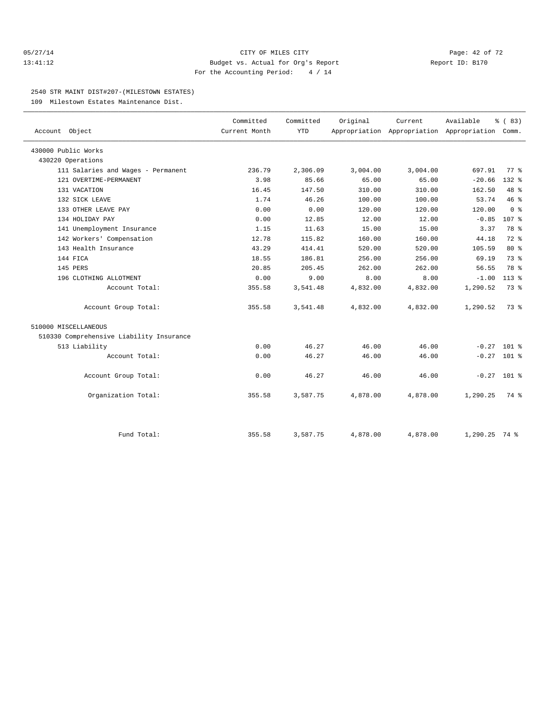#### 05/27/14 Page: 42 of 72 13:41:12 Budget vs. Actual for Org's Report Report ID: B170 For the Accounting Period: 4 / 14

#### 2540 STR MAINT DIST#207-(MILESTOWN ESTATES)

109 Milestown Estates Maintenance Dist.

| Account Object                           | Committed<br>Current Month | Committed<br>YTD | Original | Current  | Available<br>Appropriation Appropriation Appropriation Comm. | % (83)           |  |
|------------------------------------------|----------------------------|------------------|----------|----------|--------------------------------------------------------------|------------------|--|
|                                          |                            |                  |          |          |                                                              |                  |  |
| 430000 Public Works                      |                            |                  |          |          |                                                              |                  |  |
| 430220 Operations                        |                            |                  |          |          |                                                              |                  |  |
| 111 Salaries and Wages - Permanent       | 236.79                     | 2,306.09         | 3,004.00 | 3,004.00 | 697.91                                                       | 77.8             |  |
| 121 OVERTIME-PERMANENT                   | 3.98                       | 85.66            | 65.00    | 65.00    | $-20.66$                                                     | $132$ $%$        |  |
| 131 VACATION                             | 16.45                      | 147.50           | 310.00   | 310.00   | 162.50                                                       | 48 %             |  |
| 132 SICK LEAVE                           | 1.74                       | 46.26            | 100.00   | 100.00   | 53.74                                                        | 46%              |  |
| 133 OTHER LEAVE PAY                      | 0.00                       | 0.00             | 120.00   | 120.00   | 120.00                                                       | 0 <sup>8</sup>   |  |
| 134 HOLIDAY PAY                          | 0.00                       | 12.85            | 12.00    | 12.00    | $-0.85$                                                      | 107 <sub>8</sub> |  |
| 141 Unemployment Insurance               | 1.15                       | 11.63            | 15.00    | 15.00    | 3.37                                                         | 78 %             |  |
| 142 Workers' Compensation                | 12.78                      | 115.82           | 160.00   | 160.00   | 44.18                                                        | $72$ $%$         |  |
| 143 Health Insurance                     | 43.29                      | 414.41           | 520.00   | 520.00   | 105.59                                                       | $80*$            |  |
| 144 FICA                                 | 18.55                      | 186.81           | 256.00   | 256.00   | 69.19                                                        | 73.8             |  |
| 145 PERS                                 | 20.85                      | 205.45           | 262.00   | 262.00   | 56.55                                                        | 78 %             |  |
| 196 CLOTHING ALLOTMENT                   | 0.00                       | 9.00             | 8.00     | 8.00     | $-1.00$                                                      | $113*$           |  |
| Account Total:                           | 355.58                     | 3,541.48         | 4,832.00 | 4,832.00 | 1,290.52                                                     | 73 %             |  |
| Account Group Total:                     | 355.58                     | 3,541.48         | 4,832.00 | 4,832.00 | 1,290.52                                                     | 73.8             |  |
| 510000 MISCELLANEOUS                     |                            |                  |          |          |                                                              |                  |  |
| 510330 Comprehensive Liability Insurance |                            |                  |          |          |                                                              |                  |  |
| 513 Liability                            | 0.00                       | 46.27            | 46.00    | 46.00    | $-0.27$ 101 %                                                |                  |  |
| Account Total:                           | 0.00                       | 46.27            | 46.00    | 46.00    | $-0.27$ 101 %                                                |                  |  |
| Account Group Total:                     | 0.00                       | 46.27            | 46.00    | 46.00    | $-0.27$ 101 %                                                |                  |  |
| Organization Total:                      | 355.58                     | 3,587.75         | 4,878.00 | 4,878.00 | 1,290.25                                                     | 74 %             |  |
|                                          |                            |                  |          |          |                                                              |                  |  |
| Fund Total:                              | 355.58                     | 3,587.75         | 4,878.00 | 4,878.00 | $1,290.25$ 74 %                                              |                  |  |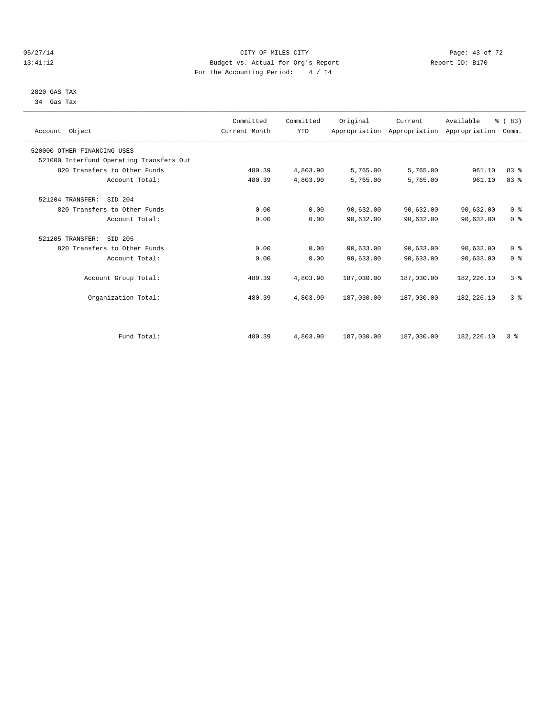#### 05/27/14 Page: 43 of 72 13:41:12 Budget vs. Actual for Org's Report Report ID: B170 For the Accounting Period: 4 / 14

 2820 GAS TAX 34 Gas Tax

| Account Object                           | Committed<br>Current Month | Committed<br><b>YTD</b> | Original   | Current<br>Appropriation Appropriation Appropriation | Available    | % (83)<br>Comm. |  |
|------------------------------------------|----------------------------|-------------------------|------------|------------------------------------------------------|--------------|-----------------|--|
| 520000 OTHER FINANCING USES              |                            |                         |            |                                                      |              |                 |  |
| 521000 Interfund Operating Transfers Out |                            |                         |            |                                                      |              |                 |  |
| 820 Transfers to Other Funds             | 480.39                     | 4,803.90                | 5,765.00   | 5,765.00                                             | 961.10       | 83%             |  |
| Account Total:                           | 480.39                     | 4,803.90                | 5,765.00   | 5,765.00                                             | 961.10       | 83%             |  |
| 521204 TRANSFER:<br>SID 204              |                            |                         |            |                                                      |              |                 |  |
| 820 Transfers to Other Funds             | 0.00                       | 0.00                    | 90,632.00  | 90,632.00                                            | 90,632.00    | 0 <sup>8</sup>  |  |
| Account Total:                           | 0.00                       | 0.00                    | 90,632.00  | 90,632.00                                            | 90,632.00    | 0 <sup>8</sup>  |  |
| 521205 TRANSFER:<br>SID 205              |                            |                         |            |                                                      |              |                 |  |
| 820 Transfers to Other Funds             | 0.00                       | 0.00                    | 90,633.00  | 90,633.00                                            | 90,633.00    | 0 <sup>8</sup>  |  |
| Account Total:                           | 0.00                       | 0.00                    | 90,633.00  | 90,633.00                                            | 90,633.00    | 0 <sup>8</sup>  |  |
| Account Group Total:                     | 480.39                     | 4,803.90                | 187,030.00 | 187,030.00                                           | 182,226.10   | 3%              |  |
| Organization Total:                      | 480.39                     | 4,803.90                | 187,030.00 | 187,030.00                                           | 182, 226. 10 | 3 <sup>8</sup>  |  |
|                                          |                            |                         |            |                                                      |              |                 |  |
| Fund Total:                              | 480.39                     | 4,803.90                | 187,030.00 | 187,030.00                                           | 182,226.10   | 3%              |  |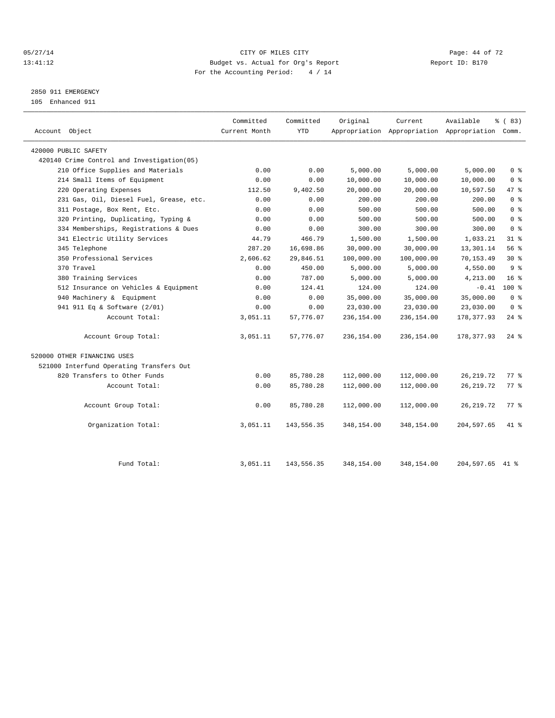#### 05/27/14 Page: 44 of 72 13:41:12 Budget vs. Actual for Org's Report Report ID: B170 For the Accounting Period: 4 / 14

## 2850 911 EMERGENCY

105 Enhanced 911

| Account Object                             | Committed<br>Current Month | Committed<br><b>YTD</b> | Original   | Current    | Available<br>Appropriation Appropriation Appropriation Comm. | % (83)             |
|--------------------------------------------|----------------------------|-------------------------|------------|------------|--------------------------------------------------------------|--------------------|
| 420000 PUBLIC SAFETY                       |                            |                         |            |            |                                                              |                    |
| 420140 Crime Control and Investigation(05) |                            |                         |            |            |                                                              |                    |
| 210 Office Supplies and Materials          | 0.00                       | 0.00                    | 5,000.00   | 5,000.00   | 5,000.00                                                     | 0 <sup>8</sup>     |
| 214 Small Items of Equipment               | 0.00                       | 0.00                    | 10,000.00  | 10,000.00  | 10,000.00                                                    | 0 <sup>8</sup>     |
| 220 Operating Expenses                     | 112.50                     | 9,402.50                | 20,000.00  | 20,000.00  | 10,597.50                                                    | 47 %               |
| 231 Gas, Oil, Diesel Fuel, Grease, etc.    | 0.00                       | 0.00                    | 200.00     | 200.00     | 200.00                                                       | 0 <sup>8</sup>     |
| 311 Postage, Box Rent, Etc.                | 0.00                       | 0.00                    | 500.00     | 500.00     | 500.00                                                       | 0 <sup>8</sup>     |
| 320 Printing, Duplicating, Typing &        | 0.00                       | 0.00                    | 500.00     | 500.00     | 500.00                                                       | 0 <sup>8</sup>     |
| 334 Memberships, Registrations & Dues      | 0.00                       | 0.00                    | 300.00     | 300.00     | 300.00                                                       | 0 <sup>8</sup>     |
| 341 Electric Utility Services              | 44.79                      | 466.79                  | 1,500.00   | 1,500.00   | 1,033.21                                                     | $31$ %             |
| 345 Telephone                              | 287.20                     | 16,698.86               | 30,000.00  | 30,000.00  | 13,301.14                                                    | 56 %               |
| 350 Professional Services                  | 2,606.62                   | 29,846.51               | 100,000.00 | 100,000.00 | 70,153.49                                                    | $30*$              |
| 370 Travel                                 | 0.00                       | 450.00                  | 5,000.00   | 5,000.00   | 4,550.00                                                     | 9 <sup>8</sup>     |
| 380 Training Services                      | 0.00                       | 787.00                  | 5,000.00   | 5,000.00   | 4,213.00                                                     | $16*$              |
| 512 Insurance on Vehicles & Equipment      | 0.00                       | 124.41                  | 124.00     | 124.00     | $-0.41$                                                      | $100*$             |
| 940 Machinery & Equipment                  | 0.00                       | 0.00                    | 35,000.00  | 35,000.00  | 35,000.00                                                    | 0 <sup>8</sup>     |
| 941 911 Eq & Software (2/01)               | 0.00                       | 0.00                    | 23,030.00  | 23,030.00  | 23,030.00                                                    | 0 <sup>8</sup>     |
| Account Total:                             | 3,051.11                   | 57,776.07               | 236,154.00 | 236,154.00 | 178, 377.93                                                  | $24$ %             |
| Account Group Total:                       | 3,051.11                   | 57,776.07               | 236,154.00 | 236,154.00 | 178, 377.93                                                  | $24$ $\frac{6}{5}$ |
| 520000 OTHER FINANCING USES                |                            |                         |            |            |                                                              |                    |
| 521000 Interfund Operating Transfers Out   |                            |                         |            |            |                                                              |                    |
| 820 Transfers to Other Funds               | 0.00                       | 85,780.28               | 112,000.00 | 112,000.00 | 26, 219.72                                                   | 77.8               |
| Account Total:                             | 0.00                       | 85,780.28               | 112,000.00 | 112,000.00 | 26, 219.72                                                   | $77$ $\frac{6}{9}$ |
| Account Group Total:                       | 0.00                       | 85,780.28               | 112,000.00 | 112,000.00 | 26, 219.72                                                   | 77.8               |
| Organization Total:                        | 3,051.11                   | 143,556.35              | 348,154.00 | 348,154.00 | 204,597.65                                                   | 41 %               |
| Fund Total:                                | 3,051.11                   | 143,556.35              | 348,154.00 | 348,154.00 | 204,597.65 41 %                                              |                    |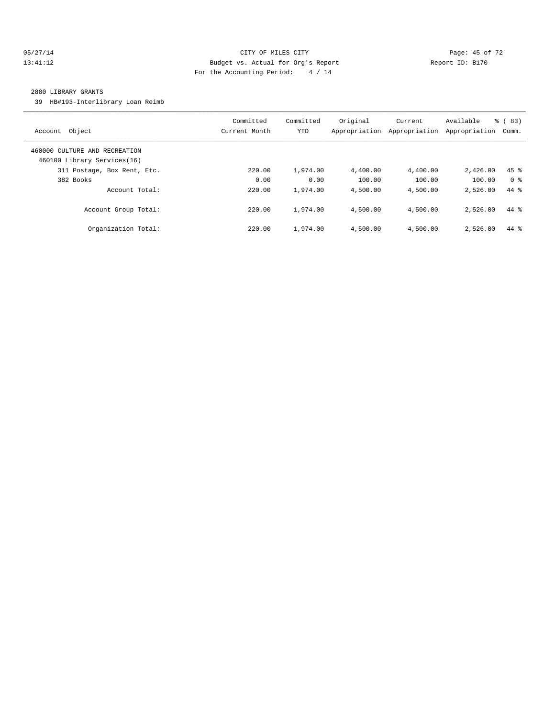#### 05/27/14 Page: 45 of 72 13:41:12 Budget vs. Actual for Org's Report Report ID: B170 For the Accounting Period: 4 / 14

#### 2880 LIBRARY GRANTS

39 HB#193-Interlibrary Loan Reimb

| Object<br>Account                                            | Committed<br>Current Month | Committed<br>YTD | Original<br>Appropriation | Current<br>Appropriation | Available<br>Appropriation | $\frac{6}{6}$ (83)<br>Comm. |
|--------------------------------------------------------------|----------------------------|------------------|---------------------------|--------------------------|----------------------------|-----------------------------|
| 460000 CULTURE AND RECREATION<br>460100 Library Services(16) |                            |                  |                           |                          |                            |                             |
| 311 Postage, Box Rent, Etc.                                  | 220.00                     | 1,974.00         | 4,400.00                  | 4,400.00                 | 2.426.00                   | $45$ %                      |
| 382 Books                                                    | 0.00                       | 0.00             | 100.00                    | 100.00                   | 100.00                     | 0 <sup>8</sup>              |
| Account Total:                                               | 220.00                     | 1,974.00         | 4,500.00                  | 4,500.00                 | 2,526.00                   | $44*$                       |
| Account Group Total:                                         | 220.00                     | 1,974.00         | 4,500.00                  | 4,500.00                 | 2,526.00                   | $44*$                       |
| Organization Total:                                          | 220.00                     | 1,974.00         | 4,500.00                  | 4,500.00                 | 2,526.00                   | 44 %                        |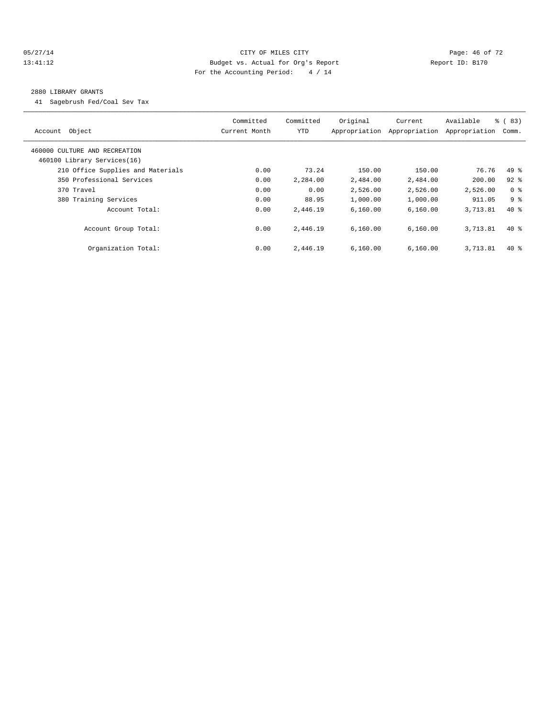#### 05/27/14 Page: 46 of 72 13:41:12 Budget vs. Actual for Org's Report Changer Report ID: B170 For the Accounting Period: 4 / 14

#### 2880 LIBRARY GRANTS

41 Sagebrush Fed/Coal Sev Tax

| Account Object                                               | Committed<br>Current Month | Committed<br><b>YTD</b> | Original<br>Appropriation | Current<br>Appropriation | Available<br>Appropriation | % (83)<br>Comm. |
|--------------------------------------------------------------|----------------------------|-------------------------|---------------------------|--------------------------|----------------------------|-----------------|
| 460000 CULTURE AND RECREATION<br>460100 Library Services(16) |                            |                         |                           |                          |                            |                 |
| 210 Office Supplies and Materials                            | 0.00                       | 73.24                   | 150.00                    | 150.00                   | 76.76                      | $49*$           |
| 350 Professional Services                                    | 0.00                       | 2,284.00                | 2,484.00                  | 2,484.00                 | 200.00                     | $92$ $%$        |
| 370 Travel                                                   | 0.00                       | 0.00                    | 2,526.00                  | 2,526.00                 | 2,526.00                   | 0 <sup>8</sup>  |
| 380 Training Services                                        | 0.00                       | 88.95                   | 1,000.00                  | 1,000.00                 | 911.05                     | 9 <sup>8</sup>  |
| Account Total:                                               | 0.00                       | 2,446.19                | 6,160.00                  | 6,160.00                 | 3,713.81                   | $40*$           |
| Account Group Total:                                         | 0.00                       | 2,446.19                | 6,160.00                  | 6.160.00                 | 3,713.81                   | $40*$           |
| Organization Total:                                          | 0.00                       | 2,446.19                | 6,160.00                  | 6,160.00                 | 3,713.81                   | $40*$           |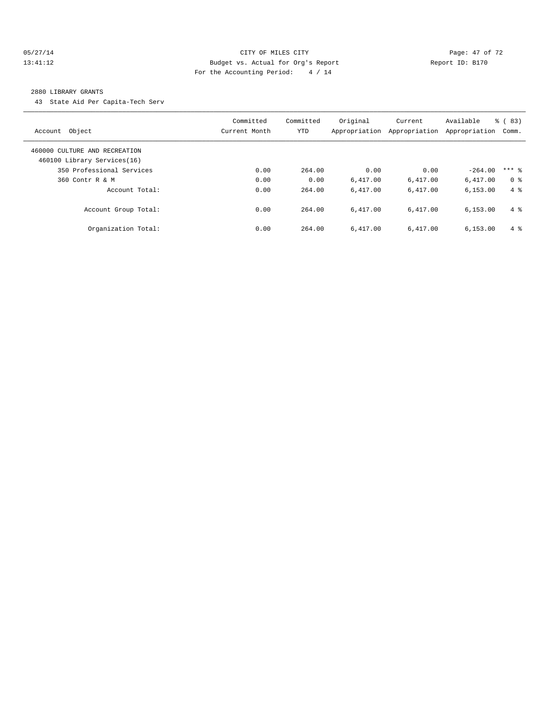#### 05/27/14 Page: 47 of 72 13:41:12 Budget vs. Actual for Org's Report Report ID: B170 For the Accounting Period: 4 / 14

#### 2880 LIBRARY GRANTS

43 State Aid Per Capita-Tech Serv

| Object<br>Account                                            | Committed<br>Current Month | Committed<br><b>YTD</b> | Original<br>Appropriation | Current<br>Appropriation | Available<br>Appropriation | $\frac{6}{6}$ (83)<br>Comm. |
|--------------------------------------------------------------|----------------------------|-------------------------|---------------------------|--------------------------|----------------------------|-----------------------------|
| 460000 CULTURE AND RECREATION<br>460100 Library Services(16) |                            |                         |                           |                          |                            |                             |
| 350 Professional Services                                    | 0.00                       | 264.00                  | 0.00                      | 0.00                     | $-264.00$                  | $***$ 2                     |
| 360 Contr R & M                                              | 0.00                       | 0.00                    | 6.417.00                  | 6,417.00                 | 6,417.00                   | 0 <sup>8</sup>              |
| Account Total:                                               | 0.00                       | 264.00                  | 6.417.00                  | 6.417.00                 | 6, 153.00                  | $4 \text{ }$                |
| Account Group Total:                                         | 0.00                       | 264.00                  | 6.417.00                  | 6.417.00                 | 6, 153.00                  | $4 \text{ }$                |
| Organization Total:                                          | 0.00                       | 264.00                  | 6.417.00                  | 6.417.00                 | 6, 153.00                  | 4 %                         |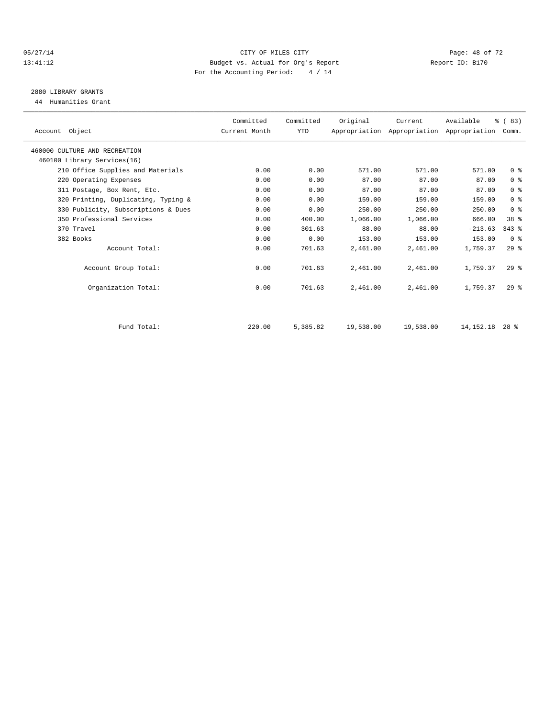#### 05/27/14 Page: 48 of 72 13:41:12 Budget vs. Actual for Org's Report Report ID: B170 For the Accounting Period: 4 / 14

# 2880 LIBRARY GRANTS

44 Humanities Grant

| Account Object                      | Committed<br>Current Month | Committed<br><b>YTD</b> | Original  | Current   | Available<br>Appropriation Appropriation Appropriation | % (83)<br>Comm. |  |
|-------------------------------------|----------------------------|-------------------------|-----------|-----------|--------------------------------------------------------|-----------------|--|
| 460000 CULTURE AND RECREATION       |                            |                         |           |           |                                                        |                 |  |
| 460100 Library Services(16)         |                            |                         |           |           |                                                        |                 |  |
| 210 Office Supplies and Materials   | 0.00                       | 0.00                    | 571.00    | 571.00    | 571.00                                                 | 0 <sup>8</sup>  |  |
| 220 Operating Expenses              | 0.00                       | 0.00                    | 87.00     | 87.00     | 87.00                                                  | 0 <sup>8</sup>  |  |
| 311 Postage, Box Rent, Etc.         | 0.00                       | 0.00                    | 87.00     | 87.00     | 87.00                                                  | 0 <sup>8</sup>  |  |
| 320 Printing, Duplicating, Typing & | 0.00                       | 0.00                    | 159.00    | 159.00    | 159.00                                                 | 0 <sup>8</sup>  |  |
| 330 Publicity, Subscriptions & Dues | 0.00                       | 0.00                    | 250.00    | 250.00    | 250.00                                                 | 0 <sup>8</sup>  |  |
| 350 Professional Services           | 0.00                       | 400.00                  | 1,066.00  | 1,066.00  | 666.00                                                 | 38 <sup>8</sup> |  |
| 370 Travel                          | 0.00                       | 301.63                  | 88.00     | 88.00     | $-213.63$                                              | $343$ $%$       |  |
| 382 Books                           | 0.00                       | 0.00                    | 153.00    | 153.00    | 153.00                                                 | 0 <sup>8</sup>  |  |
| Account Total:                      | 0.00                       | 701.63                  | 2,461.00  | 2,461.00  | 1,759.37                                               | $29*$           |  |
| Account Group Total:                | 0.00                       | 701.63                  | 2,461.00  | 2,461.00  | 1,759.37                                               | $29*$           |  |
| Organization Total:                 | 0.00                       | 701.63                  | 2,461.00  | 2,461.00  | 1,759.37                                               | $29*$           |  |
| Fund Total:                         | 220.00                     | 5,385.82                | 19,538.00 | 19,538.00 | 14, 152. 18                                            | $28*$           |  |
|                                     |                            |                         |           |           |                                                        |                 |  |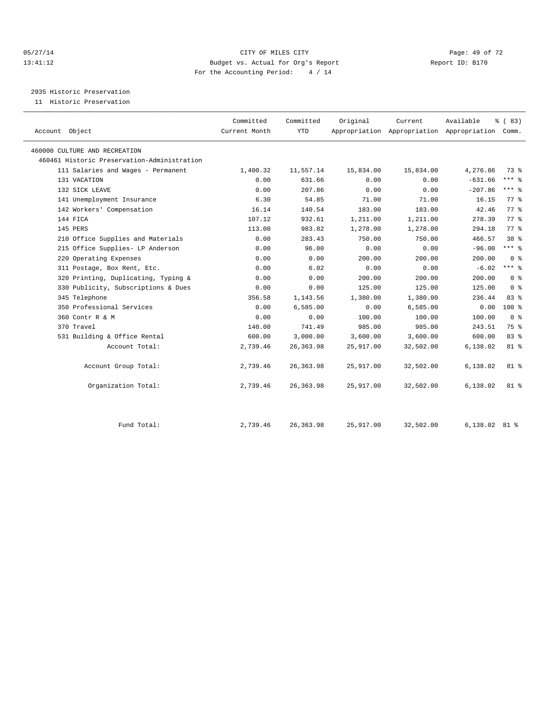#### 05/27/14 Page: 49 of 72 13:41:12 Budget vs. Actual for Org's Report Report ID: B170 For the Accounting Period: 4 / 14

2935 Historic Preservation

11 Historic Preservation

|                                             | Committed     | Committed  | Original  | Current   | Available                                       | % (83)             |  |
|---------------------------------------------|---------------|------------|-----------|-----------|-------------------------------------------------|--------------------|--|
| Account Object                              | Current Month | <b>YTD</b> |           |           | Appropriation Appropriation Appropriation Comm. |                    |  |
| 460000 CULTURE AND RECREATION               |               |            |           |           |                                                 |                    |  |
| 460461 Historic Preservation-Administration |               |            |           |           |                                                 |                    |  |
| 111 Salaries and Wages - Permanent          | 1,400.32      | 11,557.14  | 15,834.00 | 15,834.00 | 4,276.86                                        | 73 %               |  |
| 131 VACATION                                | 0.00          | 631.66     | 0.00      | 0.00      | $-631.66$                                       | *** 응              |  |
| 132 SICK LEAVE                              | 0.00          | 207.86     | 0.00      | 0.00      | $-207.86$                                       | $***$ $-$          |  |
| 141 Unemployment Insurance                  | 6.30          | 54.85      | 71.00     | 71.00     | 16.15                                           | 77 %               |  |
| 142 Workers' Compensation                   | 16.14         | 140.54     | 183.00    | 183.00    | 42.46                                           | $77*$              |  |
| 144 FICA                                    | 107.12        | 932.61     | 1,211.00  | 1,211.00  | 278.39                                          | 77.8               |  |
| 145 PERS                                    | 113.00        | 983.82     | 1,278.00  | 1,278.00  | 294.18                                          | $77$ $\frac{6}{9}$ |  |
| 210 Office Supplies and Materials           | 0.00          | 283.43     | 750.00    | 750.00    | 466.57                                          | $38*$              |  |
| 215 Office Supplies- LP Anderson            | 0.00          | 96.00      | 0.00      | 0.00      | $-96.00$                                        | $***$ 8            |  |
| 220 Operating Expenses                      | 0.00          | 0.00       | 200.00    | 200.00    | 200.00                                          | 0 <sup>8</sup>     |  |
| 311 Postage, Box Rent, Etc.                 | 0.00          | 6.02       | 0.00      | 0.00      | $-6.02$                                         | $***$ $%$          |  |
| 320 Printing, Duplicating, Typing &         | 0.00          | 0.00       | 200.00    | 200.00    | 200.00                                          | 0 <sup>8</sup>     |  |
| 330 Publicity, Subscriptions & Dues         | 0.00          | 0.00       | 125.00    | 125.00    | 125.00                                          | 0 <sup>8</sup>     |  |
| 345 Telephone                               | 356.58        | 1,143.56   | 1,380.00  | 1,380.00  | 236.44                                          | $83*$              |  |
| 350 Professional Services                   | 0.00          | 6,585.00   | 0.00      | 6,585.00  | 0.00                                            | 100 %              |  |
| 360 Contr R & M                             | 0.00          | 0.00       | 100.00    | 100.00    | 100.00                                          | 0 <sup>8</sup>     |  |
| 370 Travel                                  | 140.00        | 741.49     | 985.00    | 985.00    | 243.51                                          | 75 %               |  |
| 531 Building & Office Rental                | 600.00        | 3,000.00   | 3,600.00  | 3,600.00  | 600.00                                          | 83%                |  |
| Account Total:                              | 2,739.46      | 26, 363.98 | 25,917.00 | 32,502.00 | 6,138.02                                        | 81 %               |  |
| Account Group Total:                        | 2,739.46      | 26, 363.98 | 25,917.00 | 32,502.00 | 6,138.02                                        | 81 %               |  |
| Organization Total:                         | 2,739.46      | 26, 363.98 | 25,917.00 | 32,502.00 | 6,138.02                                        | 81 %               |  |
|                                             |               |            |           |           |                                                 |                    |  |
| Fund Total:                                 | 2,739.46      | 26, 363.98 | 25,917.00 | 32,502.00 | 6,138.02                                        | 81 %               |  |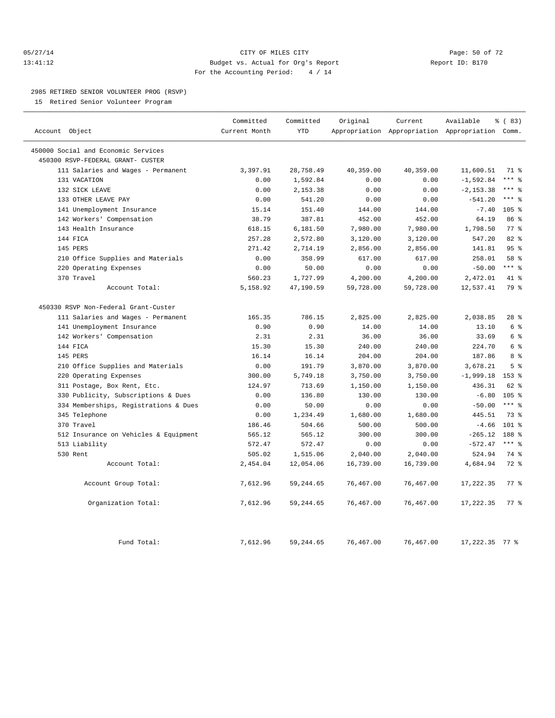#### 05/27/14 Page: 50 of 72 13:41:12 Budget vs. Actual for Org's Report Report ID: B170 For the Accounting Period: 4 / 14

#### 2985 RETIRED SENIOR VOLUNTEER PROG (RSVP)

15 Retired Senior Volunteer Program

|                                       | Committed     | Committed  | Original  | Current   | Available                                       | 8 (83)          |
|---------------------------------------|---------------|------------|-----------|-----------|-------------------------------------------------|-----------------|
| Account Object                        | Current Month | <b>YTD</b> |           |           | Appropriation Appropriation Appropriation Comm. |                 |
| 450000 Social and Economic Services   |               |            |           |           |                                                 |                 |
| 450300 RSVP-FEDERAL GRANT- CUSTER     |               |            |           |           |                                                 |                 |
| 111 Salaries and Wages - Permanent    | 3,397.91      | 28,758.49  | 40,359.00 | 40,359.00 | 11,600.51                                       | 71 %            |
| 131 VACATION                          | 0.00          | 1,592.84   | 0.00      | 0.00      | $-1,592.84$                                     | $***$ 8         |
| 132 SICK LEAVE                        | 0.00          | 2,153.38   | 0.00      | 0.00      | $-2, 153.38$                                    | $***$ $%$       |
| 133 OTHER LEAVE PAY                   | 0.00          | 541.20     | 0.00      | 0.00      | $-541.20$                                       | $***$ 8         |
| 141 Unemployment Insurance            | 15.14         | 151.40     | 144.00    | 144.00    | $-7.40$                                         | 105 %           |
| 142 Workers' Compensation             | 38.79         | 387.81     | 452.00    | 452.00    | 64.19                                           | 86 %            |
| 143 Health Insurance                  | 618.15        | 6,181.50   | 7,980.00  | 7,980.00  | 1,798.50                                        | 77.8            |
| 144 FICA                              | 257.28        | 2,572.80   | 3,120.00  | 3,120.00  | 547.20                                          | $82$ $%$        |
| 145 PERS                              | 271.42        | 2,714.19   | 2,856.00  | 2,856.00  | 141.81                                          | 95%             |
| 210 Office Supplies and Materials     | 0.00          | 358.99     | 617.00    | 617.00    | 258.01                                          | 58 %            |
| 220 Operating Expenses                | 0.00          | 50.00      | 0.00      | 0.00      | $-50.00$                                        | $***$ $_{8}$    |
| 370 Travel                            | 560.23        | 1,727.99   | 4,200.00  | 4,200.00  | 2,472.01                                        | 41 %            |
| Account Total:                        | 5,158.92      | 47,190.59  | 59,728.00 | 59,728.00 | 12,537.41                                       | 79 %            |
| 450330 RSVP Non-Federal Grant-Custer  |               |            |           |           |                                                 |                 |
| 111 Salaries and Wages - Permanent    | 165.35        | 786.15     | 2,825.00  | 2,825.00  | 2,038.85                                        | 28 <sup>8</sup> |
| 141 Unemployment Insurance            | 0.90          | 0.90       | 14.00     | 14.00     | 13.10                                           | 6 %             |
| 142 Workers' Compensation             | 2.31          | 2.31       | 36.00     | 36.00     | 33.69                                           | 6 %             |
| 144 FICA                              | 15.30         | 15.30      | 240.00    | 240.00    | 224.70                                          | 6 <sup>8</sup>  |
| 145 PERS                              | 16.14         | 16.14      | 204.00    | 204.00    | 187.86                                          | 8 %             |
| 210 Office Supplies and Materials     | 0.00          | 191.79     | 3,870.00  | 3,870.00  | 3,678.21                                        | 5 <sup>8</sup>  |
| 220 Operating Expenses                | 300.00        | 5,749.18   | 3,750.00  | 3,750.00  | $-1,999.18$                                     | 153 %           |
| 311 Postage, Box Rent, Etc.           | 124.97        | 713.69     | 1,150.00  | 1,150.00  | 436.31                                          | 62 %            |
| 330 Publicity, Subscriptions & Dues   | 0.00          | 136.80     | 130.00    | 130.00    | $-6.80$                                         | $105$ %         |
| 334 Memberships, Registrations & Dues | 0.00          | 50.00      | 0.00      | 0.00      | $-50.00$                                        | $***$ $-$       |
| 345 Telephone                         | 0.00          | 1,234.49   | 1,680.00  | 1,680.00  | 445.51                                          | 73 %            |
| 370 Travel                            | 186.46        | 504.66     | 500.00    | 500.00    | $-4.66$                                         | $101$ %         |
| 512 Insurance on Vehicles & Equipment | 565.12        | 565.12     | 300.00    | 300.00    | $-265.12$                                       | 188 %           |
| 513 Liability                         | 572.47        | 572.47     | 0.00      | 0.00      | $-572.47$                                       | $***$ 8         |
| 530 Rent                              | 505.02        | 1,515.06   | 2,040.00  | 2,040.00  | 524.94                                          | 74 %            |
| Account Total:                        | 2,454.04      | 12,054.06  | 16,739.00 | 16,739.00 | 4,684.94                                        | $72$ $%$        |
| Account Group Total:                  | 7,612.96      | 59, 244.65 | 76,467.00 | 76,467.00 | 17,222.35                                       | 77.8            |
| Organization Total:                   | 7,612.96      | 59, 244.65 | 76,467.00 | 76,467.00 | 17,222.35                                       | 77.8            |
| Fund Total:                           | 7,612.96      | 59, 244.65 | 76,467.00 | 76,467.00 | $17,222.35$ 77 %                                |                 |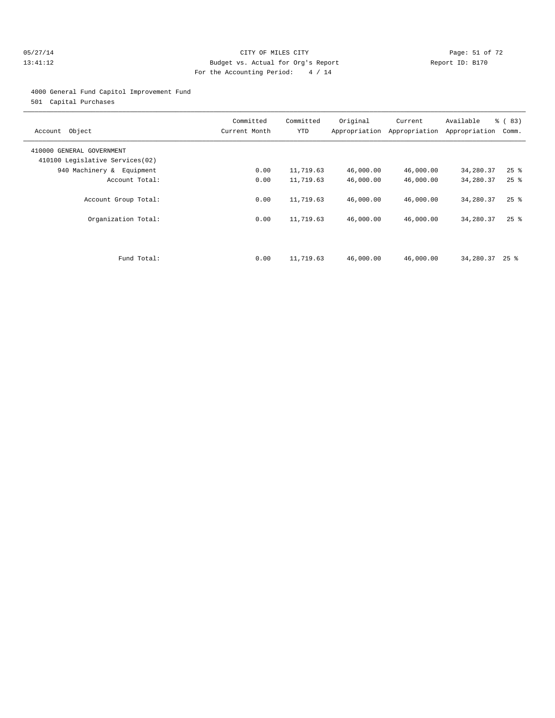#### 05/27/14 Page: 51 of 72 13:41:12 Budget vs. Actual for Org's Report Report ID: B170 For the Accounting Period: 4 / 14

#### 4000 General Fund Capitol Improvement Fund

501 Capital Purchases

| Account Object                                               | Committed<br>Current Month | Committed<br>YTD | Original  | Current<br>Appropriation Appropriation | Available<br>Appropriation | % (83)<br>Comm.    |
|--------------------------------------------------------------|----------------------------|------------------|-----------|----------------------------------------|----------------------------|--------------------|
| 410000 GENERAL GOVERNMENT<br>410100 Legislative Services(02) |                            |                  |           |                                        |                            |                    |
| 940 Machinery & Equipment                                    | 0.00                       | 11,719.63        | 46,000.00 | 46,000.00                              | 34,280.37                  | $25$ $\frac{6}{5}$ |
| Account Total:                                               | 0.00                       | 11,719.63        | 46,000.00 | 46,000.00                              | 34,280.37                  | $25$ $\frac{6}{5}$ |
| Account Group Total:                                         | 0.00                       | 11,719.63        | 46,000.00 | 46,000.00                              | 34,280.37                  | $25$ $\frac{6}{5}$ |
| Organization Total:                                          | 0.00                       | 11,719.63        | 46,000.00 | 46,000.00                              | 34,280.37                  | $25$ $%$           |
|                                                              |                            |                  |           |                                        |                            |                    |
| Fund Total:                                                  | 0.00                       | 11,719.63        | 46,000.00 | 46,000.00                              | 34,280.37                  | 25 %               |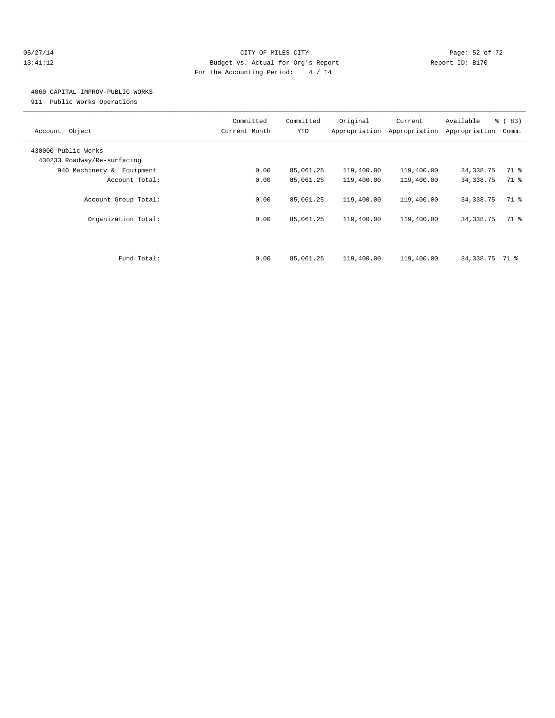#### 05/27/14 Page: 52 of 72 13:41:12 Budget vs. Actual for Org's Report Report ID: B170 For the Accounting Period: 4 / 14

## 4060 CAPITAL IMPROV-PUBLIC WORKS

911 Public Works Operations

| Object<br>Account                                  | Committed<br>Current Month | Committed<br><b>YTD</b> | Original<br>Appropriation | Current<br>Appropriation | Available<br>Appropriation | % (83)<br>Comm. |
|----------------------------------------------------|----------------------------|-------------------------|---------------------------|--------------------------|----------------------------|-----------------|
| 430000 Public Works<br>430233 Roadway/Re-surfacing |                            |                         |                           |                          |                            |                 |
| 940 Machinery & Equipment                          | 0.00                       | 85,061.25               | 119,400.00                | 119,400.00               | 34,338.75                  | 71 %            |
| Account Total:                                     | 0.00                       | 85,061.25               | 119,400.00                | 119,400.00               | 34, 338.75                 | 71 %            |
| Account Group Total:                               | 0.00                       | 85,061.25               | 119,400.00                | 119,400.00               | 34, 338. 75                | 71 %            |
| Organization Total:                                | 0.00                       | 85,061.25               | 119,400.00                | 119,400.00               | 34, 338. 75                | 71 %            |
| Fund Total:                                        | 0.00                       | 85,061.25               | 119,400.00                | 119,400.00               | 34,338.75                  | 71 %            |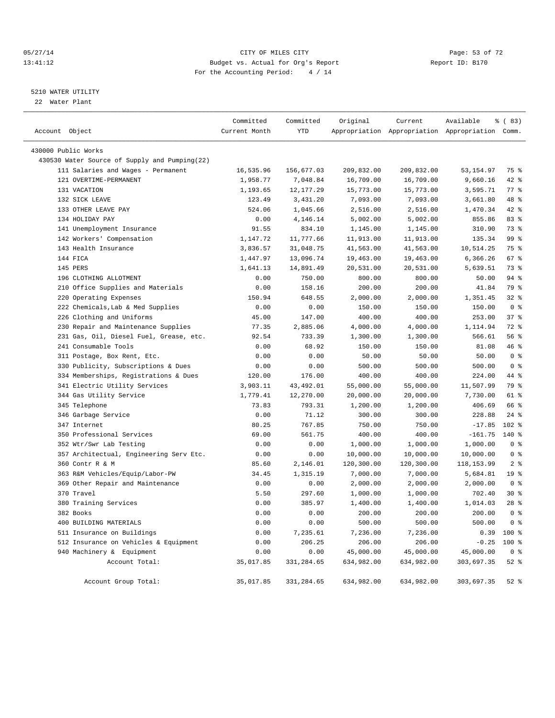#### 05/27/14 Page: 53 of 72 13:41:12 Budget vs. Actual for Org's Report Report ID: B170 For the Accounting Period: 4 / 14

————————————————————————————————————————————————————————————————————————————————————————————————————————————————————————————————————

#### 5210 WATER UTILITY

22 Water Plant

|                                               | Committed     | Committed  | Original   | Current    | Available                                       | % (83)          |
|-----------------------------------------------|---------------|------------|------------|------------|-------------------------------------------------|-----------------|
| Account Object                                | Current Month | <b>YTD</b> |            |            | Appropriation Appropriation Appropriation Comm. |                 |
| 430000 Public Works                           |               |            |            |            |                                                 |                 |
| 430530 Water Source of Supply and Pumping(22) |               |            |            |            |                                                 |                 |
| 111 Salaries and Wages - Permanent            | 16,535.96     | 156,677.03 | 209,832.00 | 209,832.00 | 53, 154.97                                      | 75 %            |
| 121 OVERTIME-PERMANENT                        | 1,958.77      | 7,048.84   | 16,709.00  | 16,709.00  | 9,660.16                                        | 42 %            |
| 131 VACATION                                  | 1,193.65      | 12, 177.29 | 15,773.00  | 15,773.00  | 3,595.71                                        | 77 %            |
| 132 SICK LEAVE                                | 123.49        | 3,431.20   | 7,093.00   | 7,093.00   | 3,661.80                                        | 48 %            |
| 133 OTHER LEAVE PAY                           | 524.06        | 1,045.66   | 2,516.00   | 2,516.00   | 1,470.34                                        | $42$ $%$        |
| 134 HOLIDAY PAY                               | 0.00          | 4,146.14   | 5,002.00   | 5,002.00   | 855.86                                          | 83%             |
| 141 Unemployment Insurance                    | 91.55         | 834.10     | 1,145.00   | 1,145.00   | 310.90                                          | 73 %            |
| 142 Workers' Compensation                     | 1,147.72      | 11,777.66  | 11,913.00  | 11,913.00  | 135.34                                          | 99 %            |
| 143 Health Insurance                          | 3,836.57      | 31,048.75  | 41,563.00  | 41,563.00  | 10,514.25                                       | 75 %            |
| 144 FICA                                      | 1,447.97      | 13,096.74  | 19,463.00  | 19,463.00  | 6,366.26                                        | 67 %            |
| 145 PERS                                      | 1,641.13      | 14,891.49  | 20,531.00  | 20,531.00  | 5,639.51                                        | 73 %            |
| 196 CLOTHING ALLOTMENT                        | 0.00          | 750.00     | 800.00     | 800.00     | 50.00                                           | 94 %            |
| 210 Office Supplies and Materials             | 0.00          | 158.16     | 200.00     | 200.00     | 41.84                                           | 79 %            |
| 220 Operating Expenses                        | 150.94        | 648.55     | 2,000.00   | 2,000.00   | 1,351.45                                        | 32 <sub>8</sub> |
| 222 Chemicals, Lab & Med Supplies             | 0.00          | 0.00       | 150.00     | 150.00     | 150.00                                          | 0 <sup>8</sup>  |
| 226 Clothing and Uniforms                     | 45.00         | 147.00     | 400.00     | 400.00     | 253.00                                          | 37%             |
| 230 Repair and Maintenance Supplies           | 77.35         | 2,885.06   | 4,000.00   | 4,000.00   | 1,114.94                                        | 72 %            |
| 231 Gas, Oil, Diesel Fuel, Grease, etc.       | 92.54         | 733.39     | 1,300.00   | 1,300.00   | 566.61                                          | 56 %            |
| 241 Consumable Tools                          | 0.00          | 68.92      | 150.00     | 150.00     | 81.08                                           | 46 %            |
| 311 Postage, Box Rent, Etc.                   | 0.00          | 0.00       | 50.00      | 50.00      | 50.00                                           | 0 <sup>°</sup>  |
| 330 Publicity, Subscriptions & Dues           | 0.00          | 0.00       | 500.00     | 500.00     | 500.00                                          | 0 <sup>8</sup>  |
| 334 Memberships, Registrations & Dues         | 120.00        | 176.00     | 400.00     | 400.00     | 224.00                                          | 44 %            |
| 341 Electric Utility Services                 | 3,903.11      | 43, 492.01 | 55,000.00  | 55,000.00  | 11,507.99                                       | 79 %            |
| 344 Gas Utility Service                       | 1,779.41      | 12,270.00  | 20,000.00  | 20,000.00  | 7,730.00                                        | 61 %            |
| 345 Telephone                                 | 73.83         | 793.31     | 1,200.00   | 1,200.00   | 406.69                                          | 66 %            |
| 346 Garbage Service                           | 0.00          | 71.12      | 300.00     | 300.00     | 228.88                                          | $24$ %          |
| 347 Internet                                  | 80.25         | 767.85     | 750.00     | 750.00     | $-17.85$                                        | 102 %           |
| 350 Professional Services                     | 69.00         | 561.75     | 400.00     | 400.00     | $-161.75$                                       | 140 %           |
| 352 Wtr/Swr Lab Testing                       | 0.00          | 0.00       | 1,000.00   | 1,000.00   | 1,000.00                                        | 0 <sup>8</sup>  |
| 357 Architectual, Engineering Serv Etc.       | 0.00          | 0.00       | 10,000.00  | 10,000.00  | 10,000.00                                       | 0 <sup>8</sup>  |
| 360 Contr R & M                               | 85.60         | 2,146.01   | 120,300.00 | 120,300.00 | 118, 153.99                                     | 2 <sup>8</sup>  |
| 363 R&M Vehicles/Equip/Labor-PW               | 34.45         | 1,315.19   | 7,000.00   | 7,000.00   | 5,684.81                                        | 19 <sup>°</sup> |
| 369 Other Repair and Maintenance              | 0.00          | 0.00       | 2,000.00   | 2,000.00   | 2,000.00                                        | 0 <sup>8</sup>  |
| 370 Travel                                    | 5.50          | 297.60     | 1,000.00   | 1,000.00   | 702.40                                          | $30*$           |
| 380 Training Services                         | 0.00          | 385.97     | 1,400.00   | 1,400.00   | 1,014.03                                        | $28$ %          |
| 382 Books                                     | 0.00          | 0.00       | 200.00     | 200.00     | 200.00                                          | 0 <sup>8</sup>  |
| 400 BUILDING MATERIALS                        | 0.00          | 0.00       | 500.00     | 500.00     | 500.00                                          | 0 <sup>8</sup>  |
| 511 Insurance on Buildings                    | 0.00          | 7,235.61   | 7,236.00   | 7,236.00   | 0.39                                            | $100*$          |
| 512 Insurance on Vehicles & Equipment         | 0.00          | 206.25     | 206.00     | 206.00     | $-0.25$                                         | $100*$          |
| 940 Machinery & Equipment                     | 0.00          | 0.00       | 45,000.00  | 45,000.00  | 45,000.00                                       | 0 <sup>8</sup>  |
| Account Total:                                | 35,017.85     | 331,284.65 | 634,982.00 | 634,982.00 | 303,697.35                                      | $52$ $%$        |
|                                               |               |            |            |            |                                                 |                 |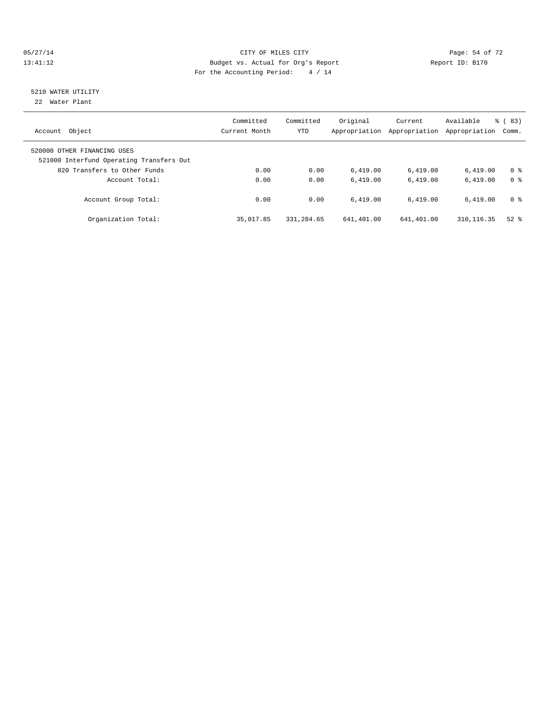#### 05/27/14 Page: 54 of 72 13:41:12 Budget vs. Actual for Org's Report Report ID: B170 For the Accounting Period: 4 / 14

# 5210 WATER UTILITY

22 Water Plant

| Object<br>Account                                                       | Committed<br>Current Month | Committed<br><b>YTD</b> | Original<br>Appropriation | Current<br>Appropriation | Available<br>Appropriation | % (83)<br>Comm. |
|-------------------------------------------------------------------------|----------------------------|-------------------------|---------------------------|--------------------------|----------------------------|-----------------|
| 520000 OTHER FINANCING USES<br>521000 Interfund Operating Transfers Out |                            |                         |                           |                          |                            |                 |
| 820 Transfers to Other Funds                                            | 0.00                       | 0.00                    | 6.419.00                  | 6,419.00                 | 6.419.00                   | 0 <sup>8</sup>  |
| Account Total:                                                          | 0.00                       | 0.00                    | 6.419.00                  | 6.419.00                 | 6.419.00                   | 0 <sup>8</sup>  |
| Account Group Total:                                                    | 0.00                       | 0.00                    | 6.419.00                  | 6.419.00                 | 6.419.00                   | 0 <sup>8</sup>  |
| Organization Total:                                                     | 35,017.85                  | 331,284.65              | 641,401.00                | 641,401.00               | 310, 116.35                | $52$ $%$        |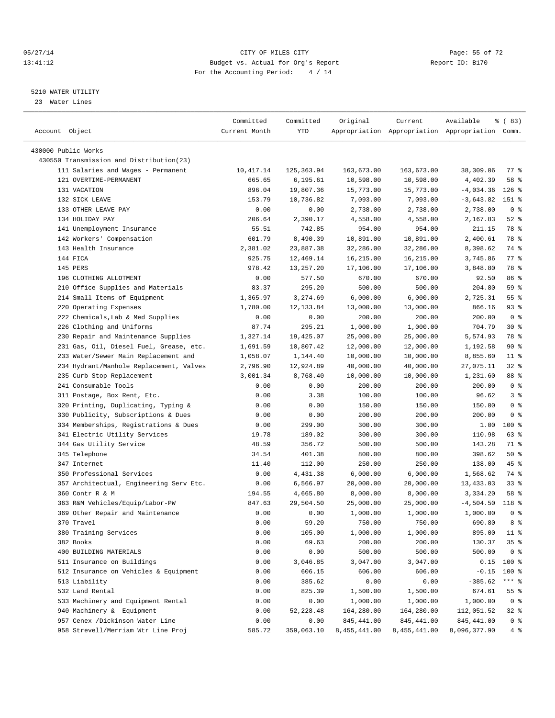#### 05/27/14 Page: 55 of 72 13:41:12 Budget vs. Actual for Org's Report Report ID: B170 For the Accounting Period: 4 / 14

————————————————————————————————————————————————————————————————————————————————————————————————————————————————————————————————————

#### 5210 WATER UTILITY

23 Water Lines

| Account Object                           | Committed<br>Current Month | Committed<br>YTD | Original     | Current      | Available<br>Appropriation Appropriation Appropriation Comm. | % (83)         |
|------------------------------------------|----------------------------|------------------|--------------|--------------|--------------------------------------------------------------|----------------|
| 430000 Public Works                      |                            |                  |              |              |                                                              |                |
| 430550 Transmission and Distribution(23) |                            |                  |              |              |                                                              |                |
| 111 Salaries and Wages - Permanent       | 10,417.14                  | 125, 363.94      | 163,673.00   | 163,673.00   | 38,309.06                                                    | 77 %           |
| 121 OVERTIME-PERMANENT                   | 665.65                     | 6, 195.61        | 10,598.00    | 10,598.00    | 4,402.39                                                     | 58 %           |
| 131 VACATION                             | 896.04                     | 19,807.36        | 15,773.00    | 15,773.00    | $-4,034.36$                                                  | $126$ %        |
| 132 SICK LEAVE                           | 153.79                     | 10,736.82        | 7,093.00     | 7,093.00     | $-3,643.82$                                                  | 151 %          |
| 133 OTHER LEAVE PAY                      | 0.00                       | 0.00             | 2,738.00     | 2,738.00     | 2,738.00                                                     | 0 <sup>8</sup> |
| 134 HOLIDAY PAY                          | 206.64                     | 2,390.17         | 4,558.00     | 4,558.00     | 2,167.83                                                     | $52$ $%$       |
| 141 Unemployment Insurance               | 55.51                      | 742.85           | 954.00       | 954.00       | 211.15                                                       | 78 %           |
| 142 Workers' Compensation                | 601.79                     | 8,490.39         | 10,891.00    | 10,891.00    | 2,400.61                                                     | 78 %           |
| 143 Health Insurance                     | 2,381.02                   | 23,887.38        | 32,286.00    | 32,286.00    | 8,398.62                                                     | 74 %           |
| 144 FICA                                 | 925.75                     | 12,469.14        | 16,215.00    | 16,215.00    | 3,745.86                                                     | 77 %           |
| 145 PERS                                 | 978.42                     | 13,257.20        | 17,106.00    | 17,106.00    | 3,848.80                                                     | 78 %           |
| 196 CLOTHING ALLOTMENT                   | 0.00                       | 577.50           | 670.00       | 670.00       | 92.50                                                        | 86 %           |
| 210 Office Supplies and Materials        |                            | 295.20           | 500.00       | 500.00       | 204.80                                                       | 59 %           |
|                                          | 83.37                      |                  |              | 6,000.00     |                                                              | 55%            |
| 214 Small Items of Equipment             | 1,365.97                   | 3,274.69         | 6,000.00     |              | 2,725.31                                                     | $93$ $%$       |
| 220 Operating Expenses                   | 1,780.00                   | 12,133.84        | 13,000.00    | 13,000.00    | 866.16                                                       |                |
| 222 Chemicals, Lab & Med Supplies        | 0.00                       | 0.00             | 200.00       | 200.00       | 200.00                                                       | 0 <sup>8</sup> |
| 226 Clothing and Uniforms                | 87.74                      | 295.21           | 1,000.00     | 1,000.00     | 704.79                                                       | $30*$          |
| 230 Repair and Maintenance Supplies      | 1,327.14                   | 19,425.07        | 25,000.00    | 25,000.00    | 5,574.93                                                     | 78 %           |
| 231 Gas, Oil, Diesel Fuel, Grease, etc.  | 1,691.59                   | 10,807.42        | 12,000.00    | 12,000.00    | 1,192.58                                                     | 90%            |
| 233 Water/Sewer Main Replacement and     | 1,058.07                   | 1,144.40         | 10,000.00    | 10,000.00    | 8,855.60                                                     | $11$ %         |
| 234 Hydrant/Manhole Replacement, Valves  | 2,796.90                   | 12,924.89        | 40,000.00    | 40,000.00    | 27,075.11                                                    | $32$ $%$       |
| 235 Curb Stop Replacement                | 3,001.34                   | 8,768.40         | 10,000.00    | 10,000.00    | 1,231.60                                                     | 88 %           |
| 241 Consumable Tools                     | 0.00                       | 0.00             | 200.00       | 200.00       | 200.00                                                       | 0 <sup>8</sup> |
| 311 Postage, Box Rent, Etc.              | 0.00                       | 3.38             | 100.00       | 100.00       | 96.62                                                        | 3%             |
| 320 Printing, Duplicating, Typing &      | 0.00                       | 0.00             | 150.00       | 150.00       | 150.00                                                       | 0 <sup>8</sup> |
| 330 Publicity, Subscriptions & Dues      | 0.00                       | 0.00             | 200.00       | 200.00       | 200.00                                                       | 0 <sup>8</sup> |
| 334 Memberships, Registrations & Dues    | 0.00                       | 299.00           | 300.00       | 300.00       | 1.00                                                         | $100$ %        |
| 341 Electric Utility Services            | 19.78                      | 189.02           | 300.00       | 300.00       | 110.98                                                       | 63 %           |
| 344 Gas Utility Service                  | 48.59                      | 356.72           | 500.00       | 500.00       | 143.28                                                       | 71 %           |
| 345 Telephone                            | 34.54                      | 401.38           | 800.00       | 800.00       | 398.62                                                       | 50%            |
| 347 Internet                             | 11.40                      | 112.00           | 250.00       | 250.00       | 138.00                                                       | 45 %           |
| 350 Professional Services                | 0.00                       | 4,431.38         | 6,000.00     | 6,000.00     | 1,568.62                                                     | 74 %           |
| 357 Architectual, Engineering Serv Etc.  | 0.00                       | 6,566.97         | 20,000.00    | 20,000.00    | 13,433.03                                                    | $33$ $%$       |
| 360 Contr R & M                          | 194.55                     | 4,665.80         | 8,000.00     | 8,000.00     | 3,334.20                                                     | 58 %           |
| 363 R&M Vehicles/Equip/Labor-PW          | 847.63                     | 29,504.50        | 25,000.00    | 25,000.00    | $-4,504.50$                                                  | 118 %          |
| 369 Other Repair and Maintenance         | 0.00                       | 0.00             | 1,000.00     | 1,000.00     | 1,000.00                                                     | 0 <sup>8</sup> |
| 370 Travel                               | 0.00                       | 59.20            | 750.00       | 750.00       | 690.80                                                       | 8%             |
| 380 Training Services                    | 0.00                       | 105.00           | 1,000.00     | 1,000.00     | 895.00                                                       | $11*$          |
| 382 Books                                | 0.00                       | 69.63            | 200.00       | 200.00       | 130.37                                                       | 35%            |
| 400 BUILDING MATERIALS                   | 0.00                       | 0.00             | 500.00       | 500.00       | 500.00                                                       | 0 <sup>8</sup> |
| 511 Insurance on Buildings               | 0.00                       | 3,046.85         | 3,047.00     | 3,047.00     | 0.15                                                         | 100 %          |
| 512 Insurance on Vehicles & Equipment    | 0.00                       | 606.15           | 606.00       | 606.00       | $-0.15$                                                      | 100 %          |
| 513 Liability                            | 0.00                       | 385.62           | 0.00         | 0.00         | $-385.62$                                                    | $***$ $_{8}$   |
| 532 Land Rental                          | 0.00                       | 825.39           | 1,500.00     | 1,500.00     | 674.61                                                       | $55$ $%$       |
| 533 Machinery and Equipment Rental       | 0.00                       | 0.00             | 1,000.00     | 1,000.00     | 1,000.00                                                     | 0 <sup>8</sup> |
| 940 Machinery & Equipment                | 0.00                       | 52, 228.48       | 164,280.00   | 164,280.00   | 112,051.52                                                   | $32$ $%$       |
| 957 Cenex /Dickinson Water Line          | 0.00                       | 0.00             | 845,441.00   | 845,441.00   | 845, 441.00                                                  | $0$ %          |
| 958 Strevell/Merriam Wtr Line Proj       | 585.72                     | 359,063.10       | 8,455,441.00 | 8,455,441.00 | 8,096,377.90                                                 | 4%             |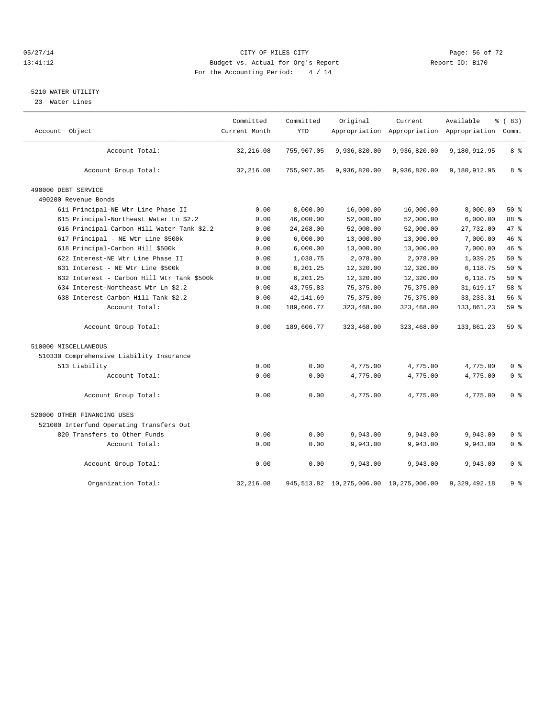#### 05/27/14 Page: 56 of 72 13:41:12 Budget vs. Actual for Org's Report Report ID: B170 For the Accounting Period: 4 / 14

#### 5210 WATER UTILITY

23 Water Lines

| Account Object                             | Committed<br>Current Month | Committed<br><b>YTD</b> | Original                                    | Current      | Available<br>Appropriation Appropriation Appropriation Comm. | % (83)         |
|--------------------------------------------|----------------------------|-------------------------|---------------------------------------------|--------------|--------------------------------------------------------------|----------------|
|                                            |                            |                         |                                             |              |                                                              |                |
| Account Total:                             | 32,216.08                  | 755,907.05              | 9,936,820.00                                | 9,936,820.00 | 9,180,912.95                                                 | 8 %            |
|                                            |                            |                         |                                             |              |                                                              |                |
| Account Group Total:                       | 32,216.08                  | 755,907.05              | 9,936,820.00                                | 9,936,820.00 | 9,180,912.95                                                 | 8 %            |
| 490000 DEBT SERVICE                        |                            |                         |                                             |              |                                                              |                |
| 490200 Revenue Bonds                       |                            |                         |                                             |              |                                                              |                |
| 611 Principal-NE Wtr Line Phase II         | 0.00                       | 8,000.00                | 16,000.00                                   | 16,000.00    | 8,000.00                                                     | 50%            |
| 615 Principal-Northeast Water Ln \$2.2     | 0.00                       | 46,000.00               | 52,000.00                                   | 52,000.00    | 6,000.00                                                     | 88 %           |
| 616 Principal-Carbon Hill Water Tank \$2.2 | 0.00                       | 24,268.00               | 52,000.00                                   | 52,000.00    | 27,732.00                                                    | 47.8           |
| 617 Principal - NE Wtr Line \$500k         | 0.00                       | 6,000.00                | 13,000.00                                   | 13,000.00    | 7,000.00                                                     | 46 %           |
| 618 Principal-Carbon Hill \$500k           | 0.00                       | 6,000.00                | 13,000.00                                   | 13,000.00    | 7,000.00                                                     | 46%            |
| 622 Interest-NE Wtr Line Phase II          | 0.00                       | 1,038.75                | 2,078.00                                    | 2,078.00     | 1,039.25                                                     | 50%            |
| 631 Interest - NE Wtr Line \$500k          | 0.00                       | 6,201.25                | 12,320.00                                   | 12,320.00    | 6,118.75                                                     | 50%            |
| 632 Interest - Carbon Hill Wtr Tank \$500k | 0.00                       | 6,201.25                | 12,320.00                                   | 12,320.00    | 6,118.75                                                     | $50*$          |
| 634 Interest-Northeast Wtr Ln \$2.2        | 0.00                       | 43,755.83               | 75, 375.00                                  | 75, 375.00   | 31,619.17                                                    | 58 %           |
| 638 Interest-Carbon Hill Tank \$2.2        | 0.00                       | 42, 141.69              | 75, 375.00                                  | 75, 375.00   | 33, 233. 31                                                  | 56%            |
| Account Total:                             |                            |                         |                                             |              |                                                              | 59%            |
|                                            | 0.00                       | 189,606.77              | 323,468.00                                  | 323,468.00   | 133,861.23                                                   |                |
| Account Group Total:                       | 0.00                       | 189,606.77              | 323,468.00                                  | 323,468.00   | 133,861.23                                                   | 59 %           |
| 510000 MISCELLANEOUS                       |                            |                         |                                             |              |                                                              |                |
| 510330 Comprehensive Liability Insurance   |                            |                         |                                             |              |                                                              |                |
| 513 Liability                              | 0.00                       | 0.00                    | 4,775.00                                    | 4,775.00     | 4,775.00                                                     | 0 <sup>8</sup> |
| Account Total:                             | 0.00                       | 0.00                    | 4,775.00                                    | 4,775.00     | 4,775.00                                                     | 0 <sup>8</sup> |
|                                            |                            |                         |                                             |              |                                                              |                |
| Account Group Total:                       | 0.00                       | 0.00                    | 4,775.00                                    | 4,775.00     | 4.775.00                                                     | 0 <sup>8</sup> |
| 520000 OTHER FINANCING USES                |                            |                         |                                             |              |                                                              |                |
| 521000 Interfund Operating Transfers Out   |                            |                         |                                             |              |                                                              |                |
| 820 Transfers to Other Funds               | 0.00                       | 0.00                    | 9,943.00                                    | 9,943.00     | 9,943.00                                                     | 0 <sup>8</sup> |
| Account Total:                             | 0.00                       | 0.00                    | 9,943.00                                    | 9,943.00     | 9,943.00                                                     | 0 <sup>8</sup> |
| Account Group Total:                       | 0.00                       | 0.00                    | 9,943.00                                    | 9,943.00     | 9,943.00                                                     | 0 <sup>8</sup> |
| Organization Total:                        | 32, 216.08                 |                         | 945, 513.82 10, 275, 006.00 10, 275, 006.00 |              | 9,329,492.18                                                 | 9%             |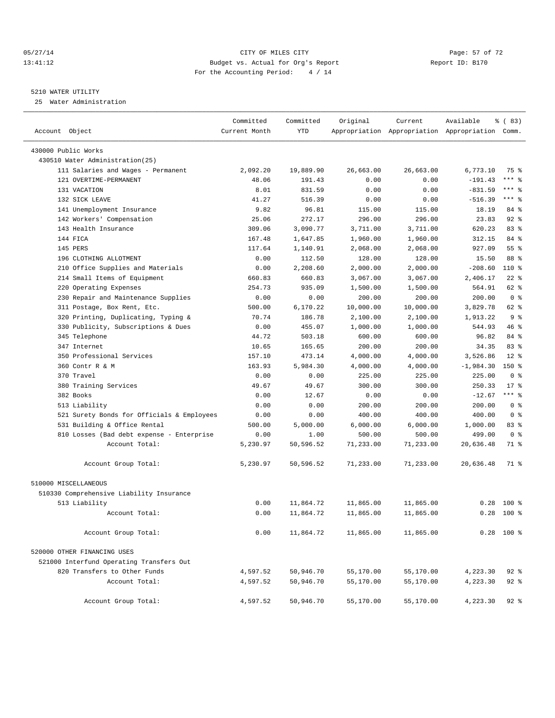#### 05/27/14 Page: 57 of 72 13:41:12 Budget vs. Actual for Org's Report Report ID: B170 For the Accounting Period: 4 / 14

————————————————————————————————————————————————————————————————————————————————————————————————————————————————————————————————————

#### 5210 WATER UTILITY

25 Water Administration

|                                            | Committed     | Committed  | Original  | Current   | Available                                       | $\frac{8}{6}$ (83) |
|--------------------------------------------|---------------|------------|-----------|-----------|-------------------------------------------------|--------------------|
| Account Object                             | Current Month | <b>YTD</b> |           |           | Appropriation Appropriation Appropriation Comm. |                    |
| 430000 Public Works                        |               |            |           |           |                                                 |                    |
| 430510 Water Administration(25)            |               |            |           |           |                                                 |                    |
| 111 Salaries and Wages - Permanent         | 2,092.20      | 19,889.90  | 26,663.00 | 26,663.00 | 6,773.10                                        | 75 %               |
| 121 OVERTIME-PERMANENT                     | 48.06         | 191.43     | 0.00      | 0.00      | $-191.43$                                       | $***$ $-$          |
| 131 VACATION                               | 8.01          | 831.59     | 0.00      | 0.00      | $-831.59$                                       | $***$ $-$          |
| 132 SICK LEAVE                             | 41.27         | 516.39     | 0.00      | 0.00      | $-516.39$                                       | $***$ $-$          |
| 141 Unemployment Insurance                 | 9.82          | 96.81      | 115.00    | 115.00    | 18.19                                           | 84 %               |
| 142 Workers' Compensation                  | 25.06         | 272.17     | 296.00    | 296.00    | 23.83                                           | $92$ %             |
| 143 Health Insurance                       | 309.06        | 3,090.77   | 3,711.00  | 3,711.00  | 620.23                                          | 83%                |
| 144 FICA                                   | 167.48        | 1,647.85   | 1,960.00  | 1,960.00  | 312.15                                          | 84 %               |
| 145 PERS                                   | 117.64        | 1,140.91   | 2,068.00  | 2,068.00  | 927.09                                          | 55%                |
| 196 CLOTHING ALLOTMENT                     | 0.00          | 112.50     | 128.00    | 128.00    | 15.50                                           | 88 %               |
| 210 Office Supplies and Materials          | 0.00          | 2,208.60   | 2,000.00  | 2,000.00  | $-208.60$                                       | $110*$             |
| 214 Small Items of Equipment               | 660.83        | 660.83     | 3,067.00  | 3,067.00  | 2,406.17                                        | $22$ %             |
| 220 Operating Expenses                     | 254.73        | 935.09     | 1,500.00  | 1,500.00  | 564.91                                          | 62 %               |
| 230 Repair and Maintenance Supplies        | 0.00          | 0.00       | 200.00    | 200.00    | 200.00                                          | 0 <sup>8</sup>     |
| 311 Postage, Box Rent, Etc.                | 500.00        | 6,170.22   | 10,000.00 | 10,000.00 | 3,829.78                                        | 62 %               |
| 320 Printing, Duplicating, Typing &        | 70.74         | 186.78     | 2,100.00  | 2,100.00  | 1,913.22                                        | 9 <sup>8</sup>     |
| 330 Publicity, Subscriptions & Dues        | 0.00          | 455.07     | 1,000.00  | 1,000.00  | 544.93                                          | 46 %               |
| 345 Telephone                              | 44.72         | 503.18     | 600.00    | 600.00    | 96.82                                           | 84 %               |
| 347 Internet                               | 10.65         | 165.65     | 200.00    | 200.00    | 34.35                                           | 83 %               |
| 350 Professional Services                  | 157.10        | 473.14     | 4,000.00  | 4,000.00  | 3,526.86                                        | $12*$              |
| 360 Contr R & M                            | 163.93        | 5,984.30   | 4,000.00  | 4,000.00  | $-1,984.30$                                     | $150*$             |
| 370 Travel                                 | 0.00          | 0.00       | 225.00    | 225.00    | 225.00                                          | 0 <sup>8</sup>     |
| 380 Training Services                      | 49.67         | 49.67      | 300.00    | 300.00    | 250.33                                          | $17$ %             |
| 382 Books                                  | 0.00          | 12.67      | 0.00      | 0.00      | $-12.67$                                        | $***$ $-$          |
| 513 Liability                              | 0.00          | 0.00       | 200.00    | 200.00    | 200.00                                          | 0 <sup>8</sup>     |
| 521 Surety Bonds for Officials & Employees | 0.00          | 0.00       | 400.00    | 400.00    | 400.00                                          | 0 <sup>8</sup>     |
| 531 Building & Office Rental               | 500.00        | 5,000.00   | 6,000.00  | 6,000.00  | 1,000.00                                        | 83%                |
| 810 Losses (Bad debt expense - Enterprise  | 0.00          | 1.00       | 500.00    | 500.00    | 499.00                                          | 0 <sup>8</sup>     |
| Account Total:                             | 5,230.97      | 50,596.52  | 71,233.00 | 71,233.00 | 20,636.48                                       | 71 %               |
| Account Group Total:                       | 5,230.97      | 50,596.52  | 71,233.00 | 71,233.00 | 20,636.48                                       | 71 %               |
| 510000 MISCELLANEOUS                       |               |            |           |           |                                                 |                    |
| 510330 Comprehensive Liability Insurance   |               |            |           |           |                                                 |                    |
| 513 Liability                              | 0.00          | 11,864.72  | 11,865.00 | 11,865.00 | 0.28                                            | $100*$             |
| Account Total:                             | 0.00          | 11,864.72  | 11,865.00 | 11,865.00 | 0.28                                            | 100 %              |
| Account Group Total:                       | 0.00          | 11,864.72  | 11,865.00 | 11,865.00 |                                                 | $0.28$ 100 %       |
| 520000 OTHER FINANCING USES                |               |            |           |           |                                                 |                    |
| 521000 Interfund Operating Transfers Out   |               |            |           |           |                                                 |                    |
| 820 Transfers to Other Funds               | 4,597.52      | 50,946.70  | 55,170.00 | 55,170.00 | 4,223.30                                        | $92$ $%$           |
| Account Total:                             | 4,597.52      | 50,946.70  | 55,170.00 | 55,170.00 | 4,223.30                                        | $92$ $%$           |
| Account Group Total:                       | 4,597.52      | 50,946.70  | 55,170.00 | 55,170.00 | 4,223.30                                        | $92$ $%$           |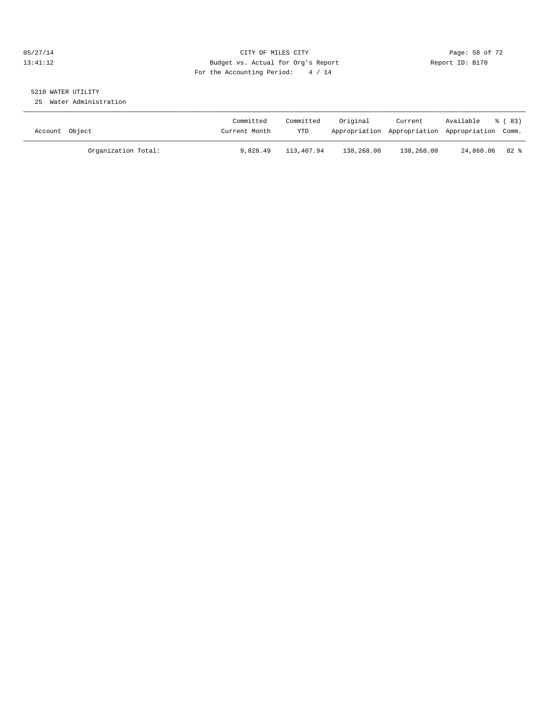#### 05/27/14 Page: 58 of 72 13:41:12 Budget vs. Actual for Org's Report Report ID: B170 For the Accounting Period: 4 / 14

# 5210 WATER UTILITY

25 Water Administration

| Account Object      | Committed<br>Current Month | Committed<br>YTD | Original   | Current<br>Appropriation Appropriation Appropriation Comm. | Available      | ී (83) |
|---------------------|----------------------------|------------------|------------|------------------------------------------------------------|----------------|--------|
| Organization Total: | 9,828.49                   | 113,407.94       | 138,268.00 | 138,268.00                                                 | 24,860.06 82 % |        |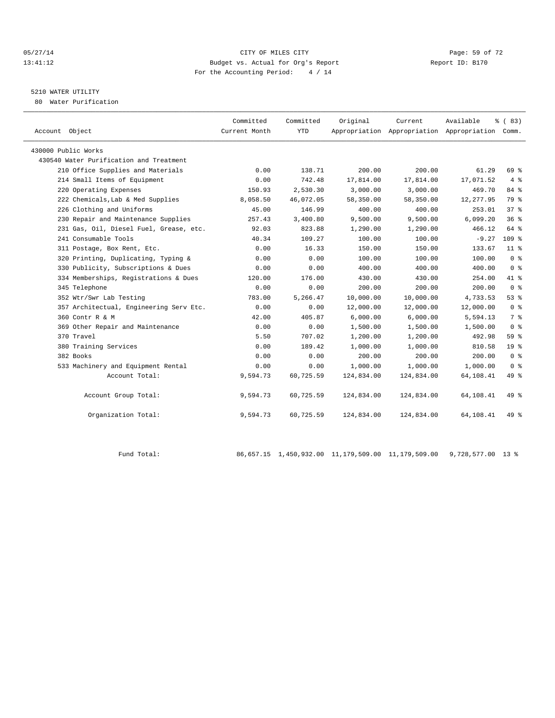#### 05/27/14 Page: 59 of 72 13:41:12 Budget vs. Actual for Org's Report Report ID: B170 For the Accounting Period: 4 / 14

## 5210 WATER UTILITY

80 Water Purification

| Account Object                          | Committed<br>Current Month | Committed<br><b>YTD</b> | Original   | Current    | Available<br>Appropriation Appropriation Appropriation Comm. | 8 (83)           |  |
|-----------------------------------------|----------------------------|-------------------------|------------|------------|--------------------------------------------------------------|------------------|--|
| 430000 Public Works                     |                            |                         |            |            |                                                              |                  |  |
| 430540 Water Purification and Treatment |                            |                         |            |            |                                                              |                  |  |
| 210 Office Supplies and Materials       | 0.00                       | 138.71                  | 200.00     | 200.00     | 61.29                                                        | 69 %             |  |
| 214 Small Items of Equipment            | 0.00                       | 742.48                  | 17,814.00  | 17,814.00  | 17,071.52                                                    | $4 \text{ }$     |  |
| 220 Operating Expenses                  | 150.93                     | 2,530.30                | 3,000.00   | 3,000.00   | 469.70                                                       | 84 %             |  |
| 222 Chemicals, Lab & Med Supplies       | 8,058.50                   | 46,072.05               | 58,350.00  | 58,350.00  | 12, 277.95                                                   | 79 %             |  |
| 226 Clothing and Uniforms               | 45.00                      | 146.99                  | 400.00     | 400.00     | 253.01                                                       | $37*$            |  |
| 230 Repair and Maintenance Supplies     | 257.43                     | 3,400.80                | 9,500.00   | 9,500.00   | 6,099.20                                                     | 36%              |  |
| 231 Gas, Oil, Diesel Fuel, Grease, etc. | 92.03                      | 823.88                  | 1,290.00   | 1,290.00   | 466.12                                                       | 64 %             |  |
| 241 Consumable Tools                    | 40.34                      | 109.27                  | 100.00     | 100.00     | $-9.27$                                                      | 109 <sup>8</sup> |  |
| 311 Postage, Box Rent, Etc.             | 0.00                       | 16.33                   | 150.00     | 150.00     | 133.67                                                       | 11 <sup>8</sup>  |  |
| 320 Printing, Duplicating, Typing &     | 0.00                       | 0.00                    | 100.00     | 100.00     | 100.00                                                       | 0 <sup>8</sup>   |  |
| 330 Publicity, Subscriptions & Dues     | 0.00                       | 0.00                    | 400.00     | 400.00     | 400.00                                                       | 0 <sup>8</sup>   |  |
| 334 Memberships, Registrations & Dues   | 120.00                     | 176.00                  | 430.00     | 430.00     | 254.00                                                       | 41 %             |  |
| 345 Telephone                           | 0.00                       | 0.00                    | 200.00     | 200.00     | 200.00                                                       | 0 <sup>8</sup>   |  |
| 352 Wtr/Swr Lab Testing                 | 783.00                     | 5,266.47                | 10,000.00  | 10,000.00  | 4,733.53                                                     | 53%              |  |
| 357 Architectual, Engineering Serv Etc. | 0.00                       | 0.00                    | 12,000.00  | 12,000.00  | 12,000.00                                                    | 0 <sup>8</sup>   |  |
| 360 Contr R & M                         | 42.00                      | 405.87                  | 6,000.00   | 6,000.00   | 5,594.13                                                     | 7 %              |  |
| 369 Other Repair and Maintenance        | 0.00                       | 0.00                    | 1,500.00   | 1,500.00   | 1,500.00                                                     | 0 <sup>8</sup>   |  |
| 370 Travel                              | 5.50                       | 707.02                  | 1,200.00   | 1,200.00   | 492.98                                                       | 59 <sub>8</sub>  |  |
| 380 Training Services                   | 0.00                       | 189.42                  | 1,000.00   | 1,000.00   | 810.58                                                       | 19 <sup>°</sup>  |  |
| 382 Books                               | 0.00                       | 0.00                    | 200.00     | 200.00     | 200.00                                                       | 0 <sup>8</sup>   |  |
| 533 Machinery and Equipment Rental      | 0.00                       | 0.00                    | 1,000.00   | 1,000.00   | 1,000.00                                                     | 0 <sup>8</sup>   |  |
| Account Total:                          | 9,594.73                   | 60,725.59               | 124,834.00 | 124,834.00 | 64,108.41                                                    | 49 %             |  |
| Account Group Total:                    | 9,594.73                   | 60,725.59               | 124,834.00 | 124,834.00 | 64,108.41                                                    | 49 %             |  |
| Organization Total:                     | 9,594.73                   | 60,725.59               | 124,834.00 | 124,834.00 | 64,108.41                                                    | 49 %             |  |
|                                         |                            |                         |            |            |                                                              |                  |  |

Fund Total: 86,657.15 1,450,932.00 11,179,509.00 11,179,509.00 9,728,577.00 13 %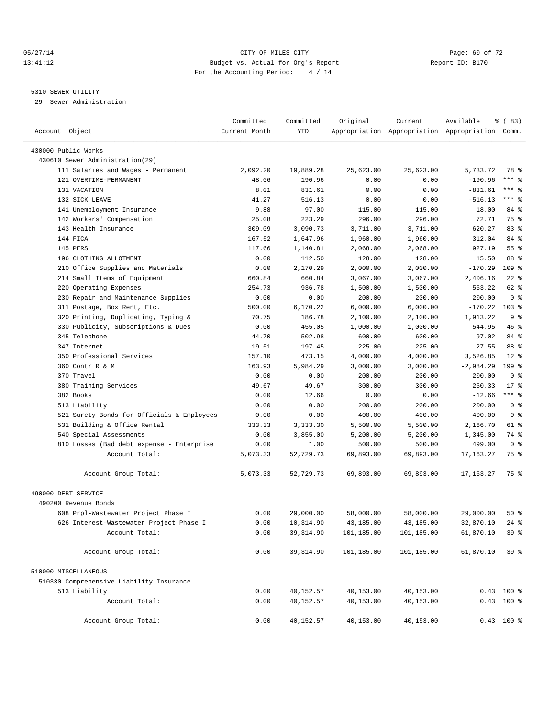#### 05/27/14 Page: 60 of 72 13:41:12 Budget vs. Actual for Org's Report Report ID: B170 For the Accounting Period: 4 / 14

————————————————————————————————————————————————————————————————————————————————————————————————————————————————————————————————————

#### 5310 SEWER UTILITY

29 Sewer Administration

|                                            | Committed     | Committed          | Original   | Current            | Available                                       | $\frac{8}{6}$ (83) |  |
|--------------------------------------------|---------------|--------------------|------------|--------------------|-------------------------------------------------|--------------------|--|
| Account Object                             | Current Month | <b>YTD</b>         |            |                    | Appropriation Appropriation Appropriation Comm. |                    |  |
| 430000 Public Works                        |               |                    |            |                    |                                                 |                    |  |
| 430610 Sewer Administration(29)            |               |                    |            |                    |                                                 |                    |  |
| 111 Salaries and Wages - Permanent         | 2,092.20      | 19,889.28          | 25,623.00  | 25,623.00          | 5,733.72                                        | 78 %               |  |
| 121 OVERTIME-PERMANENT                     | 48.06         | 190.96             | 0.00       | 0.00               | $-190.96$                                       | $***$ $-$          |  |
| 131 VACATION                               | 8.01          | 831.61             | 0.00       | 0.00               | $-831.61$                                       | *** 응              |  |
| 132 SICK LEAVE                             | 41.27         | 516.13             | 0.00       | 0.00               | $-516.13$                                       | $***$ $-$          |  |
| 141 Unemployment Insurance                 | 9.88          | 97.00              | 115.00     | 115.00             | 18.00                                           | 84 %               |  |
| 142 Workers' Compensation                  | 25.08         | 223.29             | 296.00     | 296.00             | 72.71                                           | 75 %               |  |
| 143 Health Insurance                       | 309.09        | 3,090.73           | 3,711.00   | 3,711.00           | 620.27                                          | 83%                |  |
| 144 FICA                                   | 167.52        | 1,647.96           | 1,960.00   | 1,960.00           | 312.04                                          | 84 %               |  |
| 145 PERS                                   | 117.66        | 1,140.81           | 2,068.00   | 2,068.00           | 927.19                                          | 55 <sup>8</sup>    |  |
| 196 CLOTHING ALLOTMENT                     | 0.00          | 112.50             | 128.00     | 128.00             | 15.50                                           | 88 %               |  |
| 210 Office Supplies and Materials          | 0.00          | 2,170.29           | 2,000.00   | 2,000.00           | $-170.29$                                       | $109$ %            |  |
| 214 Small Items of Equipment               | 660.84        | 660.84             | 3,067.00   | 3,067.00           | 2,406.16                                        | $22$ %             |  |
|                                            |               |                    |            |                    | 563.22                                          | 62 %               |  |
| 220 Operating Expenses                     | 254.73        | 936.78             | 1,500.00   | 1,500.00<br>200.00 | 200.00                                          | 0 <sup>8</sup>     |  |
| 230 Repair and Maintenance Supplies        | 0.00          | 0.00               | 200.00     |                    | $-170.22$                                       | $103*$             |  |
| 311 Postage, Box Rent, Etc.                | 500.00        | 6,170.22<br>186.78 | 6,000.00   | 6,000.00           | 1,913.22                                        | 9%                 |  |
| 320 Printing, Duplicating, Typing &        | 70.75         | 455.05             | 2,100.00   | 2,100.00           |                                                 | 46 %               |  |
| 330 Publicity, Subscriptions & Dues        | 0.00          |                    | 1,000.00   | 1,000.00           | 544.95                                          |                    |  |
| 345 Telephone                              | 44.70         | 502.98<br>197.45   | 600.00     | 600.00             | 97.02                                           | 84 %               |  |
| 347 Internet<br>350 Professional Services  | 19.51         |                    | 225.00     | 225.00             | 27.55                                           | 88 %               |  |
|                                            | 157.10        | 473.15             | 4,000.00   | 4,000.00           | 3,526.85                                        | $12$ %             |  |
| 360 Contr R & M                            | 163.93        | 5,984.29           | 3,000.00   | 3,000.00           | $-2,984.29$                                     | $199$ %            |  |
| 370 Travel                                 | 0.00          | 0.00               | 200.00     | 200.00             | 200.00                                          | 0 <sup>8</sup>     |  |
| 380 Training Services                      | 49.67         | 49.67              | 300.00     | 300.00             | 250.33                                          | $17*$              |  |
| 382 Books                                  | 0.00          | 12.66              | 0.00       | 0.00               | $-12.66$                                        | $***$ $-$          |  |
| 513 Liability                              | 0.00          | 0.00               | 200.00     | 200.00             | 200.00                                          | 0 <sup>8</sup>     |  |
| 521 Surety Bonds for Officials & Employees | 0.00          | 0.00               | 400.00     | 400.00             | 400.00                                          | 0 <sup>8</sup>     |  |
| 531 Building & Office Rental               | 333.33        | 3,333.30           | 5,500.00   | 5,500.00           | 2,166.70                                        | 61 %               |  |
| 540 Special Assessments                    | 0.00          | 3,855.00           | 5,200.00   | 5,200.00           | 1,345.00                                        | 74 %               |  |
| 810 Losses (Bad debt expense - Enterprise  | 0.00          | 1.00               | 500.00     | 500.00             | 499.00                                          | 0 <sup>8</sup>     |  |
| Account Total:                             | 5,073.33      | 52,729.73          | 69,893.00  | 69,893.00          | 17, 163. 27                                     | 75 %               |  |
| Account Group Total:                       | 5,073.33      | 52,729.73          | 69,893.00  | 69,893.00          | 17,163.27                                       | 75 %               |  |
| 490000 DEBT SERVICE                        |               |                    |            |                    |                                                 |                    |  |
| 490200 Revenue Bonds                       |               |                    |            |                    |                                                 |                    |  |
| 608 Prpl-Wastewater Project Phase I        | 0.00          | 29,000.00          | 58,000.00  | 58,000.00          | 29,000.00                                       | $50*$              |  |
| 626 Interest-Wastewater Project Phase I    | 0.00          | 10,314.90          | 43,185.00  | 43,185.00          | 32,870.10                                       | $24$ %             |  |
| Account Total:                             | 0.00          | 39, 314.90         | 101,185.00 | 101,185.00         | 61,870.10                                       | 39%                |  |
| Account Group Total:                       | 0.00          | 39, 314.90         | 101,185.00 | 101,185.00         | 61,870.10                                       | 39%                |  |
| 510000 MISCELLANEOUS                       |               |                    |            |                    |                                                 |                    |  |
| 510330 Comprehensive Liability Insurance   |               |                    |            |                    |                                                 |                    |  |
| 513 Liability                              | 0.00          | 40,152.57          | 40,153.00  | 40,153.00          |                                                 | $0.43$ 100 %       |  |
| Account Total:                             | 0.00          | 40,152.57          | 40,153.00  | 40,153.00          |                                                 | $0.43$ 100 %       |  |
| Account Group Total:                       | 0.00          | 40,152.57          | 40,153.00  | 40,153.00          |                                                 | $0.43$ 100 %       |  |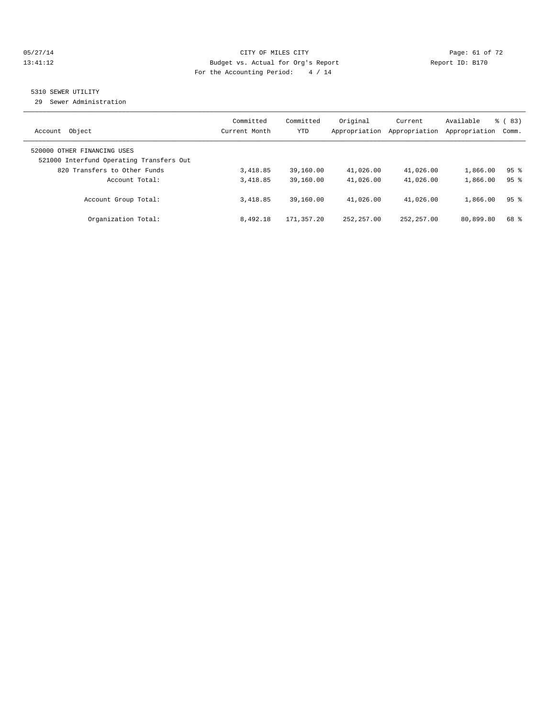#### 05/27/14 Page: 61 of 72 13:41:12 Budget vs. Actual for Org's Report Report ID: B170 For the Accounting Period: 4 / 14

## 5310 SEWER UTILITY

29 Sewer Administration

| Object                                                                                                  | Committed     | Committed  | Original      | Current       | Available     | $\frac{6}{6}$ (83) |
|---------------------------------------------------------------------------------------------------------|---------------|------------|---------------|---------------|---------------|--------------------|
| Account                                                                                                 | Current Month | YTD        | Appropriation | Appropriation | Appropriation | Comm.              |
| 520000 OTHER FINANCING USES<br>521000 Interfund Operating Transfers Out<br>820 Transfers to Other Funds | 3,418.85      | 39,160.00  | 41,026.00     | 41,026.00     | 1,866.00      | 95 <sub>8</sub>    |
| Account Total:                                                                                          | 3,418.85      | 39,160.00  | 41,026.00     | 41,026.00     | 1,866.00      | 95%                |
| Account Group Total:                                                                                    | 3,418.85      | 39,160.00  | 41,026.00     | 41,026.00     | 1,866.00      | 95 <sup>8</sup>    |
| Organization Total:                                                                                     | 8,492.18      | 171,357.20 | 252, 257, 00  | 252, 257, 00  | 80,899.80     | 68 %               |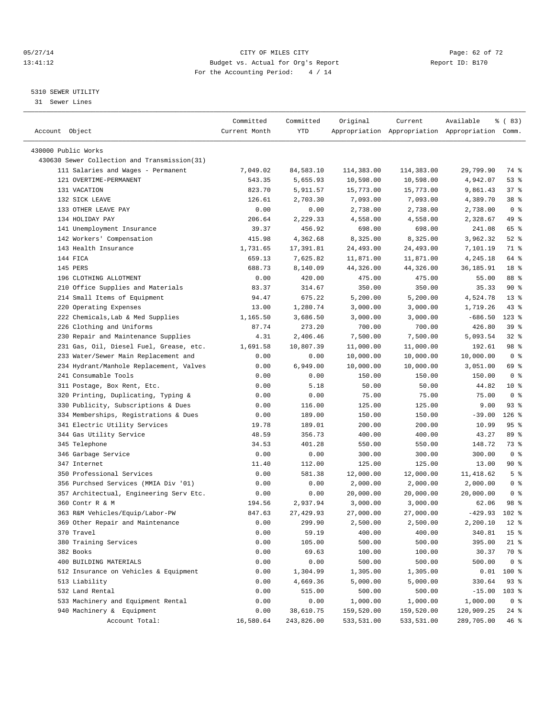#### 05/27/14 Page: 62 of 72 13:41:12 Budget vs. Actual for Org's Report Report ID: B170 For the Accounting Period: 4 / 14

————————————————————————————————————————————————————————————————————————————————————————————————————————————————————————————————————

#### 5310 SEWER UTILITY

31 Sewer Lines

|                                                                                 | Committed     | Committed        | Original              | Current               | Available                                       | १ ( 83)                    |
|---------------------------------------------------------------------------------|---------------|------------------|-----------------------|-----------------------|-------------------------------------------------|----------------------------|
| Account Object                                                                  | Current Month | YTD              |                       |                       | Appropriation Appropriation Appropriation Comm. |                            |
|                                                                                 |               |                  |                       |                       |                                                 |                            |
| 430000 Public Works                                                             |               |                  |                       |                       |                                                 |                            |
| 430630 Sewer Collection and Transmission(31)                                    |               |                  |                       |                       |                                                 |                            |
| 111 Salaries and Wages - Permanent                                              | 7,049.02      | 84,583.10        | 114,383.00            | 114,383.00            | 29,799.90                                       | 74 %                       |
| 121 OVERTIME-PERMANENT                                                          | 543.35        | 5,655.93         | 10,598.00             | 10,598.00             | 4,942.07                                        | 53%                        |
| 131 VACATION                                                                    | 823.70        | 5,911.57         | 15,773.00             | 15,773.00             | 9,861.43                                        | 37%                        |
| 132 SICK LEAVE<br>133 OTHER LEAVE PAY                                           | 126.61        | 2,703.30         | 7,093.00              | 7,093.00              | 4,389.70                                        | 38 %                       |
|                                                                                 | 0.00          | 0.00             | 2,738.00              | 2,738.00              | 2,738.00                                        | 0 <sup>8</sup>             |
| 134 HOLIDAY PAY                                                                 | 206.64        | 2,229.33         | 4,558.00              | 4,558.00              | 2,328.67                                        | 49 %                       |
| 141 Unemployment Insurance                                                      | 39.37         | 456.92           | 698.00                | 698.00                | 241.08<br>3,962.32                              | 65 %<br>$52$ $%$           |
| 142 Workers' Compensation                                                       | 415.98        | 4,362.68         | 8,325.00              | 8,325.00              |                                                 |                            |
| 143 Health Insurance                                                            | 1,731.65      | 17,391.81        | 24,493.00             | 24,493.00             | 7,101.19                                        | 71 %<br>64 %               |
| 144 FICA                                                                        | 659.13        | 7,625.82         | 11,871.00             | 11,871.00             | 4,245.18                                        |                            |
| 145 PERS                                                                        | 688.73        | 8,140.09         | 44,326.00             | 44,326.00             | 36,185.91                                       | 18 <sup>°</sup>            |
| 196 CLOTHING ALLOTMENT                                                          | 0.00          | 420.00           | 475.00                | 475.00                | 55.00                                           | 88 %<br>90%                |
| 210 Office Supplies and Materials                                               | 83.37         | 314.67           | 350.00                | 350.00                | 35.33                                           |                            |
| 214 Small Items of Equipment<br>220 Operating Expenses                          | 94.47         | 675.22           | 5,200.00              | 5,200.00              | 4,524.78                                        | $13*$<br>$43$ $%$          |
|                                                                                 | 13.00         | 1,280.74         | 3,000.00              | 3,000.00              | 1,719.26                                        |                            |
| 222 Chemicals, Lab & Med Supplies                                               | 1,165.50      | 3,686.50         | 3,000.00              | 3,000.00              | $-686.50$                                       | $123$ %                    |
| 226 Clothing and Uniforms<br>230 Repair and Maintenance Supplies                | 87.74         | 273.20           | 700.00                | 700.00                | 426.80<br>5,093.54                              | 39 %                       |
|                                                                                 | 4.31          | 2,406.46         | 7,500.00              | 7,500.00              |                                                 | $32$ $%$                   |
| 231 Gas, Oil, Diesel Fuel, Grease, etc.                                         | 1,691.58      | 10,807.39        | 11,000.00             | 11,000.00             | 192.61                                          | 98 %<br>0 <sup>8</sup>     |
| 233 Water/Sewer Main Replacement and<br>234 Hydrant/Manhole Replacement, Valves | 0.00          | 0.00             | 10,000.00             | 10,000.00             | 10,000.00                                       | 69 %                       |
| 241 Consumable Tools                                                            | 0.00          | 6,949.00         | 10,000.00             | 10,000.00             | 3,051.00                                        |                            |
|                                                                                 | 0.00          | 0.00             | 150.00                | 150.00                | 150.00                                          | 0 <sup>8</sup>             |
| 311 Postage, Box Rent, Etc.                                                     | 0.00          | 5.18             | 50.00                 | 50.00                 | 44.82                                           | $10*$                      |
| 320 Printing, Duplicating, Typing &                                             | 0.00          | 0.00             | 75.00                 | 75.00                 | 75.00                                           | 0 <sup>8</sup><br>$93$ $%$ |
| 330 Publicity, Subscriptions & Dues                                             | 0.00          | 116.00           | 125.00                | 125.00                | 9.00                                            |                            |
| 334 Memberships, Registrations & Dues                                           | 0.00          | 189.00           | 150.00                | 150.00                | $-39.00$                                        | $126$ %                    |
| 341 Electric Utility Services                                                   | 19.78         | 189.01           | 200.00                | 200.00                | 10.99                                           | 95%                        |
| 344 Gas Utility Service                                                         | 48.59         | 356.73           | 400.00                | 400.00                | 43.27                                           | 89 %                       |
| 345 Telephone                                                                   | 34.53         | 401.28           | 550.00                | 550.00                | 148.72<br>300.00                                | 73 %<br>0 <sup>8</sup>     |
| 346 Garbage Service<br>347 Internet                                             | 0.00          | 0.00             | 300.00                | 300.00                |                                                 | 90%                        |
| 350 Professional Services                                                       | 11.40<br>0.00 | 112.00<br>581.38 | 125.00                | 125.00                | 13.00                                           | 5 <sup>°</sup>             |
| 356 Purchsed Services (MMIA Div '01)                                            | 0.00          | 0.00             | 12,000.00<br>2,000.00 | 12,000.00<br>2,000.00 | 11,418.62<br>2,000.00                           | 0 <sup>8</sup>             |
|                                                                                 | 0.00          | 0.00             |                       | 20,000.00             | 20,000.00                                       | 0 <sup>8</sup>             |
| 357 Architectual, Engineering Serv Etc.<br>360 Contr R & M                      | 194.56        | 2,937.94         | 20,000.00<br>3,000.00 | 3,000.00              | 62.06                                           | 98 %                       |
| 363 R&M Vehicles/Equip/Labor-PW                                                 | 847.63        | 27, 429.93       | 27,000.00             | 27,000.00             | $-429.93$                                       | $102$ %                    |
| 369 Other Repair and Maintenance                                                | 0.00          | 299.90           | 2,500.00              | 2,500.00              | 2,200.10                                        | $12*$                      |
| 370 Travel                                                                      | 0.00          | 59.19            | 400.00                | 400.00                | 340.81                                          | 15 <sup>°</sup>            |
| 380 Training Services                                                           | 0.00          | 105.00           | 500.00                | 500.00                | 395.00                                          | $21$ %                     |
| 382 Books                                                                       | 0.00          | 69.63            | 100.00                | 100.00                | 30.37                                           | 70 %                       |
| 400 BUILDING MATERIALS                                                          | 0.00          | 0.00             | 500.00                | 500.00                | 500.00                                          | 0 <sup>8</sup>             |
| 512 Insurance on Vehicles & Equipment                                           | 0.00          | 1,304.99         | 1,305.00              | 1,305.00              | 0.01                                            | 100 %                      |
| 513 Liability                                                                   | 0.00          | 4,669.36         | 5,000.00              | 5,000.00              | 330.64                                          | 93%                        |
| 532 Land Rental                                                                 | 0.00          | 515.00           | 500.00                | 500.00                | $-15.00$                                        | $103$ %                    |
| 533 Machinery and Equipment Rental                                              | 0.00          | 0.00             | 1,000.00              | 1,000.00              | 1,000.00                                        | 0 <sup>8</sup>             |
| 940 Machinery & Equipment                                                       | 0.00          | 38,610.75        | 159,520.00            | 159,520.00            | 120,909.25                                      | 24 %                       |
| Account Total:                                                                  | 16,580.64     | 243,826.00       | 533,531.00            | 533,531.00            | 289,705.00                                      | 46 %                       |
|                                                                                 |               |                  |                       |                       |                                                 |                            |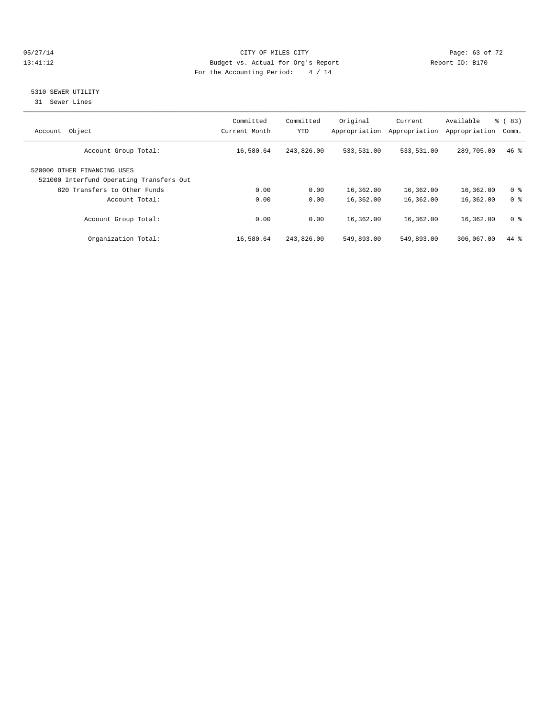#### 05/27/14 Page: 63 of 72 13:41:12 Budget vs. Actual for Org's Report Report ID: B170 For the Accounting Period: 4 / 14

#### 5310 SEWER UTILITY

31 Sewer Lines

| Object<br>Account                                                       | Committed<br>Current Month | Committed<br><b>YTD</b> | Original<br>Appropriation | Current<br>Appropriation | Available<br>Appropriation | $\frac{6}{6}$ (83)<br>Comm. |
|-------------------------------------------------------------------------|----------------------------|-------------------------|---------------------------|--------------------------|----------------------------|-----------------------------|
| Account Group Total:                                                    | 16,580.64                  | 243,826.00              | 533,531.00                | 533,531.00               | 289,705.00                 | $46*$                       |
| 520000 OTHER FINANCING USES<br>521000 Interfund Operating Transfers Out |                            |                         |                           |                          |                            |                             |
| 820 Transfers to Other Funds                                            | 0.00                       | 0.00                    | 16,362.00                 | 16,362.00                | 16,362.00                  | 0 <sup>8</sup>              |
| Account Total:                                                          | 0.00                       | 0.00                    | 16,362.00                 | 16,362.00                | 16,362.00                  | 0 <sup>8</sup>              |
| Account Group Total:                                                    | 0.00                       | 0.00                    | 16,362.00                 | 16,362.00                | 16,362.00                  | 0 <sup>8</sup>              |
| Organization Total:                                                     | 16,580.64                  | 243,826.00              | 549,893.00                | 549,893.00               | 306,067.00                 | 44 %                        |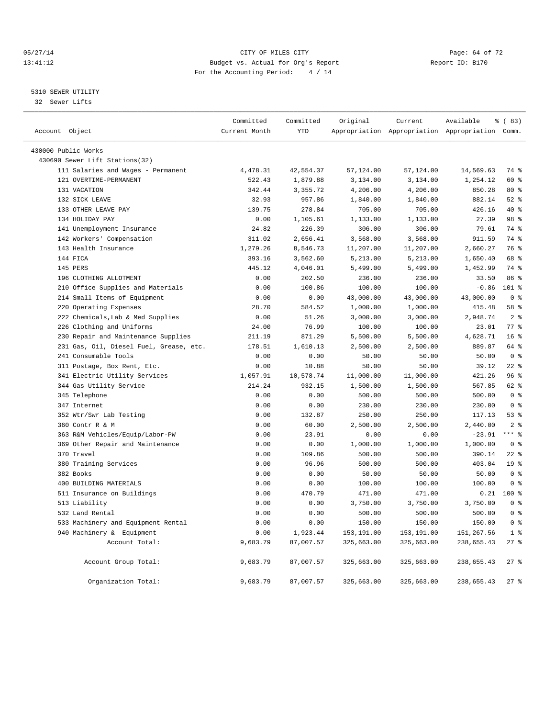#### 05/27/14 Page: 64 of 72 13:41:12 Budget vs. Actual for Org's Report Report ID: B170 For the Accounting Period: 4 / 14

#### 5310 SEWER UTILITY

32 Sewer Lifts

| Account Object |                                                       | Committed<br>Current Month | Committed<br>YTD | Original   | Current    | Available<br>Appropriation Appropriation Appropriation Comm. | % (83)          |
|----------------|-------------------------------------------------------|----------------------------|------------------|------------|------------|--------------------------------------------------------------|-----------------|
|                |                                                       |                            |                  |            |            |                                                              |                 |
|                | 430000 Public Works<br>430690 Sewer Lift Stations(32) |                            |                  |            |            |                                                              |                 |
|                | 111 Salaries and Wages - Permanent                    | 4,478.31                   | 42,554.37        | 57,124.00  | 57,124.00  | 14,569.63                                                    | 74 %            |
|                | 121 OVERTIME-PERMANENT                                | 522.43                     | 1,879.88         | 3,134.00   | 3,134.00   | 1,254.12                                                     | 60 %            |
|                | 131 VACATION                                          | 342.44                     | 3,355.72         | 4,206.00   | 4,206.00   | 850.28                                                       | 80 %            |
|                | 132 SICK LEAVE                                        | 32.93                      | 957.86           | 1,840.00   | 1,840.00   | 882.14                                                       | $52$ $%$        |
|                | 133 OTHER LEAVE PAY                                   | 139.75                     | 278.84           | 705.00     | 705.00     | 426.16                                                       | 40 %            |
|                | 134 HOLIDAY PAY                                       | 0.00                       | 1,105.61         | 1,133.00   | 1,133.00   | 27.39                                                        | 98 %            |
|                | 141 Unemployment Insurance                            | 24.82                      | 226.39           | 306.00     | 306.00     | 79.61                                                        | 74 %            |
|                | 142 Workers' Compensation                             | 311.02                     | 2,656.41         | 3,568.00   | 3,568.00   | 911.59                                                       | 74 %            |
|                | 143 Health Insurance                                  | 1,279.26                   | 8,546.73         | 11,207.00  | 11,207.00  | 2,660.27                                                     | 76 %            |
|                | 144 FICA                                              | 393.16                     | 3,562.60         | 5,213.00   | 5,213.00   | 1,650.40                                                     | 68 %            |
|                | 145 PERS                                              | 445.12                     | 4,046.01         | 5,499.00   | 5,499.00   | 1,452.99                                                     | 74 %            |
|                | 196 CLOTHING ALLOTMENT                                | 0.00                       | 202.50           | 236.00     | 236.00     | 33.50                                                        | 86 %            |
|                | 210 Office Supplies and Materials                     | 0.00                       | 100.86           | 100.00     | 100.00     | $-0.86$                                                      | 101 %           |
|                | 214 Small Items of Equipment                          | 0.00                       | 0.00             | 43,000.00  | 43,000.00  | 43,000.00                                                    | 0 <sup>8</sup>  |
|                | 220 Operating Expenses                                | 28.70                      | 584.52           | 1,000.00   | 1,000.00   | 415.48                                                       | 58 %            |
|                | 222 Chemicals, Lab & Med Supplies                     | 0.00                       | 51.26            | 3,000.00   | 3,000.00   | 2,948.74                                                     | 2 <sup>8</sup>  |
|                | 226 Clothing and Uniforms                             | 24.00                      | 76.99            | 100.00     | 100.00     | 23.01                                                        | 77 %            |
| 230            | Repair and Maintenance Supplies                       | 211.19                     | 871.29           | 5,500.00   | 5,500.00   | 4,628.71                                                     | 16 <sup>°</sup> |
|                | 231 Gas, Oil, Diesel Fuel, Grease, etc.               | 178.51                     | 1,610.13         | 2,500.00   | 2,500.00   | 889.87                                                       | 64 %            |
|                | 241 Consumable Tools                                  | 0.00                       | 0.00             | 50.00      | 50.00      | 50.00                                                        | 0 <sup>8</sup>  |
|                | 311 Postage, Box Rent, Etc.                           | 0.00                       | 10.88            | 50.00      | 50.00      | 39.12                                                        | $22$ %          |
|                | 341 Electric Utility Services                         | 1,057.91                   | 10,578.74        | 11,000.00  | 11,000.00  | 421.26                                                       | 96%             |
|                | 344 Gas Utility Service                               | 214.24                     | 932.15           | 1,500.00   | 1,500.00   | 567.85                                                       | 62 %            |
|                | 345 Telephone                                         | 0.00                       | 0.00             | 500.00     | 500.00     | 500.00                                                       | 0 <sup>8</sup>  |
|                | 347 Internet                                          | 0.00                       | 0.00             | 230.00     | 230.00     | 230.00                                                       | 0 <sup>8</sup>  |
|                | 352 Wtr/Swr Lab Testing                               | 0.00                       | 132.87           | 250.00     | 250.00     | 117.13                                                       | 53%             |
|                | 360 Contr R & M                                       | 0.00                       | 60.00            | 2,500.00   | 2,500.00   | 2,440.00                                                     | 2 <sub>8</sub>  |
|                | 363 R&M Vehicles/Equip/Labor-PW                       | 0.00                       | 23.91            | 0.00       | 0.00       | $-23.91$                                                     | $***$ $-$       |
|                | 369 Other Repair and Maintenance                      | 0.00                       | 0.00             | 1,000.00   | 1,000.00   | 1,000.00                                                     | 0 <sup>8</sup>  |
|                | 370 Travel                                            | 0.00                       | 109.86           | 500.00     | 500.00     | 390.14                                                       | $22$ %          |
|                | 380 Training Services                                 | 0.00                       | 96.96            | 500.00     | 500.00     | 403.04                                                       | 19 <sup>°</sup> |
|                | 382 Books                                             | 0.00                       | 0.00             | 50.00      | 50.00      | 50.00                                                        | 0 <sup>8</sup>  |
|                | 400 BUILDING MATERIALS                                | 0.00                       | 0.00             | 100.00     | 100.00     | 100.00                                                       | 0 <sup>8</sup>  |
|                | 511 Insurance on Buildings                            | 0.00                       | 470.79           | 471.00     | 471.00     | 0.21                                                         | $100*$          |
|                | 513 Liability                                         | 0.00                       | 0.00             | 3,750.00   | 3,750.00   | 3,750.00                                                     | 0 <sup>8</sup>  |
|                | 532 Land Rental                                       | 0.00                       | 0.00             | 500.00     | 500.00     | 500.00                                                       | 0 <sup>8</sup>  |
|                | 533 Machinery and Equipment Rental                    | 0.00                       | 0.00             | 150.00     | 150.00     | 150.00                                                       | 0 <sub>8</sub>  |
|                | 940 Machinery & Equipment                             | 0.00                       | 1,923.44         | 153,191.00 | 153,191.00 | 151, 267.56                                                  | 1 <sup>8</sup>  |
|                | Account Total:                                        | 9,683.79                   | 87,007.57        | 325,663.00 | 325,663.00 | 238,655.43                                                   | 27 %            |
|                | Account Group Total:                                  | 9,683.79                   | 87,007.57        | 325,663.00 | 325,663.00 | 238,655.43                                                   | $27$ %          |
|                | Organization Total:                                   | 9,683.79                   | 87,007.57        | 325,663.00 | 325,663.00 | 238,655.43                                                   | $27$ %          |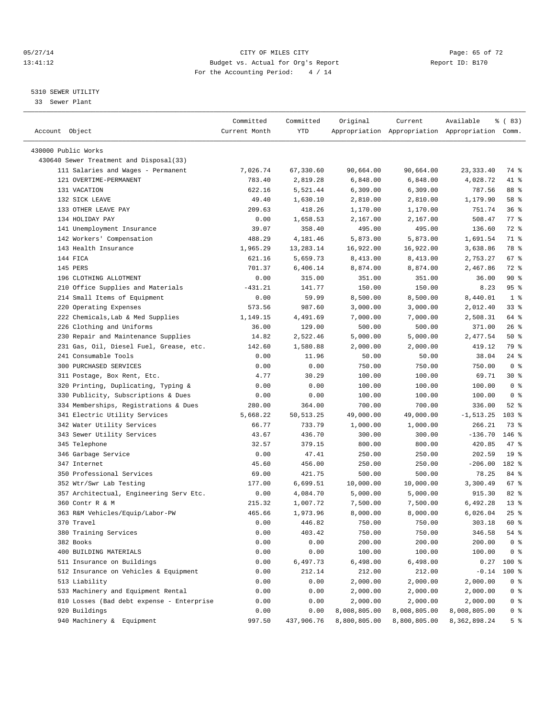#### 05/27/14 Page: 65 of 72 13:41:12 Budget vs. Actual for Org's Report Report ID: B170 For the Accounting Period: 4 / 14

————————————————————————————————————————————————————————————————————————————————————————————————————————————————————————————————————

#### 5310 SEWER UTILITY

33 Sewer Plant

|                                           | Committed     | Committed  | Original     | Current      | Available                                       | % (83)          |
|-------------------------------------------|---------------|------------|--------------|--------------|-------------------------------------------------|-----------------|
| Account Object                            | Current Month | YTD        |              |              | Appropriation Appropriation Appropriation Comm. |                 |
|                                           |               |            |              |              |                                                 |                 |
| 430000 Public Works                       |               |            |              |              |                                                 |                 |
| 430640 Sewer Treatment and Disposal(33)   |               |            |              |              |                                                 |                 |
| 111 Salaries and Wages - Permanent        | 7,026.74      | 67,330.60  | 90,664.00    | 90,664.00    | 23, 333.40                                      | 74 %            |
| 121 OVERTIME-PERMANENT                    | 783.40        | 2,819.28   | 6,848.00     | 6,848.00     | 4,028.72                                        | 41 %            |
| 131 VACATION                              | 622.16        | 5,521.44   | 6,309.00     | 6,309.00     | 787.56                                          | 88 %            |
| 132 SICK LEAVE                            | 49.40         | 1,630.10   | 2,810.00     | 2,810.00     | 1,179.90                                        | 58 %            |
| 133 OTHER LEAVE PAY                       | 209.63        | 418.26     | 1,170.00     | 1,170.00     | 751.74                                          | 36%             |
| 134 HOLIDAY PAY                           | 0.00          | 1,658.53   | 2,167.00     | 2,167.00     | 508.47                                          | $77$ $%$        |
| 141 Unemployment Insurance                | 39.07         | 358.40     | 495.00       | 495.00       | 136.60                                          | 72 %            |
| 142 Workers' Compensation                 | 488.29        | 4,181.46   | 5,873.00     | 5,873.00     | 1,691.54                                        | 71 %            |
| 143 Health Insurance                      | 1,965.29      | 13,283.14  | 16,922.00    | 16,922.00    | 3,638.86                                        | 78 %            |
| 144 FICA                                  | 621.16        | 5,659.73   | 8,413.00     | 8,413.00     | 2,753.27                                        | 67%             |
| 145 PERS                                  | 701.37        | 6,406.14   | 8,874.00     | 8,874.00     | 2,467.86                                        | 72 %            |
| 196 CLOTHING ALLOTMENT                    | 0.00          | 315.00     | 351.00       | 351.00       | 36.00                                           | 90%             |
| 210 Office Supplies and Materials         | $-431.21$     | 141.77     | 150.00       | 150.00       | 8.23                                            | 95%             |
| 214 Small Items of Equipment              | 0.00          | 59.99      | 8,500.00     | 8,500.00     | 8,440.01                                        | 1 <sup>8</sup>  |
| 220 Operating Expenses                    | 573.56        | 987.60     | 3,000.00     | 3,000.00     | 2,012.40                                        | $33$ $%$        |
| 222 Chemicals, Lab & Med Supplies         | 1,149.15      | 4,491.69   | 7,000.00     | 7,000.00     | 2,508.31                                        | 64 %            |
| 226 Clothing and Uniforms                 | 36.00         | 129.00     | 500.00       | 500.00       | 371.00                                          | $26$ %          |
| 230 Repair and Maintenance Supplies       | 14.82         | 2,522.46   | 5,000.00     | 5,000.00     | 2,477.54                                        | 50%             |
| 231 Gas, Oil, Diesel Fuel, Grease, etc.   | 142.60        | 1,580.88   | 2,000.00     | 2,000.00     | 419.12                                          | 79 %            |
| 241 Consumable Tools                      | 0.00          | 11.96      | 50.00        | 50.00        | 38.04                                           | 24 %            |
| 300 PURCHASED SERVICES                    | 0.00          | 0.00       | 750.00       | 750.00       | 750.00                                          | 0 <sup>8</sup>  |
| 311 Postage, Box Rent, Etc.               | 4.77          | 30.29      | 100.00       | 100.00       | 69.71                                           | $30*$           |
| 320 Printing, Duplicating, Typing &       | 0.00          | 0.00       | 100.00       | 100.00       | 100.00                                          | 0 <sup>8</sup>  |
| 330 Publicity, Subscriptions & Dues       | 0.00          | 0.00       | 100.00       | 100.00       | 100.00                                          | 0 <sup>8</sup>  |
| 334 Memberships, Registrations & Dues     | 280.00        | 364.00     | 700.00       | 700.00       | 336.00                                          | $52$ $%$        |
| 341 Electric Utility Services             | 5,668.22      | 50, 513.25 | 49,000.00    | 49,000.00    | $-1, 513.25$                                    | $103$ %         |
| 342 Water Utility Services                | 66.77         | 733.79     | 1,000.00     | 1,000.00     | 266.21                                          | 73 %            |
| 343 Sewer Utility Services                | 43.67         | 436.70     | 300.00       | 300.00       | $-136.70$                                       | $146$ %         |
| 345 Telephone                             | 32.57         | 379.15     | 800.00       | 800.00       | 420.85                                          | 47 %            |
| 346 Garbage Service                       | 0.00          | 47.41      | 250.00       | 250.00       | 202.59                                          | 19 <sup>°</sup> |
| 347 Internet                              | 45.60         | 456.00     | 250.00       | 250.00       | $-206.00$                                       | 182 %           |
| 350 Professional Services                 | 69.00         | 421.75     | 500.00       | 500.00       | 78.25                                           | 84 %            |
| 352 Wtr/Swr Lab Testing                   | 177.00        | 6,699.51   | 10,000.00    | 10,000.00    | 3,300.49                                        | 67%             |
| 357 Architectual, Engineering Serv Etc.   | 0.00          | 4,084.70   | 5,000.00     | 5,000.00     | 915.30                                          | $82$ $%$        |
| 360 Contr R & M                           | 215.32        | 1,007.72   | 7,500.00     | 7,500.00     | 6,492.28                                        | $13*$           |
| 363 R&M Vehicles/Equip/Labor-PW           | 465.66        | 1,973.96   | 8,000.00     | 8,000.00     | 6,026.04                                        | $25$ $%$        |
| 370 Travel                                | 0.00          | 446.82     | 750.00       | 750.00       | 303.18                                          | 60 %            |
| 380 Training Services                     | 0.00          | 403.42     | 750.00       | 750.00       | 346.58                                          | 54 %            |
| 382 Books                                 | 0.00          | 0.00       | 200.00       | 200.00       | 200.00                                          | 0 <sup>8</sup>  |
| 400 BUILDING MATERIALS                    | 0.00          | 0.00       | 100.00       | 100.00       | 100.00                                          | 0 <sup>8</sup>  |
| 511 Insurance on Buildings                | 0.00          | 6,497.73   | 6,498.00     | 6,498.00     | 0.27                                            | 100 %           |
| 512 Insurance on Vehicles & Equipment     | 0.00          | 212.14     | 212.00       | 212.00       | $-0.14$                                         | 100 %           |
| 513 Liability                             | 0.00          | 0.00       | 2,000.00     | 2,000.00     | 2,000.00                                        | 0 <sup>8</sup>  |
| 533 Machinery and Equipment Rental        | 0.00          | 0.00       | 2,000.00     | 2,000.00     | 2,000.00                                        | 0 <sup>8</sup>  |
| 810 Losses (Bad debt expense - Enterprise | 0.00          | 0.00       | 2,000.00     | 2,000.00     | 2,000.00                                        | 0 <sup>8</sup>  |
| 920 Buildings                             | 0.00          | 0.00       | 8,008,805.00 | 8,008,805.00 | 8,008,805.00                                    | 0 <sup>8</sup>  |
| 940 Machinery & Equipment                 | 997.50        | 437,906.76 | 8,800,805.00 | 8,800,805.00 | 8,362,898.24                                    | 5 <sup>°</sup>  |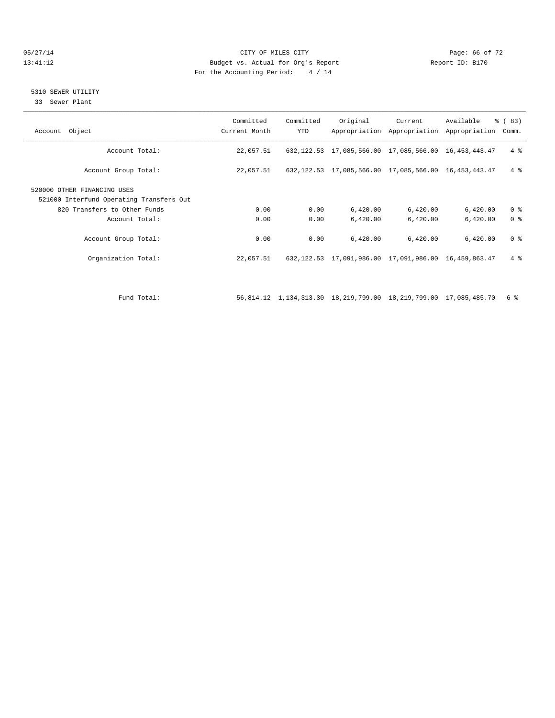#### 05/27/14 Page: 66 of 72 13:41:12 Budget vs. Actual for Org's Report Report ID: B170 For the Accounting Period: 4 / 14

#### 5310 SEWER UTILITY

33 Sewer Plant

| Account Object                                                          | Committed<br>Current Month | Committed<br>YTD | Original | Current                                                     | Available<br>Appropriation Appropriation Appropriation | $\frac{6}{6}$ (83)<br>Comm. |
|-------------------------------------------------------------------------|----------------------------|------------------|----------|-------------------------------------------------------------|--------------------------------------------------------|-----------------------------|
| Account Total:                                                          | 22,057.51                  |                  |          | 632, 122.53 17, 085, 566.00 17, 085, 566.00 16, 453, 443.47 |                                                        | 4%                          |
| Account Group Total:                                                    | 22,057.51                  |                  |          | 632, 122.53 17, 085, 566.00 17, 085, 566.00 16, 453, 443.47 |                                                        | $4 \text{ }$                |
| 520000 OTHER FINANCING USES<br>521000 Interfund Operating Transfers Out |                            |                  |          |                                                             |                                                        |                             |
| 820 Transfers to Other Funds                                            | 0.00                       | 0.00             | 6,420.00 | 6,420.00                                                    | 6,420.00                                               | 0 <sup>8</sup>              |
| Account Total:                                                          | 0.00                       | 0.00             | 6,420.00 | 6,420.00                                                    | 6,420.00                                               | 0 <sup>8</sup>              |
| Account Group Total:                                                    | 0.00                       | 0.00             | 6.420.00 | 6,420.00                                                    | 6,420.00                                               | 0 <sup>8</sup>              |
| Organization Total:                                                     | 22,057.51                  |                  |          | 632, 122.53 17, 091, 986.00 17, 091, 986.00 16, 459, 863.47 |                                                        | $4 \text{ }$                |
|                                                                         |                            |                  |          |                                                             |                                                        |                             |
|                                                                         |                            |                  |          |                                                             |                                                        |                             |

Fund Total: 56,814.12 1,134,313.30 18,219,799.00 18,219,799.00 17,085,485.70 6 %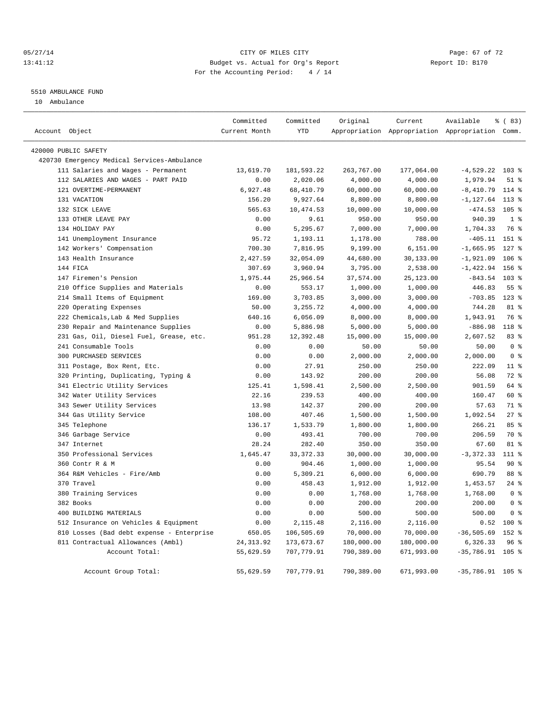#### 05/27/14 Page: 67 of 72 13:41:12 Budget vs. Actual for Org's Report Changer Report ID: B170 For the Accounting Period: 4 / 14

#### 5510 AMBULANCE FUND

10 Ambulance

|                                             | Committed     | Committed   | Original   | Current    | Available                                       | % (83)           |
|---------------------------------------------|---------------|-------------|------------|------------|-------------------------------------------------|------------------|
| Account Object                              | Current Month | <b>YTD</b>  |            |            | Appropriation Appropriation Appropriation Comm. |                  |
| 420000 PUBLIC SAFETY                        |               |             |            |            |                                                 |                  |
| 420730 Emergency Medical Services-Ambulance |               |             |            |            |                                                 |                  |
| 111 Salaries and Wages - Permanent          | 13,619.70     | 181,593.22  | 263,767.00 | 177,064.00 | $-4,529.22$ 103 %                               |                  |
| 112 SALARIES AND WAGES - PART PAID          | 0.00          | 2,020.06    | 4,000.00   | 4,000.00   | 1,979.94                                        | $51$ %           |
| 121 OVERTIME-PERMANENT                      | 6,927.48      | 68,410.79   | 60,000.00  | 60,000.00  | $-8,410.79$                                     | $114$ %          |
| 131 VACATION                                | 156.20        | 9,927.64    | 8,800.00   | 8,800.00   | $-1, 127.64$                                    | $113$ %          |
| 132 SICK LEAVE                              | 565.63        | 10,474.53   | 10,000.00  | 10,000.00  | $-474.53$ 105 %                                 |                  |
| 133 OTHER LEAVE PAY                         | 0.00          | 9.61        | 950.00     | 950.00     | 940.39                                          | 1 <sup>8</sup>   |
| 134 HOLIDAY PAY                             | 0.00          | 5,295.67    | 7,000.00   | 7,000.00   | 1,704.33                                        | 76 %             |
| 141 Unemployment Insurance                  | 95.72         | 1,193.11    | 1,178.00   | 788.00     | $-405.11$ 151 %                                 |                  |
| 142 Workers' Compensation                   | 700.30        | 7,816.95    | 9,199.00   | 6,151.00   | $-1,665.95$                                     | $127$ %          |
| 143 Health Insurance                        | 2,427.59      | 32,054.09   | 44,680.00  | 30,133.00  | $-1,921.09$                                     | $106$ %          |
| 144 FICA                                    | 307.69        | 3,960.94    | 3,795.00   | 2,538.00   | $-1,422.94$                                     | 156 %            |
| 147 Firemen's Pension                       | 1,975.44      | 25,966.54   | 37,574.00  | 25,123.00  | $-843.54$                                       | 103 %            |
| 210 Office Supplies and Materials           | 0.00          | 553.17      | 1,000.00   | 1,000.00   | 446.83                                          | 55%              |
| 214 Small Items of Equipment                | 169.00        | 3,703.85    | 3,000.00   | 3,000.00   | $-703.85$                                       | $123$ $%$        |
| 220 Operating Expenses                      | 50.00         | 3,255.72    | 4,000.00   | 4,000.00   | 744.28                                          | 81 %             |
| 222 Chemicals, Lab & Med Supplies           | 640.16        | 6,056.09    | 8,000.00   | 8,000.00   | 1,943.91                                        | 76 %             |
| 230 Repair and Maintenance Supplies         | 0.00          | 5,886.98    | 5,000.00   | 5,000.00   | $-886.98$                                       | 118 <sup>°</sup> |
| 231 Gas, Oil, Diesel Fuel, Grease, etc.     | 951.28        | 12,392.48   | 15,000.00  | 15,000.00  | 2,607.52                                        | 83 %             |
| 241 Consumable Tools                        | 0.00          | 0.00        | 50.00      | 50.00      | 50.00                                           | 0 <sup>8</sup>   |
| 300 PURCHASED SERVICES                      | 0.00          | 0.00        | 2,000.00   | 2,000.00   | 2,000.00                                        | 0 <sup>8</sup>   |
| 311 Postage, Box Rent, Etc.                 | 0.00          | 27.91       | 250.00     | 250.00     | 222.09                                          | $11$ %           |
| 320 Printing, Duplicating, Typing &         | 0.00          | 143.92      | 200.00     | 200.00     | 56.08                                           | $72$ $%$         |
| 341 Electric Utility Services               | 125.41        | 1,598.41    | 2,500.00   | 2,500.00   | 901.59                                          | 64 %             |
| 342 Water Utility Services                  | 22.16         | 239.53      | 400.00     | 400.00     | 160.47                                          | 60 %             |
| 343 Sewer Utility Services                  | 13.98         | 142.37      | 200.00     | 200.00     | 57.63                                           | 71.8             |
| 344 Gas Utility Service                     | 108.00        | 407.46      | 1,500.00   | 1,500.00   | 1,092.54                                        | 27%              |
| 345 Telephone                               | 136.17        | 1,533.79    | 1,800.00   | 1,800.00   | 266.21                                          | 85%              |
| 346 Garbage Service                         | 0.00          | 493.41      | 700.00     | 700.00     | 206.59                                          | 70 %             |
| 347 Internet                                | 28.24         | 282.40      | 350.00     | 350.00     | 67.60                                           | 81 %             |
| 350 Professional Services                   | 1,645.47      | 33, 372. 33 | 30,000.00  | 30,000.00  | $-3,372.33$                                     | 111 %            |
| 360 Contr R & M                             | 0.00          | 904.46      | 1,000.00   | 1,000.00   | 95.54                                           | $90*$            |
| 364 R&M Vehicles - Fire/Amb                 | 0.00          | 5,309.21    | 6,000.00   | 6,000.00   | 690.79                                          | 88 %             |
| 370 Travel                                  | 0.00          | 458.43      | 1,912.00   | 1,912.00   | 1,453.57                                        | $24$ %           |
| 380 Training Services                       | 0.00          | 0.00        | 1,768.00   | 1,768.00   | 1,768.00                                        | 0 <sup>8</sup>   |
| 382 Books                                   | 0.00          | 0.00        | 200.00     | 200.00     | 200.00                                          | 0 <sup>8</sup>   |
| 400 BUILDING MATERIALS                      | 0.00          | 0.00        | 500.00     | 500.00     | 500.00                                          | 0 <sup>8</sup>   |
| 512 Insurance on Vehicles & Equipment       | 0.00          | 2,115.48    | 2,116.00   | 2,116.00   | 0.52                                            | $100*$           |
| 810 Losses (Bad debt expense - Enterprise   | 650.05        | 106,505.69  | 70,000.00  | 70,000.00  | $-36, 505.69$                                   | 152 %            |
| 811 Contractual Allowances (Ambl)           | 24, 313.92    | 173,673.67  | 180,000.00 | 180,000.00 | 6,326.33                                        | 96 <sup>8</sup>  |
| Account Total:                              | 55,629.59     | 707,779.91  | 790,389.00 | 671,993.00 | $-35,786.91$                                    | $105$ %          |
|                                             | 55,629.59     | 707,779.91  | 790,389.00 |            |                                                 |                  |
| Account Group Total:                        |               |             |            | 671,993.00 | $-35,786.91$ 105 %                              |                  |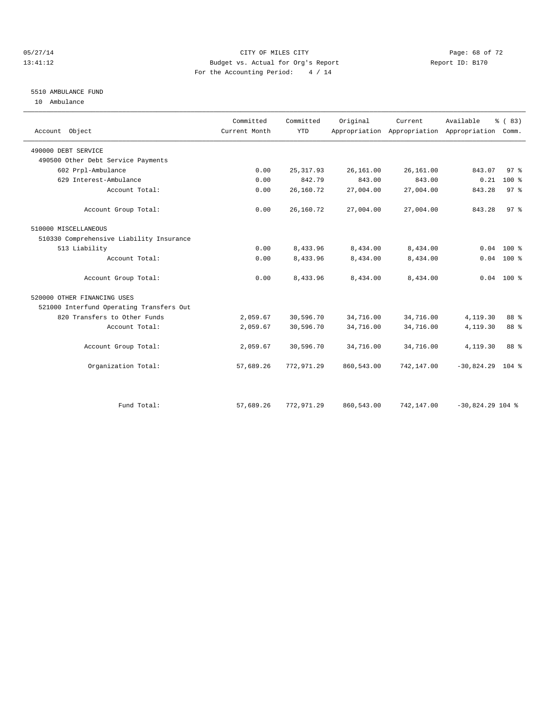#### 05/27/14 Page: 68 of 72 13:41:12 Budget vs. Actual for Org's Report Report ID: B170 For the Accounting Period: 4 / 14

### 5510 AMBULANCE FUND

10 Ambulance

| Account Object                           | Committed<br>Current Month | Committed<br><b>YTD</b> | Original   | Current.   | Available<br>Appropriation Appropriation Appropriation Comm. | % (83)          |
|------------------------------------------|----------------------------|-------------------------|------------|------------|--------------------------------------------------------------|-----------------|
| 490000 DEBT SERVICE                      |                            |                         |            |            |                                                              |                 |
| 490500 Other Debt Service Payments       |                            |                         |            |            |                                                              |                 |
| 602 Prpl-Ambulance                       | 0.00                       | 25, 317.93              | 26,161.00  | 26,161.00  | 843.07                                                       | 97%             |
| 629 Interest-Ambulance                   | 0.00                       | 842.79                  | 843.00     | 843.00     | 0.21                                                         | $100*$          |
| Account Total:                           | 0.00                       | 26,160.72               | 27,004.00  | 27,004.00  | 843.28                                                       | 97 <sup>8</sup> |
| Account Group Total:                     | 0.00                       | 26,160.72               | 27,004.00  | 27,004.00  | 843.28                                                       | 97%             |
| 510000 MISCELLANEOUS                     |                            |                         |            |            |                                                              |                 |
| 510330 Comprehensive Liability Insurance |                            |                         |            |            |                                                              |                 |
| 513 Liability                            | 0.00                       | 8,433.96                | 8,434.00   | 8,434.00   | 0.04                                                         | $100*$          |
| Account Total:                           | 0.00                       | 8,433.96                | 8,434.00   | 8,434.00   |                                                              | $0.04$ 100 %    |
| Account Group Total:                     | 0.00                       | 8,433.96                | 8,434.00   | 8,434.00   |                                                              | $0.04$ 100 %    |
| 520000 OTHER FINANCING USES              |                            |                         |            |            |                                                              |                 |
| 521000 Interfund Operating Transfers Out |                            |                         |            |            |                                                              |                 |
| 820 Transfers to Other Funds             | 2,059.67                   | 30,596.70               | 34,716.00  | 34,716.00  | 4,119.30                                                     | 88 %            |
| Account Total:                           | 2,059.67                   | 30,596.70               | 34,716.00  | 34,716.00  | 4,119.30                                                     | 88 %            |
| Account Group Total:                     | 2,059.67                   | 30,596.70               | 34,716.00  | 34,716.00  | 4,119.30                                                     | 88 %            |
| Organization Total:                      | 57,689.26                  | 772,971.29              | 860,543.00 | 742,147.00 | $-30,824.29$ 104 %                                           |                 |
| Fund Total:                              | 57,689.26                  | 772,971.29              | 860,543.00 | 742,147.00 | $-30,824.29$ 104 %                                           |                 |
|                                          |                            |                         |            |            |                                                              |                 |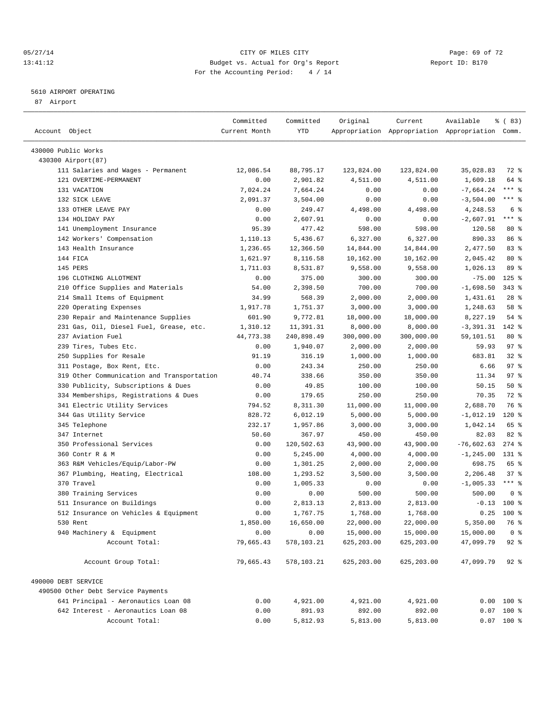#### 05/27/14 Page: 69 of 72 13:41:12 Budget vs. Actual for Org's Report Report ID: B170 For the Accounting Period: 4 / 14

————————————————————————————————————————————————————————————————————————————————————————————————————————————————————————————————————

#### 5610 AIRPORT OPERATING

87 Airport

|                                            | Committed        | Committed          | Original           | Current            | Available                                       | % (83)              |
|--------------------------------------------|------------------|--------------------|--------------------|--------------------|-------------------------------------------------|---------------------|
| Account Object                             | Current Month    | YTD                |                    |                    | Appropriation Appropriation Appropriation Comm. |                     |
|                                            |                  |                    |                    |                    |                                                 |                     |
| 430000 Public Works                        |                  |                    |                    |                    |                                                 |                     |
| 430300 Airport (87)                        |                  |                    |                    |                    |                                                 |                     |
| 111 Salaries and Wages - Permanent         | 12,086.54        | 88,795.17          | 123,824.00         | 123,824.00         | 35,028.83                                       | 72 %                |
| 121 OVERTIME-PERMANENT                     | 0.00             | 2,901.82           | 4,511.00           | 4,511.00           | 1,609.18                                        | 64 %<br>$***$ 8     |
| 131 VACATION                               | 7,024.24         | 7,664.24           | 0.00               | 0.00               | $-7,664.24$                                     | $***$ $%$           |
| 132 SICK LEAVE<br>133 OTHER LEAVE PAY      | 2,091.37<br>0.00 | 3,504.00<br>249.47 | 0.00<br>4,498.00   | 0.00               | $-3,504.00$<br>4,248.53                         | 6 %                 |
| 134 HOLIDAY PAY                            | 0.00             | 2,607.91           | 0.00               | 4,498.00<br>0.00   | $-2,607.91$                                     | $***$ $-$           |
|                                            | 95.39            | 477.42             | 598.00             | 598.00             |                                                 | $80*$               |
| 141 Unemployment Insurance                 |                  | 5,436.67           | 6,327.00           | 6,327.00           | 120.58<br>890.33                                | 86 %                |
| 142 Workers' Compensation                  | 1,110.13         | 12,366.50          |                    |                    | 2,477.50                                        | 83 %                |
| 143 Health Insurance<br>144 FICA           | 1,236.65         | 8,116.58           | 14,844.00          | 14,844.00          |                                                 | $80*$               |
| 145 PERS                                   | 1,621.97         | 8,531.87           | 10,162.00          | 10,162.00          | 2,045.42                                        | 89 %                |
| 196 CLOTHING ALLOTMENT                     | 1,711.03<br>0.00 | 375.00             | 9,558.00<br>300.00 | 9,558.00<br>300.00 | 1,026.13<br>$-75.00$                            | $125$ %             |
| 210 Office Supplies and Materials          | 54.00            | 2,398.50           | 700.00             | 700.00             | $-1,698.50$                                     | $343*$              |
| 214 Small Items of Equipment               | 34.99            | 568.39             | 2,000.00           | 2,000.00           | 1,431.61                                        | $28$ %              |
| 220 Operating Expenses                     | 1,917.78         | 1,751.37           | 3,000.00           | 3,000.00           | 1,248.63                                        | 58 %                |
| 230 Repair and Maintenance Supplies        | 601.90           | 9,772.81           | 18,000.00          | 18,000.00          | 8,227.19                                        | $54$ $%$            |
| 231 Gas, Oil, Diesel Fuel, Grease, etc.    | 1,310.12         | 11,391.31          | 8,000.00           | 8,000.00           | $-3,391.31$                                     | 142 %               |
| 237 Aviation Fuel                          | 44,773.38        | 240,898.49         | 300,000.00         | 300,000.00         | 59,101.51                                       | $80*$               |
| 239 Tires, Tubes Etc.                      | 0.00             | 1,940.07           | 2,000.00           | 2,000.00           | 59.93                                           | 97%                 |
| 250 Supplies for Resale                    | 91.19            | 316.19             | 1,000.00           | 1,000.00           | 683.81                                          | $32$ $%$            |
| 311 Postage, Box Rent, Etc.                | 0.00             | 243.34             | 250.00             | 250.00             | 6.66                                            | 97%                 |
| 319 Other Communication and Transportation | 40.74            | 338.66             | 350.00             | 350.00             | 11.34                                           | 97%                 |
| 330 Publicity, Subscriptions & Dues        | 0.00             | 49.85              | 100.00             | 100.00             | 50.15                                           | 50%                 |
| 334 Memberships, Registrations & Dues      | 0.00             | 179.65             | 250.00             | 250.00             | 70.35                                           | 72 %                |
| 341 Electric Utility Services              | 794.52           | 8,311.30           | 11,000.00          | 11,000.00          | 2,688.70                                        | 76 %                |
| 344 Gas Utility Service                    | 828.72           | 6,012.19           | 5,000.00           | 5,000.00           | $-1,012.19$                                     | 120 %               |
| 345 Telephone                              | 232.17           | 1,957.86           | 3,000.00           | 3,000.00           | 1,042.14                                        | 65 %                |
| 347 Internet                               | 50.60            | 367.97             | 450.00             | 450.00             | 82.03                                           | $82$ $%$            |
| 350 Professional Services                  | 0.00             | 120,502.63         | 43,900.00          | 43,900.00          | $-76,602.63$                                    | $274$ %             |
| 360 Contr R & M                            | 0.00             | 5,245.00           | 4,000.00           | 4,000.00           | $-1, 245.00$                                    | $131$ $\frac{1}{8}$ |
| 363 R&M Vehicles/Equip/Labor-PW            | 0.00             | 1,301.25           | 2,000.00           | 2,000.00           | 698.75                                          | 65 %                |
| 367 Plumbing, Heating, Electrical          | 108.00           | 1,293.52           | 3,500.00           | 3,500.00           | 2,206.48                                        | 37%                 |
| 370 Travel                                 | 0.00             | 1,005.33           | 0.00               | 0.00               | $-1,005.33$                                     | $***$ $%$           |
| 380 Training Services                      | 0.00             | 0.00               | 500.00             | 500.00             | 500.00                                          | 0 <sup>8</sup>      |
| 511 Insurance on Buildings                 | 0.00             | 2,813.13           | 2,813.00           | 2,813.00           | $-0.13$                                         | $100$ %             |
| 512 Insurance on Vehicles & Equipment      | 0.00             | 1,767.75           | 1,768.00           | 1,768.00           | 0.25                                            | 100 %               |
| 530 Rent                                   | 1,850.00         | 16,650.00          | 22,000.00          | 22,000.00          | 5,350.00                                        | 76 %                |
| 940 Machinery & Equipment                  | 0.00             | 0.00               | 15,000.00          | 15,000.00          | 15,000.00                                       | 0 <sup>8</sup>      |
| Account Total:                             | 79,665.43        | 578,103.21         | 625,203.00         | 625,203.00         | 47,099.79                                       | $92$ $%$            |
| Account Group Total:                       | 79,665.43        | 578,103.21         | 625,203.00         | 625,203.00         | 47,099.79                                       | $92$ $%$            |
|                                            |                  |                    |                    |                    |                                                 |                     |
| 490000 DEBT SERVICE                        |                  |                    |                    |                    |                                                 |                     |
| 490500 Other Debt Service Payments         |                  |                    |                    |                    |                                                 |                     |
| 641 Principal - Aeronautics Loan 08        | 0.00             | 4,921.00           | 4,921.00           | 4,921.00           |                                                 | $0.00$ 100 %        |
| 642 Interest - Aeronautics Loan 08         | 0.00             | 891.93             | 892.00             | 892.00             |                                                 | $0.07$ 100 %        |
| Account Total:                             | 0.00             | 5,812.93           | 5,813.00           | 5,813.00           |                                                 | $0.07$ 100 %        |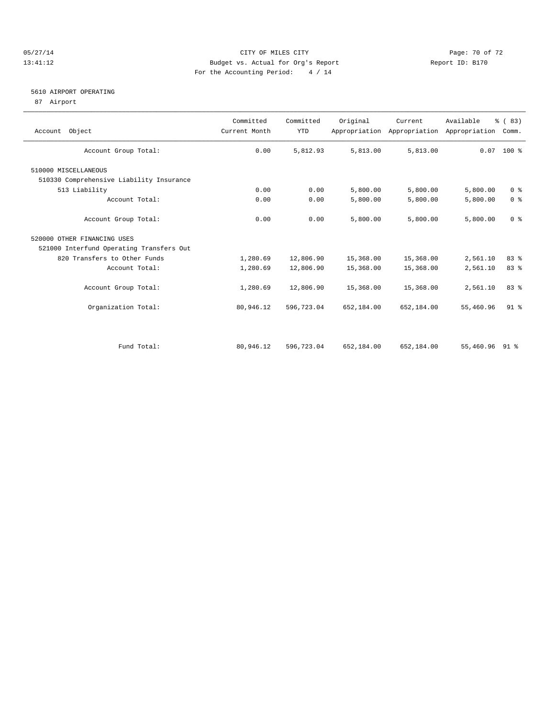#### 05/27/14 Page: 70 of 72 13:41:12 Budget vs. Actual for Org's Report Report ID: B170 For the Accounting Period: 4 / 14

#### 5610 AIRPORT OPERATING

87 Airport

| Account Object                           | Committed<br>Current Month | Committed<br><b>YTD</b> | Original   | Current<br>Appropriation Appropriation | Available<br>Appropriation | % (83)<br>Comm. |
|------------------------------------------|----------------------------|-------------------------|------------|----------------------------------------|----------------------------|-----------------|
| Account Group Total:                     | 0.00                       | 5,812.93                | 5,813.00   | 5,813.00                               |                            | $0.07$ 100 %    |
| 510000 MISCELLANEOUS                     |                            |                         |            |                                        |                            |                 |
| 510330 Comprehensive Liability Insurance |                            |                         |            |                                        |                            |                 |
| 513 Liability                            | 0.00                       | 0.00                    | 5,800.00   | 5,800.00                               | 5,800.00                   | 0 <sup>8</sup>  |
| Account Total:                           | 0.00                       | 0.00                    | 5,800.00   | 5,800.00                               | 5,800.00                   | 0 <sup>8</sup>  |
| Account Group Total:                     | 0.00                       | 0.00                    | 5,800.00   | 5,800.00                               | 5,800.00                   | 0 <sup>8</sup>  |
| 520000 OTHER FINANCING USES              |                            |                         |            |                                        |                            |                 |
| 521000 Interfund Operating Transfers Out |                            |                         |            |                                        |                            |                 |
| 820 Transfers to Other Funds             | 1,280.69                   | 12,806.90               | 15,368.00  | 15,368.00                              | 2,561.10                   | 83%             |
| Account Total:                           | 1,280.69                   | 12,806.90               | 15,368.00  | 15,368.00                              | 2,561.10                   | 83 %            |
| Account Group Total:                     | 1,280.69                   | 12,806.90               | 15,368.00  | 15,368.00                              | 2,561.10                   | 83 %            |
| Organization Total:                      | 80,946.12                  | 596,723.04              | 652,184.00 | 652,184.00                             | 55,460.96                  | 91 <sup>°</sup> |
|                                          |                            |                         |            |                                        |                            |                 |
| Fund Total:                              | 80,946.12                  | 596,723.04              | 652,184.00 | 652,184.00                             | 55,460.96 91 %             |                 |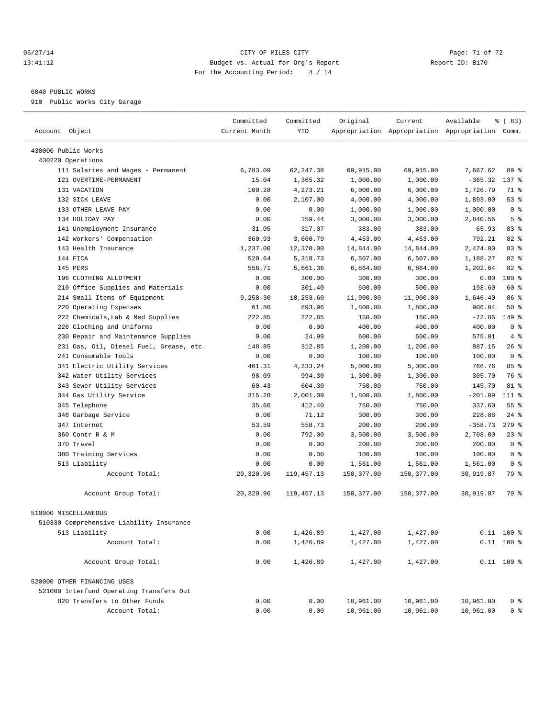#### 05/27/14 Page: 71 of 72 13:41:12 Budget vs. Actual for Org's Report Report ID: B170 For the Accounting Period: 4 / 14

————————————————————————————————————————————————————————————————————————————————————————————————————————————————————————————————————

#### 6040 PUBLIC WORKS

910 Public Works City Garage

|                                                   | Committed     | Committed    | Original   | Current    | Available                                       | % (83)          |  |
|---------------------------------------------------|---------------|--------------|------------|------------|-------------------------------------------------|-----------------|--|
| Account Object                                    | Current Month | <b>YTD</b>   |            |            | Appropriation Appropriation Appropriation Comm. |                 |  |
|                                                   |               |              |            |            |                                                 |                 |  |
| 430000 Public Works<br>430220 Operations          |               |              |            |            |                                                 |                 |  |
| 111 Salaries and Wages - Permanent                | 6,783.09      | 62, 247.38   | 69,915.00  | 69,915.00  | 7,667.62                                        | 89 %            |  |
| 121 OVERTIME-PERMANENT                            | 15.04         | 1,365.32     | 1,000.00   | 1,000.00   | $-365.32$                                       | 137 %           |  |
| 131 VACATION                                      | 100.28        | 4,273.21     | 6,000.00   | 6,000.00   | 1,726.79                                        | 71 %            |  |
| 132 SICK LEAVE                                    | 0.00          | 2,107.00     | 4,000.00   | 4,000.00   |                                                 | 53%             |  |
| 133 OTHER LEAVE PAY                               | 0.00          | 0.00         | 1,000.00   | 1,000.00   | 1,893.00<br>1,000.00                            | 0 <sup>8</sup>  |  |
| 134 HOLIDAY PAY                                   | 0.00          | 159.44       | 3,000.00   | 3,000.00   | 2,840.56                                        | 5 <sup>°</sup>  |  |
|                                                   | 31.05         | 317.07       | 383.00     | 383.00     | 65.93                                           | 83 %            |  |
| 141 Unemployment Insurance                        |               |              |            |            |                                                 | 82 %            |  |
| 142 Workers' Compensation<br>143 Health Insurance | 360.93        | 3,660.79     | 4,453.00   | 4,453.00   | 792.21                                          |                 |  |
|                                                   | 1,237.00      | 12,370.00    | 14,844.00  | 14,844.00  | 2,474.00                                        | 83%<br>82 %     |  |
| 144 FICA                                          | 520.64        | 5,318.73     | 6,507.00   | 6,507.00   | 1,188.27                                        |                 |  |
| 145 PERS                                          | 556.71        | 5,661.36     | 6,864.00   | 6,864.00   | 1,202.64                                        | $82$ $%$        |  |
| 196 CLOTHING ALLOTMENT                            | 0.00          | 300.00       | 300.00     | 300.00     | 0.00                                            | 100 %           |  |
| 210 Office Supplies and Materials                 | 0.00          | 301.40       | 500.00     | 500.00     | 198.60                                          | 60 %            |  |
| 214 Small Items of Equipment                      | 9,258.30      | 10,253.60    | 11,900.00  | 11,900.00  | 1,646.40                                        | 86 %            |  |
| 220 Operating Expenses                            | 61.86         | 893.96       | 1,800.00   | 1,800.00   | 906.04                                          | 50%             |  |
| 222 Chemicals, Lab & Med Supplies                 | 222.85        | 222.85       | 150.00     | 150.00     | $-72.85$                                        | 149 %           |  |
| 226 Clothing and Uniforms                         | 0.00          | 0.00         | 400.00     | 400.00     | 400.00                                          | 0 <sup>8</sup>  |  |
| 230 Repair and Maintenance Supplies               | 0.00          | 24.99        | 600.00     | 600.00     | 575.01                                          | 4%              |  |
| 231 Gas, Oil, Diesel Fuel, Grease, etc.           | 148.85        | 312.85       | 1,200.00   | 1,200.00   | 887.15                                          | $26$ %          |  |
| 241 Consumable Tools                              | 0.00          | 0.00         | 100.00     | 100.00     | 100.00                                          | 0 <sup>8</sup>  |  |
| 341 Electric Utility Services                     | 461.31        | 4,233.24     | 5,000.00   | 5,000.00   | 766.76                                          | 85%             |  |
| 342 Water Utility Services                        | 98.09         | 994.30       | 1,300.00   | 1,300.00   | 305.70                                          | 76 %            |  |
| 343 Sewer Utility Services                        | 60.43         | 604.30       | 750.00     | 750.00     | 145.70                                          | 81 %            |  |
| 344 Gas Utility Service                           | 315.28        | 2,001.09     | 1,800.00   | 1,800.00   | $-201.09$                                       | $111*$          |  |
| 345 Telephone                                     | 35.66         | 412.40       | 750.00     | 750.00     | 337.60                                          | 55 <sup>8</sup> |  |
| 346 Garbage Service                               | 0.00          | 71.12        | 300.00     | 300.00     | 228.88                                          | $24$ %          |  |
| 347 Internet                                      | 53.59         | 558.73       | 200.00     | 200.00     | $-358.73$                                       | $279$ $%$       |  |
| 360 Contr R & M                                   | 0.00          | 792.00       | 3,500.00   | 3,500.00   | 2,708.00                                        | 23%             |  |
| 370 Travel                                        | 0.00          | 0.00         | 200.00     | 200.00     | 200.00                                          | 0 <sup>8</sup>  |  |
| 380 Training Services                             | 0.00          | 0.00         | 100.00     | 100.00     | 100.00                                          | 0 <sup>8</sup>  |  |
| 513 Liability                                     | 0.00          | 0.00         | 1,561.00   | 1,561.00   | 1,561.00                                        | 0 <sup>8</sup>  |  |
| Account Total:                                    | 20,320.96     | 119, 457. 13 | 150,377.00 | 150,377.00 | 30,919.87                                       | 79 %            |  |
| Account Group Total:                              | 20,320.96     | 119,457.13   | 150,377.00 | 150,377.00 | 30,919.87                                       | 79 %            |  |
| 510000 MISCELLANEOUS                              |               |              |            |            |                                                 |                 |  |
| 510330 Comprehensive Liability Insurance          |               |              |            |            |                                                 |                 |  |
| 513 Liability                                     | 0.00          | 1,426.89     | 1,427.00   | 1,427.00   |                                                 | $0.11$ 100 %    |  |
| Account Total:                                    | 0.00          | 1,426.89     | 1,427.00   | 1,427.00   |                                                 | $0.11$ 100 %    |  |
|                                                   |               |              |            |            |                                                 |                 |  |
| Account Group Total:                              | 0.00          | 1,426.89     | 1,427.00   | 1,427.00   |                                                 | $0.11$ 100 %    |  |
| 520000 OTHER FINANCING USES                       |               |              |            |            |                                                 |                 |  |
| 521000 Interfund Operating Transfers Out          |               |              |            |            |                                                 |                 |  |
| 820 Transfers to Other Funds                      | 0.00          | 0.00         | 10,961.00  | 10,961.00  | 10,961.00                                       | 0 <sup>8</sup>  |  |
| Account Total:                                    | 0.00          | 0.00         | 10,961.00  | 10,961.00  | 10,961.00                                       | 0 <sup>8</sup>  |  |